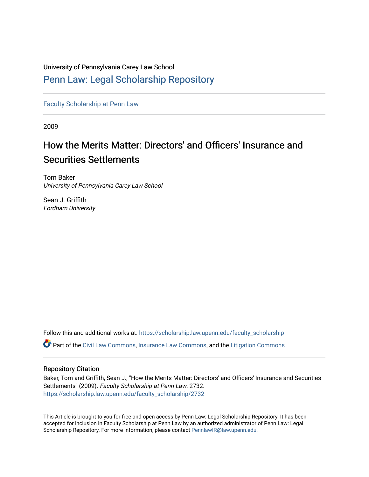## University of Pennsylvania Carey Law School

## [Penn Law: Legal Scholarship Repository](https://scholarship.law.upenn.edu/)

[Faculty Scholarship at Penn Law](https://scholarship.law.upenn.edu/faculty_scholarship)

2009

# How the Merits Matter: Directors' and Officers' Insurance and Securities Settlements

Tom Baker University of Pennsylvania Carey Law School

Sean J. Griffith Fordham University

Follow this and additional works at: [https://scholarship.law.upenn.edu/faculty\\_scholarship](https://scholarship.law.upenn.edu/faculty_scholarship?utm_source=scholarship.law.upenn.edu%2Ffaculty_scholarship%2F2732&utm_medium=PDF&utm_campaign=PDFCoverPages) 

Part of the [Civil Law Commons](http://network.bepress.com/hgg/discipline/835?utm_source=scholarship.law.upenn.edu%2Ffaculty_scholarship%2F2732&utm_medium=PDF&utm_campaign=PDFCoverPages), [Insurance Law Commons,](http://network.bepress.com/hgg/discipline/607?utm_source=scholarship.law.upenn.edu%2Ffaculty_scholarship%2F2732&utm_medium=PDF&utm_campaign=PDFCoverPages) and the [Litigation Commons](http://network.bepress.com/hgg/discipline/910?utm_source=scholarship.law.upenn.edu%2Ffaculty_scholarship%2F2732&utm_medium=PDF&utm_campaign=PDFCoverPages) 

## Repository Citation

Baker, Tom and Griffith, Sean J., "How the Merits Matter: Directors' and Officers' Insurance and Securities Settlements" (2009). Faculty Scholarship at Penn Law. 2732. [https://scholarship.law.upenn.edu/faculty\\_scholarship/2732](https://scholarship.law.upenn.edu/faculty_scholarship/2732?utm_source=scholarship.law.upenn.edu%2Ffaculty_scholarship%2F2732&utm_medium=PDF&utm_campaign=PDFCoverPages)

This Article is brought to you for free and open access by Penn Law: Legal Scholarship Repository. It has been accepted for inclusion in Faculty Scholarship at Penn Law by an authorized administrator of Penn Law: Legal Scholarship Repository. For more information, please contact [PennlawIR@law.upenn.edu.](mailto:PennlawIR@law.upenn.edu)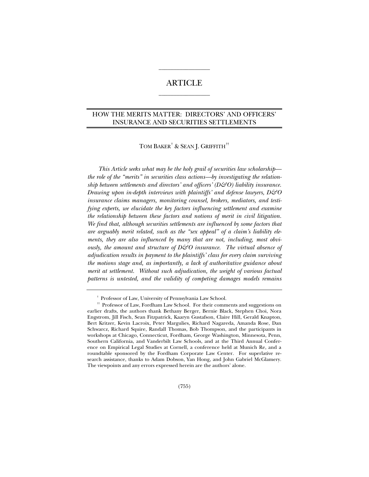## ARTICLE  $\overline{\phantom{a}}$  , where the contract of the contract of  $\overline{\phantom{a}}$

 $\overline{\phantom{a}}$  , where the contract of the contract of  $\overline{\phantom{a}}$ 

### HOW THE MERITS MATTER: DIRECTORS' AND OFFICERS' INSURANCE AND SECURITIES SETTLEMENTS

## TOM BAKER $^\dagger$  & Sean J. Griffith $^{\dagger\dagger}$

*This Article seeks what may be the holy grail of securities law scholarship the role of the "merits" in securities class actions—by investigating the relationship between settlements and directors' and officers' (D&O) liability insurance. Drawing upon in-depth interviews with plaintiffs' and defense lawyers, D&O insurance claims managers, monitoring counsel, brokers, mediators, and testifying experts, we elucidate the key factors influencing settlement and examine the relationship between these factors and notions of merit in civil litigation. We find that, although securities settlements are influenced by some factors that are arguably merit related, such as the "sex appeal" of a claim's liability elements, they are also influenced by many that are not, including, most obviously, the amount and structure of D&O insurance. The virtual absence of adjudication results in payment to the plaintiffs' class for every claim surviving the motions stage and, as importantly, a lack of authoritative guidance about merit at settlement.* Without such adjudication, the weight of various factual *patterns is untested, and the validity of competing damages models remains* 

<sup>&</sup>lt;sup>†</sup> Professor of Law, University of Pennsylvania Law School.

<sup>&</sup>lt;sup>#</sup> Professor of Law, Fordham Law School. For their comments and suggestions on earlier drafts, the authors thank Bethany Berger, Bernie Black, Stephen Choi, Nora Engstrom, Jill Fisch, Sean Fitzpatrick, Kaaryn Gustafson, Claire Hill, Gerald Knapton, Bert Kritzer, Kevin Lacroix, Peter Margulies, Richard Nagareda, Amanda Rose, Dan Schwarcz, Richard Squire, Randall Thomas, Bob Thompson, and the participants in workshops at Chicago, Connecticut, Fordham, George Washington, Minnesota, Penn, Southern California, and Vanderbilt Law Schools, and at the Third Annual Conference on Empirical Legal Studies at Cornell, a conference held at Munich Re, and a roundtable sponsored by the Fordham Corporate Law Center. For superlative research assistance, thanks to Adam Dobson, Yan Hong, and John Gabriel McGlamery. The viewpoints and any errors expressed herein are the authors' alone.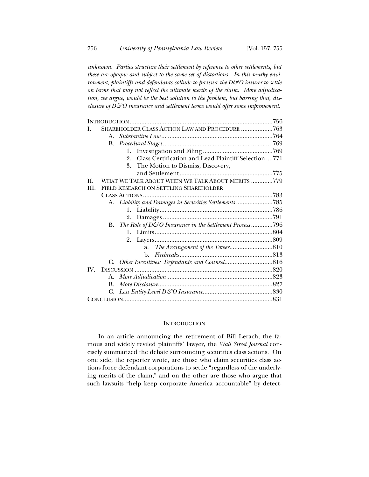*unknown. Parties structure their settlement by reference to other settlements, but these are opaque and subject to the same set of distortions. In this murky environment, plaintiffs and defendants collude to pressure the D&O insurer to settle on terms that may not reflect the ultimate merits of the claim. More adjudication, we argue, would be the best solution to the problem, but barring that, disclosure of D&O insurance and settlement terms would offer some improvement.* 

| L                         | SHAREHOLDER CLASS ACTION LAW AND PROCEDURE 763                  |  |
|---------------------------|-----------------------------------------------------------------|--|
|                           | A.                                                              |  |
|                           |                                                                 |  |
|                           | $1_{\cdots}$                                                    |  |
|                           | Class Certification and Lead Plaintiff Selection 771<br>$2_{1}$ |  |
|                           | 3.<br>The Motion to Dismiss, Discovery,                         |  |
|                           |                                                                 |  |
| H.                        | WHAT WE TALK ABOUT WHEN WE TALK ABOUT MERITS 779                |  |
| HL.                       | FIELD RESEARCH ON SETTLING SHAREHOLDER                          |  |
|                           |                                                                 |  |
|                           | A. Liability and Damages in Securities Settlements 785          |  |
|                           |                                                                 |  |
|                           |                                                                 |  |
|                           | B. The Role of D&O Insurance in the Settlement Process796       |  |
|                           |                                                                 |  |
|                           | 2.                                                              |  |
|                           |                                                                 |  |
|                           |                                                                 |  |
|                           |                                                                 |  |
| $\mathbf{I} \mathbf{V}$ . |                                                                 |  |
|                           | А.                                                              |  |
|                           | $\mathbf{B}$ .                                                  |  |
|                           |                                                                 |  |
|                           |                                                                 |  |
|                           |                                                                 |  |

#### **INTRODUCTION**

In an article announcing the retirement of Bill Lerach, the famous and widely reviled plaintiffs' lawyer, the *Wall Street Journal* concisely summarized the debate surrounding securities class actions. On one side, the reporter wrote, are those who claim securities class actions force defendant corporations to settle "regardless of the underlying merits of the claim," and on the other are those who argue that such lawsuits "help keep corporate America accountable" by detect-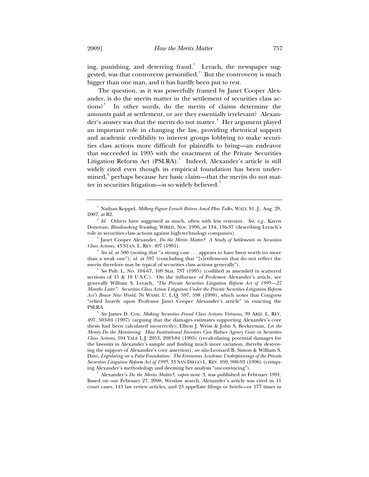ing, punishing, and deterring fraud.<sup>1</sup> Lerach, the newspaper suggested, was that controversy personified.<sup>2</sup> But the controversy is much bigger than one man, and it has hardly been put to rest.

The question, as it was powerfully framed by Janet Cooper Alexander, is do the merits matter in the settlement of securities class actions? $3^3$  In other words, do the merits of claims determine the amounts paid at settlement, or are they essentially irrelevant? Alexander's answer was that the merits do not matter.<sup>4</sup> Her argument played an important role in changing the law, providing rhetorical support and academic credibility to interest groups lobbying to make securities class actions more difficult for plaintiffs to bring—an endeavor that succeeded in 1995 with the enactment of the Private Securities Litigation Reform Act (PSLRA).<sup>5</sup> Indeed, Alexander's article is still widely cited even though its empirical foundation has been undermined, $^6$  perhaps because her basic claim—that the merits do not matter in securities litigation—is so widely believed.<sup>7</sup>

<sup>4</sup> See id. at 500 (noting that "a strong case . . . appears to have been worth no more than a weak one"); *id.* at 597 (concluding that "[s]ettlements that do not reflect the merits therefore may be typical of securities class actions generally").

*See* Pub. L. No. 104-67, 109 Stat. 737 (1995) (codified as amended in scattered sections of 15 & 18 U.S.C.). On the influence of Professor Alexander's article, see generally William S. Lerach, *"The Private Securities Litigation Reform Act of 1995—27 Months Later": Securities Class Action Litigation Under the Private Securities Litigation Reform Act's Brave New World*, 76 WASH. U. L.Q. 597, 598 (1998), which notes that Congress "relied heavily upon Professor Janet Cooper Alexander's article" in enacting the PSLRA.

6 *See* James D. Cox, *Making Securities Fraud Class Actions Virtuous*, 39 ARIZ. L. REV. 497, 503-04 (1997) (arguing that the damages estimates supporting Alexander's core thesis had been calculated incorrectly); Elliott J. Weiss & John S. Beckerman, *Let the Money Do the Monitoring: How Institutional Investors Can Reduce Agency Costs in Securities Class Actions*, 104 YALE L.J. 2053, 2083-84 (1995) (recalculating potential damages for the lawsuits in Alexander's sample and finding much more variation, thereby destroying the support of Alexander's core assertion); *see also* Leonard B. Simon & William S. Dato, *Legislating on a False Foundation: The Erroneous Academic Underpinnings of the Private Securities Litigation Reform Act of 1995*, 33 SAN DIEGO L. REV. 959, 990-93 (1996) (critiquing Alexander's methodology and deeming her analysis "unconvincing"). 7

Alexander's *Do the Merits Matter?*, *supra* note 3, was published in February 1991. Based on our February 27, 2008, Westlaw search, Alexander's article was cited in 11 court cases, 143 law review articles, and 23 appellate filings or briefs—or 177 times in

<sup>&</sup>lt;sup>1</sup> Nathan Koppel, *Milberg Figure Lerach Retires Amid Plea Talks*, WALL ST. J., Aug. 29, 2007, at B2. 2

*Id.* Others have suggested as much, often with less restraint. *See, e.g.*, Karen Donovan, *Bloodsucking Scumbag*, WIRED, Nov. 1996, at 134, 136-37 (describing Lerach's role in securities class actions against high-technology companies). 3

<sup>&</sup>lt;sup>3</sup> Janet Cooper Alexander, *Do the Merits Matter?* A Study of Settlements in Securities *Class Actions*, 43 STAN. L. REV. 497 (1991).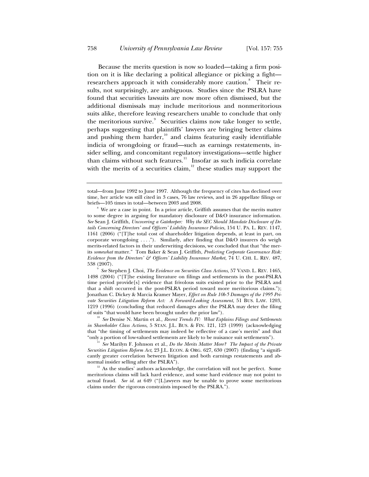Because the merits question is now so loaded—taking a firm position on it is like declaring a political allegiance or picking a fight researchers approach it with considerably more caution.<sup>8</sup> Their results, not surprisingly, are ambiguous. Studies since the PSLRA have found that securities lawsuits are now more often dismissed, but the additional dismissals may include meritorious and nonmeritorious suits alike, therefore leaving researchers unable to conclude that only the meritorious survive.<sup>9</sup> Securities claims now take longer to settle, perhaps suggesting that plaintiffs' lawyers are bringing better claims and pushing them harder, $10^{\circ}$  and claims featuring easily identifiable indicia of wrongdoing or fraud—such as earnings restatements, insider selling, and concomitant regulatory investigations—settle higher than claims without such features.<sup>11</sup> Insofar as such indicia correlate with the merits of a securities claim, $12$  these studies may support the

*See* Stephen J. Choi, *The Evidence on Securities Class Actions*, 57 VAND. L. REV. 1465, 1498 (2004) ("[T]he existing literature on filings and settlements in the post-PSLRA time period provide[s] evidence that frivolous suits existed prior to the PSLRA and that a shift occurred in the post-PSLRA period toward more meritorious claims."); Jonathan C. Dickey & Marcia Kramer Mayer, *Effect on Rule 10b-5 Damages of the 1995 Private Securities Litigation Reform Act: A Forward-Looking Assessment*, 51 BUS. LAW. 1203, 1219 (1996) (concluding that reduced damages after the PSLRA may deter the filing of suits "that would have been brought under the prior law"). 10 *See* Denise N. Martin et al., *Recent Trends IV: What Explains Filings and Settlements* 

*in Shareholder Class Actions*, 5 STAN. J.L. BUS.&FIN. 121, 123 (1999) (acknowledging that "the timing of settlements may indeed be reflective of a case's merits" and that "only a portion of low-valued settlements are likely to be nuisance suit settlements"). 11 *See* Marilyn F. Johnson et al., *Do the Merits Matter More? The Impact of the Private* 

*Securities Litigation Reform Act*, 23 J.L. ECON.&ORG. 627, 630 (2007) (finding "a significantly greater correlation between litigation and both earnings restatements and abnormal insider selling after the PSLRA").<br><sup>12</sup> As the studies' authors acknowledge, the correlation will not be perfect. Some

meritorious claims will lack hard evidence, and some hard evidence may not point to actual fraud. *See id.* at 649 ("[L]awyers may be unable to prove some meritorious claims under the rigorous constraints imposed by the PSLRA.").

total—from June 1992 to June 1997. Although the frequency of cites has declined over time, her article was still cited in 3 cases, 76 law reviews, and in 26 appellate filings or briefs—105 times in total—between 2003 and 2008.

We are a case in point. In a prior article, Griffith assumes that the merits matter to some degree in arguing for mandatory disclosure of D&O insurance information. *See* Sean J. Griffith, *Uncovering a Gatekeeper: Why the SEC Should Mandate Disclosure of Details Concerning Directors' and Officers' Liability Insurance Policies*, 154 U. PA. L. REV. 1147, 1161 (2006) ("[T]he total cost of shareholder litigation depends, at least in part, on corporate wrongdoing . . . ."). Similarly, after finding that D&O insurers do weigh merits-related factors in their underwriting decisions, we concluded that that "the merits *somewhat* matter." Tom Baker & Sean J. Griffith, *Predicting Corporate Governance Risk: Evidence from the Directors' & Officers' Liability Insurance Market*, 74 U. CHI. L. REV. 487, 538 (2007). 9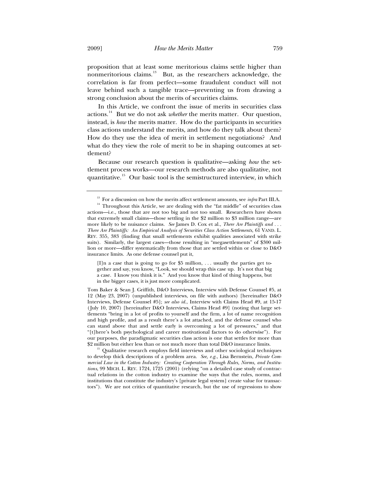proposition that at least some meritorious claims settle higher than nonmeritorious claims.<sup>13</sup> But, as the researchers acknowledge, the correlation is far from perfect—some fraudulent conduct will not leave behind such a tangible trace—preventing us from drawing a strong conclusion about the merits of securities claims.

In this Article, we confront the issue of merits in securities class actions.14 But we do not ask *whether* the merits matter. Our question, instead, is *how* the merits matter. How do the participants in securities class actions understand the merits, and how do they talk about them? How do they use the idea of merit in settlement negotiations? And what do they view the role of merit to be in shaping outcomes at settlement?

Because our research question is qualitative—asking *how* the settlement process works—our research methods are also qualitative, not quantitative.<sup>15</sup> Our basic tool is the semistructured interview, in which

[I]n a case that is going to go for \$5 million, . . . usually the parties get together and say, you know, "Look, we should wrap this case up. It's not that big a case. I know you think it is." And you know that kind of thing happens, but in the bigger cases, it is just more complicated.

Tom Baker & Sean J. Griffith, D&O Interviews, Interview with Defense Counsel #5, at 12 (May 23, 2007) (unpublished interviews, on file with authors) [hereinafter D&O Interviews, Defense Counsel #5]; *see also id.*, Interview with Claims Head #9, at 15-17 (July 10, 2007) [hereinafter D&O Interviews, Claims Head #9] (noting that large settlements "bring in a lot of profits to yourself and the firm, a lot of name recognition and high profile, and as a result there's a lot attached, and the defense counsel who can stand above that and settle early is overcoming a lot of pressures," and that "[t]here's both psychological and career motivational factors to do otherwise"). For our purposes, the paradigmatic securities class action is one that settles for more than \$2 million but either less than or not much more than total D&O insurance limits.

<sup>15</sup> Qualitative research employs field interviews and other sociological techniques to develop thick descriptions of a problem area. *See, e.g.*, Lisa Bernstein, *Private Commercial Law in the Cotton Industry: Creating Cooperation Through Rules, Norms, and Institutions*, 99 MICH. L. REV. 1724, 1725 (2001) (relying "on a detailed case study of contractual relations in the cotton industry to examine the ways that the rules, norms, and institutions that constitute the industry's [private legal system] create value for transactors"). We are not critics of quantitative research, but the use of regressions to show

<sup>&</sup>lt;sup>13</sup> For a discussion on how the merits affect settlement amounts, see *infra* Part III.A.  $14$  Throughout this Article, we are dealing with the "fat middle" of securities class

actions—i.e., those that are not too big and not too small. Researchers have shown that extremely small claims—those settling in the \$2 million to \$3 million range—are more likely to be nuisance claims. *See* James D. Cox et al., *There Are Plaintiffs and* ... *There Are Plaintiffs: An Empirical Analysis of Securities Class Action Settlements*, 61 VAND. L. REV. 355, 383 (finding that small settlements exhibit qualities associated with strike suits). Similarly, the largest cases—those resulting in "megasettlements" of \$300 million or more—differ systematically from those that are settled within or close to D&O insurance limits. As one defense counsel put it,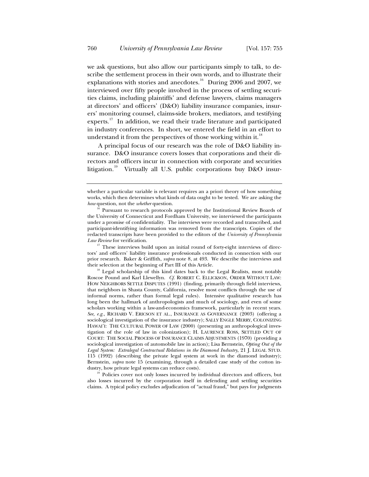we ask questions, but also allow our participants simply to talk, to describe the settlement process in their own words, and to illustrate their explanations with stories and anecdotes.<sup>16</sup> During 2006 and 2007, we interviewed over fifty people involved in the process of settling securities claims, including plaintiffs' and defense lawyers, claims managers at directors' and officers' (D&O) liability insurance companies, insurers' monitoring counsel, claims-side brokers, mediators, and testifying experts.<sup>17</sup> In addition, we read their trade literature and participated in industry conferences. In short, we entered the field in an effort to understand it from the perspectives of those working within it.<sup>18</sup>

A principal focus of our research was the role of D&O liability insurance. D&O insurance covers losses that corporations and their directors and officers incur in connection with corporate and securities litigation.19 Virtually all U.S. public corporations buy D&O insur-

Roscoe Pound and Karl Llewellyn. *Cf.* ROBERT C. ELLICKSON, ORDER WITHOUT LAW: HOW NEIGHBORS SETTLE DISPUTES (1991) (finding, primarily through field interviews, that neighbors in Shasta County, California, resolve most conflicts through the use of informal norms, rather than formal legal rules). Intensive qualitative research has long been the hallmark of anthropologists and much of sociology, and even of some scholars working within a law-and-economics framework, particularly in recent years. *See, e.g.*, RICHARD V. ERICSON ET AL., INSURANCE AS GOVERNANCE (2003) (offering a sociological investigation of the insurance industry); SALLY ENGLE MERRY, COLONIZING HAWAI'I: THE CULTURAL POWER OF LAW (2000) (presenting an anthropological investigation of the role of law in colonization); H. LAURENCE ROSS, SETTLED OUT OF COURT: THE SOCIAL PROCESS OF INSURANCE CLAIMS ADJUSTMENTS (1970) (providing a sociological investigation of automobile law in action); Lisa Bernstein, *Opting Out of the Legal System: Extralegal Contractual Relations in the Diamond Industry*, 21 J. LEGAL STUD. 115 (1992) (describing the private legal system at work in the diamond industry); Bernstein, *supra* note 15 (examining, through a detailed case study of the cotton in-

dustry, how private legal systems can reduce costs).<br><sup>19</sup> Policies cover not only losses incurred by individual directors and officers, but also losses incurred by the corporation itself in defending and settling securities claims. A typical policy excludes adjudication of "actual fraud," but pays for judgments

whether a particular variable is relevant requires an a priori theory of how something works, which then determines what kinds of data ought to be tested. We are asking the *how* question, not the *whether* question.<br><sup>16</sup> Pursuant to research protocols approved by the Institutional Review Boards of

the University of Connecticut and Fordham University, we interviewed the participants under a promise of confidentiality. The interviews were recorded and transcribed, and participant-identifying information was removed from the transcripts. Copies of the redacted transcripts have been provided to the editors of the *University of Pennsylvania* 

*Law Review* for verification.<br><sup>17</sup> These interviews build upon an initial round of forty-eight interviews of directors' and officers' liability insurance professionals conducted in connection with our prior research. Baker & Griffith, *supra* note 8, at 493. We describe the interviews and their selection at the beginning of Part III of this Article.<br><sup>18</sup> Legal scholarship of this kind dates back to the Legal Realists, most notably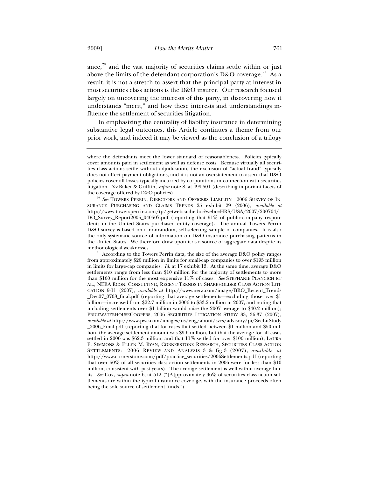ance, $20$  and the vast majority of securities claims settle within or just above the limits of the defendant corporation's D&O coverage.<sup>21</sup> As a result, it is not a stretch to assert that the principal party at interest in most securities class actions is the D&O insurer. Our research focused largely on uncovering the interests of this party, in discovering how it understands "merit," and how these interests and understandings influence the settlement of securities litigation.

In emphasizing the centrality of liability insurance in determining substantive legal outcomes, this Article continues a theme from our prior work, and indeed it may be viewed as the conclusion of a trilogy

SURANCE PURCHASING AND CLAIMS TRENDS 25 exhibit 29 (2006), *available at* http://www.towersperrin.com/tp/getwebcachedoc?webc=HRS/USA/2007/200704/ DO\_Survey\_Report2006\_040507.pdf (reporting that 91% of public-company respondents in the United States purchased entity coverage). The annual Towers Perrin D&O survey is based on a nonrandom, self-selecting sample of companies. It is also the only systematic source of information on D&O insurance purchasing patterns in the United States. We therefore draw upon it as a source of aggregate data despite its methodological weaknesses.<br><sup>21</sup> According to the Towers Perrin data, the size of the average D&O policy ranges

from approximately \$20 million in limits for small-cap companies to over \$195 million in limits for large-cap companies. *Id.* at 17 exhibit 13. At the same time, average D&O settlements range from less than \$10 million for the majority of settlements to more than \$100 million for the most expensive 11% of cases. *See* STEPHANIE PLANCICH ET AL., NERA ECON. CONSULTING, RECENT TRENDS IN SHAREHOLDER CLASS ACTION LITI-GATION 9-11 (2007), *available at* http://www.nera.com/image/BRO\_Recent\_Trends \_Dec07\_0708\_final.pdf (reporting that average settlements—excluding those over \$1 billion—increased from \$22.7 million in 2006 to \$33.2 million in 2007, and noting that including settlements over \$1 billion would raise the 2007 average to \$40.2 million); PRICEWATERHOUSECOOPERS, 2006 SECURITIES LITIGATION STUDY 33, 36-37 (2007), *available at* http://www.pwc.com/images/us/eng/about/svcs/advisory/pi/SecLitStudy \_2006\_Final.pdf (reporting that for cases that settled between \$1 million and \$50 million, the average settlement amount was \$9.6 million, but that the average for all cases settled in 2006 was \$62.3 million, and that 11% settled for over \$100 million); LAURA E. SIMMONS & ELLEN M. RYAN, CORNERSTONE RESEARCH, SECURITIES CLASS ACTION SETTLEMENTS: 2006 REVIEW AND ANALYSIS 3 & fig.3 (2007), *available at* http://www.cornerstone.com/pdf/practice\_securities/2006Settlements.pdf (reporting that over 60% of all securities class action settlements in 2006 were for less than \$10 million, consistent with past years). The average settlement is well within average limits. *See* Cox, *supra* note 6, at 512 ("[A]pproximately 96% of securities class action settlements are within the typical insurance coverage, with the insurance proceeds often being the sole source of settlement funds.").

where the defendants meet the lower standard of reasonableness. Policies typically cover amounts paid in settlement as well as defense costs. Because virtually all securities class actions settle without adjudication, the exclusion of "actual fraud" typically does not affect payment obligations, and it is not an overstatement to assert that D&O policies cover all losses typically incurred by corporations in connection with securities litigation. *See* Baker & Griffith, *supra* note 8, at 499-501 (describing important facets of the coverage offered by D&O policies). <sup>20</sup> *See* TOWERS PERRIN, DIRECTORS AND OFFICERS LIABILITY: 2006 SURVEY OF IN-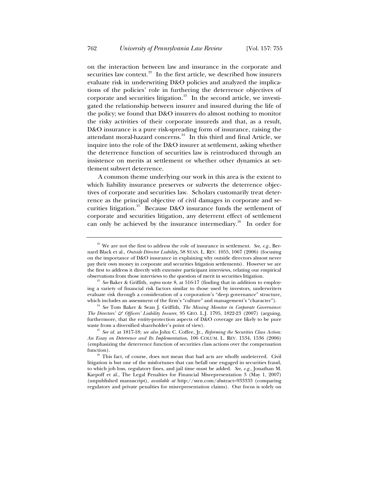on the interaction between law and insurance in the corporate and securities law context. $22$  In the first article, we described how insurers evaluate risk in underwriting D&O policies and analyzed the implications of the policies' role in furthering the deterrence objectives of corporate and securities litigation.<sup>23</sup> In the second article, we investigated the relationship between insurer and insured during the life of the policy; we found that D&O insurers do almost nothing to monitor the risky activities of their corporate insureds and that, as a result, D&O insurance is a pure risk-spreading form of insurance, raising the attendant moral-hazard concerns.<sup>24</sup> In this third and final Article, we inquire into the role of the D&O insurer at settlement, asking whether the deterrence function of securities law is reintroduced through an insistence on merits at settlement or whether other dynamics at settlement subvert deterrence.

A common theme underlying our work in this area is the extent to which liability insurance preserves or subverts the deterrence objectives of corporate and securities law. Scholars customarily treat deterrence as the principal objective of civil damages in corporate and securities litigation.<sup>25</sup> Because D&O insurance funds the settlement of corporate and securities litigation, any deterrent effect of settlement can only be achieved by the insurance intermediary.<sup>26</sup> In order for

 $22$ <sup>22</sup> We are not the first to address the role of insurance in settlement. *See, e.g.*, Bernard Black et al., *Outside Director Liability*, 58 STAN. L. REV. 1055, 1067 (2006) (focusing on the importance of D&O insurance in explaining why outside directors almost never pay their own money in corporate and securities litigation settlements). However we are the first to address it directly with extensive participant interviews, relating our empirical

observations from those interviews to the question of merit in securities litigation. 23 *See* Baker & Griffith, *supra* note 8, at 516-17 (finding that in addition to employing a variety of financial risk factors similar to those used by investors, underwriters evaluate risk through a consideration of a corporation's "deep governance" structure,

<sup>&</sup>lt;sup>24</sup> See Tom Baker & Sean J. Griffith, The Missing Monitor in Corporate Governance: *The Directors' & Officers' Liability Insurer*, 95 GEO. L.J. 1795, 1822-23 (2007) (arguing, furthermore, that the entity-protection aspects of D&O coverage are likely to be pure waste from a diversified shareholder's point of view). 25 *See id.* at 1817-18; *see also* John C. Coffee, Jr., *Reforming the Securities Class Action:* 

*An Essay on Deterrence and Its Implementation*, 106 COLUM. L. REV. 1534, 1536 (2006) (emphasizing the deterrence function of securities class actions over the compensation

function). 26 This fact, of course, does not mean that bad acts are wholly undeterred. Civil litigation is but one of the misfortunes that can befall one engaged in securities fraud, to which job loss, regulatory fines, and jail time must be added. *See, e.g.*, Jonathan M. Karpoff et al., The Legal Penalties for Financial Misrepresentation 3 (May 1, 2007) (unpublished manuscript), *available at* http://ssrn.com/abstract=933333 (comparing regulatory and private penalties for misrepresentation claims). Our focus is solely on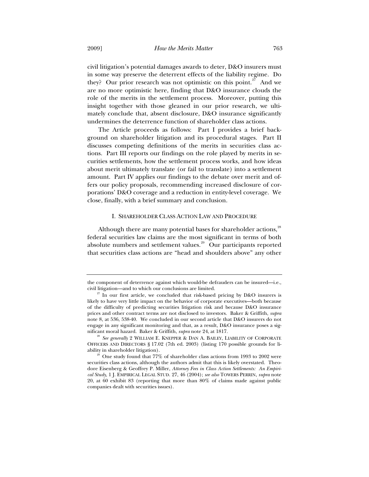civil litigation's potential damages awards to deter, D&O insurers must in some way preserve the deterrent effects of the liability regime. Do they? Our prior research was not optimistic on this point.<sup>27</sup> And we are no more optimistic here, finding that D&O insurance clouds the role of the merits in the settlement process. Moreover, putting this insight together with those gleaned in our prior research, we ultimately conclude that, absent disclosure, D&O insurance significantly undermines the deterrence function of shareholder class actions.

The Article proceeds as follows: Part I provides a brief background on shareholder litigation and its procedural stages. Part II discusses competing definitions of the merits in securities class actions. Part III reports our findings on the role played by merits in securities settlements, how the settlement process works, and how ideas about merit ultimately translate (or fail to translate) into a settlement amount. Part IV applies our findings to the debate over merit and offers our policy proposals, recommending increased disclosure of corporations' D&O coverage and a reduction in entity-level coverage. We close, finally, with a brief summary and conclusion.

#### I. SHAREHOLDER CLASS ACTION LAW AND PROCEDURE

Although there are many potential bases for shareholder actions,<sup>28</sup> federal securities law claims are the most significant in terms of both absolute numbers and settlement values.<sup>29</sup> Our participants reported that securities class actions are "head and shoulders above" any other

the component of deterrence against which would-be defrauders can be insured—i.e.,

civil litigation—and to which our conclusions are limited. 27 In our first article, we concluded that risk-based pricing by D&O insurers is likely to have very little impact on the behavior of corporate executives—both because of the difficulty of predicting securities litigation risk and because D&O insurance prices and other contract terms are not disclosed to investors. Baker & Griffith, *supra* note 8, at 536, 538-40. We concluded in our second article that D&O insurers do not engage in any significant monitoring and that, as a result, D&O insurance poses a significant moral hazard. Baker & Griffith, *supra* note 24, at 1817.

<sup>&</sup>lt;sup>28</sup> See generally 2 WILLIAM E. KNEPPER & DAN A. BAILEY, LIABILITY OF CORPORATE OFFICERS AND DIRECTORS § 17.02 (7th ed. 2003) (listing 170 possible grounds for li-

 $\overline{B}$  One study found that  $77\%$  of shareholder class actions from 1993 to 2002 were securities class actions, although the authors admit that this is likely overstated. Theodore Eisenberg & Geoffrey P. Miller, *Attorney Fees in Class Action Settlements: An Empirical Study*, 1 J. EMPIRICAL LEGAL STUD. 27, 46 (2004); *see also* TOWERS PERRIN, *supra* note 20, at 60 exhibit 83 (reporting that more than 80% of claims made against public companies dealt with securities issues).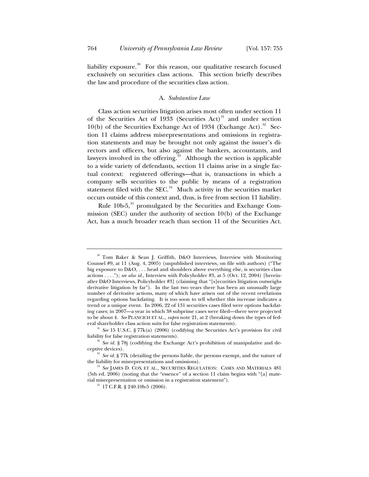liability exposure.<sup>30</sup> For this reason, our qualitative research focused exclusively on securities class actions. This section briefly describes the law and procedure of the securities class action.

#### A. *Substantive Law*

Class action securities litigation arises most often under section 11 of the Securities Act of 1933 (Securities Act)<sup>31</sup> and under section 10(b) of the Securities Exchange Act of 1934 (Exchange Act).<sup>32</sup> Section 11 claims address misrepresentations and omissions in registration statements and may be brought not only against the issuer's directors and officers, but also against the bankers, accountants, and lawyers involved in the offering.<sup>33</sup> Although the section is applicable to a wide variety of defendants, section 11 claims arise in a single factual context: registered offerings—that is, transactions in which a company sells securities to the public by means of a registration statement filed with the SEC. $34$  Much activity in the securities market occurs outside of this context and, thus, is free from section 11 liability.

Rule 10b-5,<sup>35</sup> promulgated by the Securities and Exchange Commission (SEC) under the authority of section 10(b) of the Exchange Act, has a much broader reach than section 11 of the Securities Act.

<sup>&</sup>lt;sup>30</sup> Tom Baker & Sean J. Griffith, D&O Interviews, Interview with Monitoring Counsel #9, at 11 (Aug. 4, 2005) (unpublished interviews, on file with authors) ("The big exposure to D&O, . . . head and shoulders above everything else, is securities class actions . . . ."); *see also id.*, Interview with Policyholder #3, at 5 (Oct. 12, 2004) [hereinafter D&O Interviews, Policyholder #3] (claiming that "[s]ecurities litigation outweighs derivative litigation by far"). In the last two years there has been an unusually large number of derivative actions, many of which have arisen out of the recent revelations regarding options backdating. It is too soon to tell whether this increase indicates a trend or a unique event. In 2006, 22 of 131 securities cases filed were options backdating cases; in 2007—a year in which 38 subprime cases were filed—there were projected to be about 4. *See* PLANCICH ET AL., *supra* note 21, at 2 (breaking down the types of fed-

eral shareholder class action suits for false registration statements).<br><sup>31</sup> *See* 15 U.S.C. § 77k(a) (2006) (codifying the Securities Act's provision for civil liability for false registration statements).

 $^{32}$  *See id.* § 78j (codifying the Exchange Act's prohibition of manipulative and deceptive devices).

<sup>&</sup>lt;sup>33</sup> See id. § 77k (detailing the persons liable, the persons exempt, and the nature of the liability for misrepresentations and omissions).<br><sup>34</sup> *See* JAMES D. COX ET AL., SECURITIES REGULATION: CASES AND MATERIALS 481

<sup>(5</sup>th ed. 2006) (noting that the "essence" of a section 11 claim begins with "[a] material misrepresentation or omission in a registration statement").<br><sup>35</sup> 17 C.F.R. § 240.10b-5 (2006).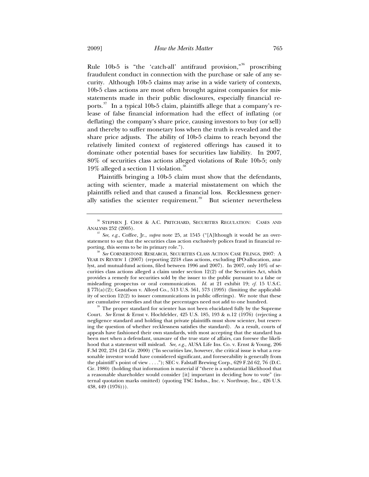Rule 10b-5 is "the 'catch-all' antifraud provision," $36$  proscribing fraudulent conduct in connection with the purchase or sale of any security. Although 10b-5 claims may arise in a wide variety of contexts, 10b-5 class actions are most often brought against companies for misstatements made in their public disclosures, especially financial reports.37 In a typical 10b-5 claim, plaintiffs allege that a company's release of false financial information had the effect of inflating (or deflating) the company's share price, causing investors to buy (or sell) and thereby to suffer monetary loss when the truth is revealed and the share price adjusts. The ability of 10b-5 claims to reach beyond the relatively limited context of registered offerings has caused it to dominate other potential bases for securities law liability. In 2007, 80% of securities class actions alleged violations of Rule 10b-5; only 19% alleged a section 11 violation.

Plaintiffs bringing a 10b-5 claim must show that the defendants, acting with scienter, made a material misstatement on which the plaintiffs relied and that caused a financial loss. Recklessness generally satisfies the scienter requirement.<sup>39</sup> But scienter nevertheless

 $^{36}$  STEPHEN J. CHOI & A.C. PRITCHARD, SECURITIES REGULATION: CASES AND ANALYSIS 252 (2005).

<sup>&</sup>lt;sup>37</sup> *See, e.g.*, Coffee, Jr., *supra* note 25, at 1545 ("[A]lthough it would be an overstatement to say that the securities class action exclusively polices fraud in financial reporting, this seems to be its primary role."). 38 *See* CORNERSTONE RESEARCH, SECURITIES CLASS ACTION CASE FILINGS, 2007: A

YEAR IN REVIEW 1 (2007) (reporting 2218 class actions, excluding IPO-allocation, analyst, and mutual-fund actions, filed between 1996 and 2007). In 2007, only 10% of securities class actions alleged a claim under section 12(2) of the Securities Act, which provides a remedy for securities sold by the issuer to the public pursuant to a false or misleading prospectus or oral communication. *Id.* at 21 exhibit 19; *cf.* 15 U.S.C. § 77l(a)(2); Gustafson v. Alloyd Co., 513 U.S. 561, 573 (1995) (limiting the applicability of section  $12(2)$  to issuer communications in public offerings). We note that these are cumulative remedies and that the percentages need not add to one hundred.<br><sup>39</sup> The proper standard for scienter has not been elucidated fully by the Supreme

Court. *See* Ernst & Ernst v. Hochfelder, 425 U.S. 185, 193 & n.12 (1976) (rejecting a negligence standard and holding that private plaintiffs must show scienter, but reserving the question of whether recklessness satisfies the standard). As a result, courts of appeals have fashioned their own standards, with most accepting that the standard has been met when a defendant, unaware of the true state of affairs, can foresee the likelihood that a statement will mislead. *See, e.g.*, AUSA Life Ins. Co. v. Ernst & Young, 206 F.3d 202, 234 (2d Cir. 2000) ("In securities law, however, the critical issue is what a reasonable investor would have considered significant, and foreseeability is generally from the plaintiff's point of view  $\dots$ "); SEC v. Falstaff Brewing Corp., 629 F.2d 62, 76 (D.C. Cir. 1980) (holding that information is material if "there is a substantial likelihood that a reasonable shareholder would consider [it] important in deciding how to vote" (internal quotation marks omitted) (quoting TSC Indus., Inc. v. Northway, Inc., 426 U.S. 438, 449 (1976))).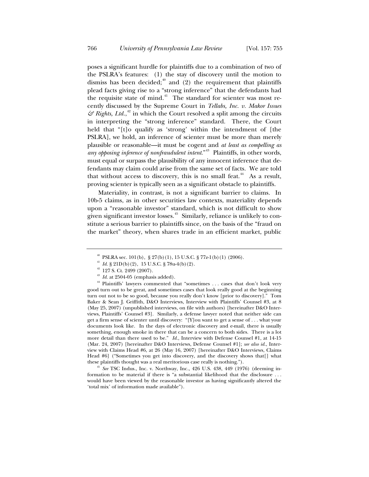poses a significant hurdle for plaintiffs due to a combination of two of the PSLRA's features: (1) the stay of discovery until the motion to dismiss has been decided;<sup>40</sup> and  $(2)$  the requirement that plaintiffs plead facts giving rise to a "strong inference" that the defendants had the requisite state of mind.<sup>41</sup> The standard for scienter was most recently discussed by the Supreme Court in *Tellabs, Inc. v. Makor Issues*   $\mathcal{E}$  *Rights, Ltd.*,<sup>42</sup> in which the Court resolved a split among the circuits in interpreting the "strong inference" standard. There, the Court held that "[t]o qualify as 'strong' within the intendment of [the PSLRA], we hold, an inference of scienter must be more than merely plausible or reasonable—it must be cogent and *at least as compelling as any opposing inference of nonfraudulent intent.*"<sup>43</sup> Plaintiffs, in other words, must equal or surpass the plausibility of any innocent inference that defendants may claim could arise from the same set of facts. We are told that without access to discovery, this is no small feat.<sup> $44$ </sup> As a result, proving scienter is typically seen as a significant obstacle to plaintiffs.

Materiality, in contrast, is not a significant barrier to claims. In 10b-5 claims, as in other securities law contexts, materiality depends upon a "reasonable investor" standard, which is not difficult to show given significant investor losses.<sup>45</sup> Similarly, reliance is unlikely to constitute a serious barrier to plaintiffs since, on the basis of the "fraud on the market" theory, when shares trade in an efficient market, public

<sup>40</sup> PSLRA sec. 101(b), § 27(b)(1), 15 U.S.C. § 77z-1(b)(1) (2006).<br><sup>41</sup> *Id.* § 21D(b)(2), 15 U.S.C. § 78u-4(b)(2).<br><sup>42</sup> 127 S. Ct. 2499 (2007).<br><sup>43</sup> *Id.* at 2504-05 (emphasis added).<br><sup>44</sup> Plaintiffs' lawyers commented good turn out to be great, and sometimes cases that look really good at the beginning turn out not to be so good, because you really don't know [prior to discovery]." Tom Baker & Sean J. Griffith, D&O Interviews, Interview with Plaintiffs' Counsel #3, at 8 (May 25, 2007) (unpublished interviews, on file with authors) [hereinafter D&O Interviews, Plaintiffs' Counsel #3]. Similarly, a defense lawyer noted that neither side can get a firm sense of scienter until discovery: "[Y]ou want to get a sense of . . . what your documents look like. In the days of electronic discovery and e-mail, there is usually something, enough smoke in there that can be a concern to both sides. There is a lot more detail than there used to be." *Id.*, Interview with Defense Counsel #1, at 14-15 (Mar. 24, 2007) [hereinafter D&O Interviews, Defense Counsel #1]; *see also id.*, Interview with Claims Head #6, at 26 (May 16, 2007) [hereinafter D&O Interviews, Claims Head #6] ("Sometimes you get into discovery, and the discovery shows that[] what these plaintiffs thought was a real meritorious case really is nothing."). 45 *See* TSC Indus., Inc. v. Northway, Inc., 426 U.S. 438, 449 (1976) (deeming in-

formation to be material if there is "a substantial likelihood that the disclosure . . . would have been viewed by the reasonable investor as having significantly altered the 'total mix' of information made available").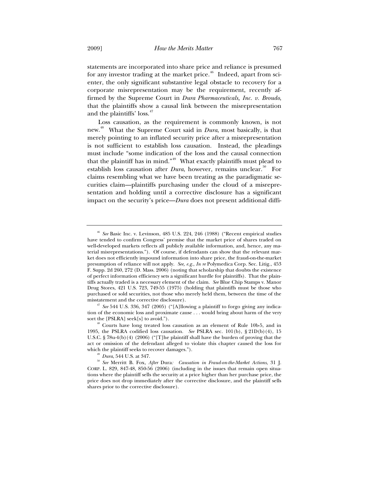statements are incorporated into share price and reliance is presumed for any investor trading at the market price.<sup> $46$ </sup> Indeed, apart from scienter, the only significant substantive legal obstacle to recovery for a corporate misrepresentation may be the requirement, recently affirmed by the Supreme Court in *Dura Pharmaceuticals, Inc. v. Broudo*, that the plaintiffs show a causal link between the misrepresentation and the plaintiffs' loss.<sup>47</sup>

Loss causation, as the requirement is commonly known, is not new.48 What the Supreme Court said in *Dura*, most basically, is that merely pointing to an inflated security price after a misrepresentation is not sufficient to establish loss causation. Instead, the pleadings must include "some indication of the loss and the causal connection that the plaintiff has in mind."<sup>49</sup> What exactly plaintiffs must plead to establish loss causation after *Dura*, however, remains unclear.<sup>50</sup> For claims resembling what we have been treating as the paradigmatic securities claim—plaintiffs purchasing under the cloud of a misrepresentation and holding until a corrective disclosure has a significant impact on the security's price—*Dura* does not present additional diffi-

misstatement and the corrective disclosure). 47 *See* 544 U.S. 336, 347 (2005) ("[A]llowing a plaintiff to forgo giving any indication of the economic loss and proximate cause  $\dots$  would bring about harm of the very sort the [PSLRA] seek[s] to avoid.").

<sup>46</sup> *See* Basic Inc. v. Levinson, 485 U.S. 224, 246 (1988) ("Recent empirical studies have tended to confirm Congress' premise that the market price of shares traded on well-developed markets reflects all publicly available information, and, hence, any material misrepresentations."). Of course, if defendants can show that the relevant market does not efficiently impound information into share price, the fraud-on-the-market presumption of reliance will not apply. *See, e.g.*, *In re* Polymedica Corp. Sec. Litig., 453 F. Supp. 2d 260, 272 (D. Mass. 2006) (noting that scholarship that doubts the existence of perfect information efficiency sets a significant hurdle for plaintiffs). That the plaintiffs actually traded is a necessary element of the claim. *See* Blue Chip Stamps v. Manor Drug Stores, 421 U.S. 723, 749-55 (1975) (holding that plaintiffs must be those who purchased or sold securities, not those who merely held them, between the time of the

 $48$  Courts have long treated loss causation as an element of Rule 10b-5, and in 1995, the PSLRA codified loss causation. *See* PSLRA sec. 101(b), § 21D(b)(4), 15 U.S.C. § 78u-4(b)(4) (2006) ("[T]he plaintiff shall have the burden of proving that the act or omission of the defendant alleged to violate this chapter caused the loss for

which the plaintiff seeks to recover damages."). 49 *Dura*, 544 U.S. at 347. 50 *See* Merritt B. Fox, *After* Dura*: Causation in Fraud-on-the-Market Actions*, 31 J. CORP. L. 829, 847-48, 850-56 (2006) (including in the issues that remain open situations where the plaintiff sells the security at a price higher than her purchase price, the price does not drop immediately after the corrective disclosure, and the plaintiff sells shares prior to the corrective disclosure).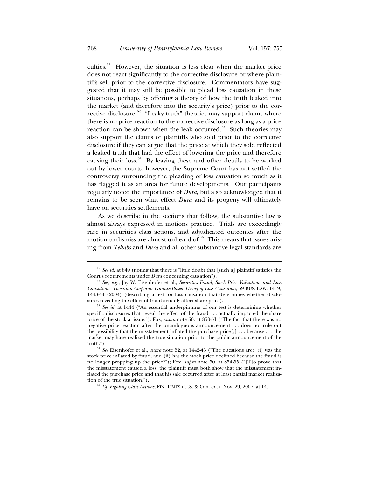culties.<sup>51</sup> However, the situation is less clear when the market price does not react significantly to the corrective disclosure or where plaintiffs sell prior to the corrective disclosure. Commentators have suggested that it may still be possible to plead loss causation in these situations, perhaps by offering a theory of how the truth leaked into the market (and therefore into the security's price) prior to the corrective disclosure.<sup>52</sup> "Leaky truth" theories may support claims where there is no price reaction to the corrective disclosure as long as a price reaction can be shown when the leak occurred.<sup>53</sup> Such theories may also support the claims of plaintiffs who sold prior to the corrective disclosure if they can argue that the price at which they sold reflected a leaked truth that had the effect of lowering the price and therefore causing their loss. $54$  By leaving these and other details to be worked out by lower courts, however, the Supreme Court has not settled the controversy surrounding the pleading of loss causation so much as it has flagged it as an area for future developments. Our participants regularly noted the importance of *Dura*, but also acknowledged that it remains to be seen what effect *Dura* and its progeny will ultimately have on securities settlements.

As we describe in the sections that follow, the substantive law is almost always expressed in motions practice. Trials are exceedingly rare in securities class actions, and adjudicated outcomes after the motion to dismiss are almost unheard of.<sup>55</sup> This means that issues arising from *Tellabs* and *Dura* and all other substantive legal standards are

<sup>&</sup>lt;sup>51</sup> See id. at 849 (noting that there is "little doubt that [such a] plaintiff satisfies the

Court's requirements under *Dura* concerning causation"). 52 *See, e.g.*, Jay W. Eisenhofer et al., *Securities Fraud, Stock Price Valuation, and Loss Causation: Toward a Corporate Finance-Based Theory of Loss Causation*, 59 BUS. LAW. 1419, 1443-44 (2004) (describing a test for loss causation that determines whether disclo-

<sup>&</sup>lt;sup>53</sup> See id. at 1444 ("An essential underpinning of our test is determining whether specific disclosures that reveal the effect of the fraud . . . actually impacted the share price of the stock at issue."); Fox, *supra* note 50, at 850-51 ("The fact that there was no negative price reaction after the unambiguous announcement . . . does not rule out the possibility that the misstatement inflated the purchase price[,] . . . because . . . the market may have realized the true situation prior to the public announcement of the truth.").

<sup>54</sup> *See* Eisenhofer et al., *supra* note 52, at 1442-43 ("The questions are: (i) was the stock price inflated by fraud; and (ii) has the stock price declined because the fraud is no longer propping up the price?"); Fox, *supra* note 50, at 854-55 ("[T]o prove that the misstatement caused a loss, the plaintiff must both show that the misstatement inflated the purchase price and that his sale occurred after at least partial market realization of the true situation.").

<sup>&</sup>lt;sup>55</sup> *Cf. Fighting Class Actions*, FIN. TIMES (U.S. & Can. ed.), Nov. 29, 2007, at 14.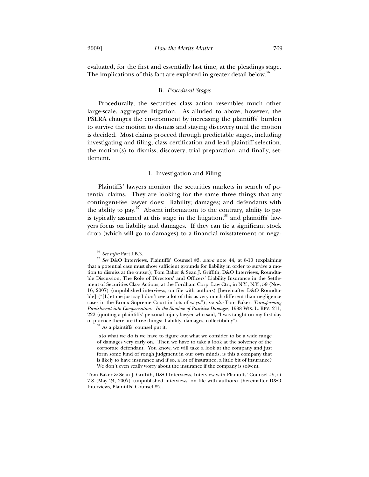evaluated, for the first and essentially last time, at the pleadings stage. The implications of this fact are explored in greater detail below.<sup>56</sup>

#### B. *Procedural Stages*

Procedurally, the securities class action resembles much other large-scale, aggregate litigation. As alluded to above, however, the PSLRA changes the environment by increasing the plaintiffs' burden to survive the motion to dismiss and staying discovery until the motion is decided. Most claims proceed through predictable stages, including investigating and filing, class certification and lead plaintiff selection, the motion(s) to dismiss, discovery, trial preparation, and finally, settlement.

#### 1. Investigation and Filing

Plaintiffs' lawyers monitor the securities markets in search of potential claims. They are looking for the same three things that any contingent-fee lawyer does: liability; damages; and defendants with the ability to pay.<sup>57</sup> Absent information to the contrary, ability to pay is typically assumed at this stage in the litigation, $58$  and plaintiffs' lawyers focus on liability and damages. If they can tie a significant stock drop (which will go to damages) to a financial misstatement or nega-

<sup>56</sup> *See infra* Part I.B.3. 57 *See* D&O Interviews, Plaintiffs' Counsel #3, *supra* note 44, at 8-10 (explaining that a potential case must show sufficient grounds for liability in order to survive a motion to dismiss at the outset); Tom Baker & Sean J. Griffith, D&O Interviews, Roundtable Discussion, The Role of Directors' and Officers' Liability Insurance in the Settlement of Securities Class Actions, at the Fordham Corp. Law Ctr., in N.Y., N.Y., 59 (Nov. 16, 2007) (unpublished interviews, on file with authors) [hereinafter D&O Roundtable] ("[L]et me just say I don't see a lot of this as very much different than negligence cases in the Bronx Supreme Court in lots of ways."); *see also* Tom Baker, *Transforming Punishment into Compensation: In the Shadow of Punitive Damages*, 1998 WIS. L. REV. 211, 222 (quoting a plaintiffs' personal injury lawyer who said, "I was taught on my first day of practice there are three things: liability, damages, collectibility").  $58$  As a plaintiffs' counsel put it,

<sup>[</sup>s]o what we do is we have to figure out what we consider to be a wide range of damages very early on. Then we have to take a look at the solvency of the corporate defendant. You know, we will take a look at the company and just form some kind of rough judgment in our own minds, is this a company that is likely to have insurance and if so, a lot of insurance, a little bit of insurance? We don't even really worry about the insurance if the company is solvent.

Tom Baker & Sean J. Griffith, D&O Interviews, Interview with Plaintiffs' Counsel #5, at 7-8 (May 24, 2007) (unpublished interviews, on file with authors) [hereinafter D&O Interviews, Plaintiffs' Counsel #5].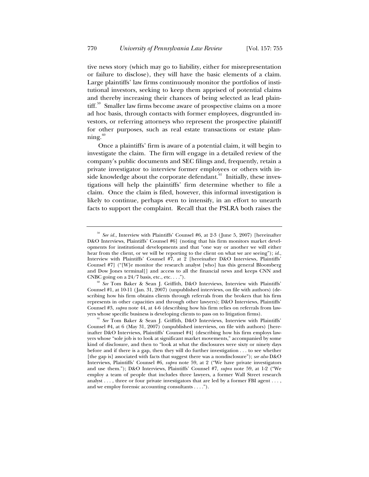tive news story (which may go to liability, either for misrepresentation or failure to disclose), they will have the basic elements of a claim. Large plaintiffs' law firms continuously monitor the portfolios of institutional investors, seeking to keep them apprised of potential claims and thereby increasing their chances of being selected as lead plaintiff.<sup>59</sup> Smaller law firms become aware of prospective claims on a more ad hoc basis, through contacts with former employees, disgruntled investors, or referring attorneys who represent the prospective plaintiff for other purposes, such as real estate transactions or estate plan $n$ ing. $60$ 

Once a plaintiffs' firm is aware of a potential claim, it will begin to investigate the claim. The firm will engage in a detailed review of the company's public documents and SEC filings and, frequently, retain a private investigator to interview former employees or others with inside knowledge about the corporate defendant.<sup>61</sup> Initially, these investigations will help the plaintiffs' firm determine whether to file a claim. Once the claim is filed, however, this informal investigation is likely to continue, perhaps even to intensify, in an effort to unearth facts to support the complaint. Recall that the PSLRA both raises the

<sup>&</sup>lt;sup>59</sup> See id., Interview with Plaintiffs' Counsel #6, at 2-3 (June 5, 2007) [hereinafter D&O Interviews, Plaintiffs' Counsel #6] (noting that his firm monitors market developments for institutional developments and that "one way or another we will either hear from the client, or we will be reporting to the client on what we are seeing"); *id.*, Interview with Plaintiffs' Counsel #7, at 2 [hereinafter D&O Interviews, Plaintiffs' Counsel #7] ("[W]e monitor the research analyst [who] has this general Bloomberg and Dow Jones terminal[] and access to all the financial news and keeps CNN and CNBC going on a  $24/7$  basis, etc., etc....").

<sup>&</sup>lt;sup>60</sup> See Tom Baker & Sean J. Griffith, D&O Interviews, Interview with Plaintiffs' Counsel #1, at 10-11 (Jan. 31, 2007) (unpublished interviews, on file with authors) (describing how his firm obtains clients through referrals from the brokers that his firm represents in other capacities and through other lawyers); D&O Interviews, Plaintiffs' Counsel #3, *supra* note 44, at 4-6 (describing how his firm relies on referrals from law-

yers whose specific business is developing clients to pass on to litigation firms). 61 *See* Tom Baker & Sean J. Griffith, D&O Interviews, Interview with Plaintiffs' Counsel #4, at 6 (May 31, 2007) (unpublished interviews, on file with authors) [hereinafter D&O Interviews, Plaintiffs' Counsel #4] (describing how his firm employs lawyers whose "sole job is to look at significant market movements," accompanied by some kind of disclosure, and then to "look at what the disclosures were sixty or ninety days before and if there is a gap, then they will do further investigation . . . to see whether [the gap is] associated with facts that suggest there was a nondisclosure"); *see also* D&O Interviews, Plaintiffs' Counsel #6, *supra* note 59, at 2 ("We have private investigators and use them."); D&O Interviews, Plaintiffs' Counsel #7, *supra* note 59, at 1-2 ("We employ a team of people that includes three lawyers, a former Wall Street research analyst . . . , three or four private investigators that are led by a former FBI agent . . . , and we employ forensic accounting consultants . . . .").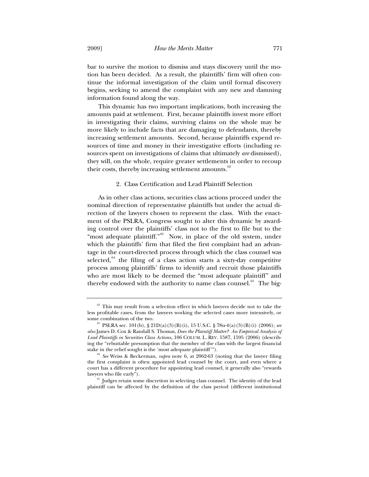bar to survive the motion to dismiss and stays discovery until the motion has been decided. As a result, the plaintiffs' firm will often continue the informal investigation of the claim until formal discovery begins, seeking to amend the complaint with any new and damning information found along the way.

This dynamic has two important implications, both increasing the amounts paid at settlement. First, because plaintiffs invest more effort in investigating their claims, surviving claims on the whole may be more likely to include facts that are damaging to defendants, thereby increasing settlement amounts. Second, because plaintiffs expend resources of time and money in their investigative efforts (including resources spent on investigations of claims that ultimately *are* dismissed), they will, on the whole, require greater settlements in order to recoup their costs, thereby increasing settlement amounts.<sup>62</sup>

#### 2. Class Certification and Lead Plaintiff Selection

As in other class actions, securities class actions proceed under the nominal direction of representative plaintiffs but under the actual direction of the lawyers chosen to represent the class. With the enactment of the PSLRA, Congress sought to alter this dynamic by awarding control over the plaintiffs' class not to the first to file but to the "most adequate plaintiff."<sup>63</sup> Now, in place of the old system, under which the plaintiffs' firm that filed the first complaint had an advantage in the court-directed process through which the class counsel was selected, $64$  the filing of a class action starts a sixty-day competitive process among plaintiffs' firms to identify and recruit those plaintiffs who are most likely to be deemed the "most adequate plaintiff" and thereby endowed with the authority to name class counsel.<sup>65</sup> The big-

 $62$  This may result from a selection effect in which lawyers decide not to take the less profitable cases, from the lawyers working the selected cases more intensively, or

<sup>63</sup> PSLRA sec. 101(b), § 21D(a)(3)(B)(i), 15 U.S.C. § 78u-4(a)(3)(B)(i) (2006); *see also* James D. Cox & Randall S. Thomas, *Does the Plaintiff Matter? An Empirical Analysis of Lead Plaintiffs in Securities Class Actions*, 106 COLUM. L. REV. 1587, 1595 (2006) (describing the "rebuttable presumption that the member of the class with the largest financial stake in the relief sought is the 'most adequate plaintiff'").<br><sup>64</sup> *See* Weiss & Beckerman, *supra* note 6, at 2062-63 (noting that the lawyer filing

the first complaint is often appointed lead counsel by the court, and even where a court has a different procedure for appointing lead counsel, it generally also "rewards

lawyers who file early").  $^{65}$  Judges retain some discretion in selecting class counsel. The identity of the lead plaintiff can be affected by the definition of the class period (different institutional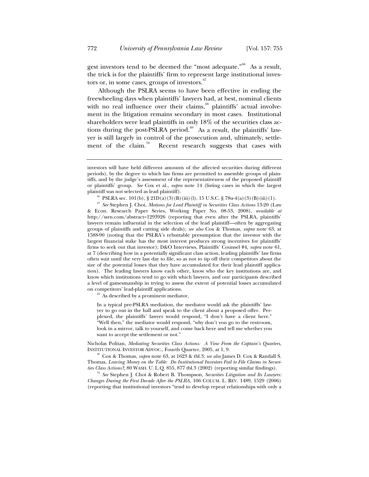gest investors tend to be deemed the "most adequate."<sup>66</sup> As a result, the trick is for the plaintiffs' firm to represent large institutional investors or, in some cases, groups of investors. $6$ 

Although the PSLRA seems to have been effective in ending the freewheeling days when plaintiffs' lawyers had, at best, nominal clients with no real influence over their claims, $^{68}$  plaintiffs' actual involvement in the litigation remains secondary in most cases. Institutional shareholders were lead plaintiffs in only 18% of the securities class actions during the post-PSLRA period.<sup>69</sup> As a result, the plaintiffs' lawyer is still largely in control of the prosecution and, ultimately, settlement of the claim.<sup>70</sup> Recent research suggests that cases with

& Econ. Research Paper Series, Working Paper No. 08-53, 2008), *available at* http://ssrn.com/abstract=1293926 (reporting that even after the PSLRA, plaintiffs' lawyers remain influential in the selection of the lead plaintiff—often by aggregating groups of plaintiffs and cutting side deals); *see also* Cox & Thomas, *supra* note 63, at 1588-90 (noting that the PSLRA's rebuttable presumption that the investor with the largest financial stake has the most interest produces strong incentives for plaintiffs' firms to seek out that investor); D&O Interviews, Plaintiffs' Counsel #4, *supra* note 61, at 7 (describing how in a potentially significant class action, leading plaintiffs' law firms often wait until the very last day to file, so as not to tip off their competitors about the size of the potential losses that they have accumulated for their lead plaintiff application). The leading lawyers know each other, know who the key institutions are, and know which institutions tend to go with which lawyers, and our participants described a level of gamesmanship in trying to assess the extent of potential losses accumulated

 $68$  As described by a prominent mediator,

In a typical pre-PSLRA mediation, the mediator would ask the plaintiffs' lawyer to go out in the hall and speak to the client about a proposed offer. Perplexed, the plaintiffs' lawyer would respond, "I don't have a client here." "Well then," the mediator would respond, "why don't you go to the restroom, look in a mirror, talk to yourself, and come back here and tell me whether you want to accept the settlement or not."

Nicholas Politan, *Mediating Securities Class Actions: A View From the Captain's Quarters*, INSTITUTIONAL INVESTOR ADVOC., Fourth Quarter, 2005, at 1, 9.<br><sup>69</sup> Cox & Thomas, *supra* note 63, at 1623 & tbl.3; *see also* James D. Cox & Randall S.

Thomas, *Leaving Money on the Table: Do Institutional Investors Fail to File Claims in Securities Class Actions?*, 80 WASH. U. L.Q. 855, 877 tbl.3 (2002) (reporting similar findings). <sup>70</sup> *See* Stephen J. Choi & Robert B. Thompson, *Securities Litigation and Its Lawyers:* 

*Changes During the First Decade After the PSLRA*, 106 COLUM. L. REV. 1489, 1529 (2006) (reporting that institutional investors "tend to develop repeat relationships with only a

investors will have held different amounts of the affected securities during different periods), by the degree to which law firms are permitted to assemble groups of plaintiffs, and by the judge's assessment of the representativeness of the proposed plaintiff or plaintiffs' group. *See* Cox et al., *supra* note 14 (listing cases in which the largest plaintiff was not selected as lead plaintiff).<br><sup>66</sup> PSLRA sec. 101(b), § 21D(a)(3)(B)(iii)(l), 15 U.S.C. § 78u-4(a)(3)(B)(iii)(1).<br><sup>67</sup> See Stephen J. Choi, *Motions for Lead Plaintiff in Securities Class Actions* 13-20 (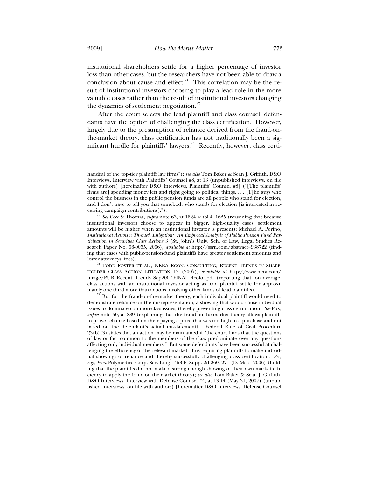institutional shareholders settle for a higher percentage of investor loss than other cases, but the researchers have not been able to draw a conclusion about cause and effect.<sup>71</sup> This correlation may be the result of institutional investors choosing to play a lead role in the more valuable cases rather than the result of institutional investors changing the dynamics of settlement negotiation. $72$ 

After the court selects the lead plaintiff and class counsel, defendants have the option of challenging the class certification. However, largely due to the presumption of reliance derived from the fraud-onthe-market theory, class certification has not traditionally been a significant hurdle for plaintiffs' lawyers.<sup>73</sup> Recently, however, class certi-

HOLDER CLASS ACTION LITIGATION 13 (2007), *available at* http://www.nera.com/ image/PUB\_Recent\_Trends\_Sep2007-FINAL\_4color.pdf (reporting that, on average, class actions with an institutional investor acting as lead plaintiff settle for approximately one-third more than actions involving other kinds of lead plaintiffs). 73 But for the fraud-on-the-market theory, each individual plaintiff would need to

handful of the top-tier plaintiff law firms"); *see also* Tom Baker & Sean J. Griffith, D&O Interviews, Interview with Plaintiffs' Counsel #8, at 13 (unpublished interviews, on file with authors) [hereinafter D&O Interviews, Plaintiffs' Counsel #8] ("[The plaintiffs' firms are] spending money left and right going to political things. . . . [T]he guys who control the business in the public pension funds are all people who stand for election, and I don't have to tell you that somebody who stands for election [is interested in receiving campaign contributions]."). 71 *See* Cox & Thomas, *supra* note 63, at 1624 & tbl.4, 1625 (reasoning that because

institutional investors choose to appear in bigger, high-quality cases, settlement amounts will be higher when an institutional investor is present); Michael A. Perino, *Institutional Activism Through Litigation: An Empirical Analysis of Public Pension Fund Participation in Securities Class Actions* 3 (St. John's Univ. Sch. of Law, Legal Studies Research Paper No. 06-0055, 2006), *available at* http://ssrn.com/abstract=938722 (finding that cases with public-pension-fund plaintiffs have greater settlement amounts and lower attorneys' fees).<br><sup>72</sup> TODD FOSTER ET AL., NERA ECON. CONSULTING, RECENT TRENDS IN SHARE-

demonstrate reliance on the misrepresentation, a showing that would cause individual issues to dominate common-class issues, thereby preventing class certification. *See* Fox, *supra* note 50, at 839 (explaining that the fraud-on-the-market theory allows plaintiffs to prove reliance based on their paying a price that was too high in a purchase and not based on the defendant's actual misstatement). Federal Rule of Civil Procedure 23(b)(3) states that an action may be maintained if "the court finds that the questions of law or fact common to the members of the class predominate over any questions affecting only individual members." But some defendants have been successful at challenging the efficiency of the relevant market, thus requiring plaintiffs to make individual showings of reliance and thereby successfully challenging class certification. *See, e.g.*, *In re* Polymedica Corp. Sec. Litig., 453 F. Supp. 2d 260, 271 (D. Mass. 2006) (holding that the plaintiffs did not make a strong enough showing of their own market efficiency to apply the fraud-on-the-market theory); *see also* Tom Baker & Sean J. Griffith, D&O Interviews, Interview with Defense Counsel #4, at 13-14 (May 31, 2007) (unpublished interviews, on file with authors) [hereinafter D&O Interviews, Defense Counsel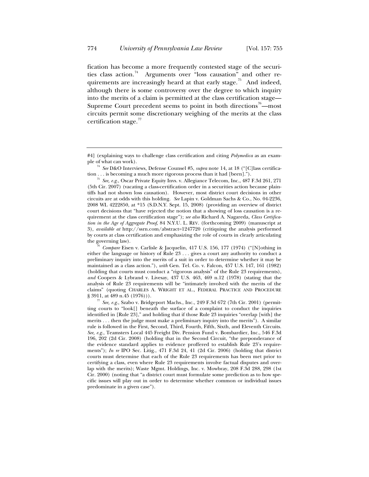fication has become a more frequently contested stage of the securities class action.74 Arguments over "loss causation" and other requirements are increasingly heard at that early stage.<sup>75</sup> And indeed, although there is some controversy over the degree to which inquiry into the merits of a claim is permitted at the class certification stage— Supreme Court precedent seems to point in both directions<sup>76</sup>—most circuits permit some discretionary weighing of the merits at the class certification stage.<sup>77</sup>

<sup>#4] (</sup>explaining ways to challenge class certification and citing *Polymedica* as an exam-

ple of what can work). 74 *See* D&O Interviews, Defense Counsel #5, *supra* note 14, at 18 ("[C]lass certifica-

tion . . . is becoming a much more rigorous process than it had [been]."). 75 *See, e.g.*, Oscar Private Equity Invs. v. Allegiance Telecom, Inc., 487 F.3d 261, 271 (5th Cir. 2007) (vacating a class-certification order in a securities action because plaintiffs had not shown loss causation). However, most district court decisions in other circuits are at odds with this holding. *See* Lapin v. Goldman Sachs & Co., No. 04-2236, 2008 WL 4222850, at \*15 (S.D.N.Y. Sept. 15, 2008) (providing an overview of district court decisions that "have rejected the notion that a showing of loss causation is a requirement at the class certification stage"); *see also* Richard A. Nagareda, *Class Certification in the Age of Aggregate Proof*, 84 N.Y.U. L. REV. (forthcoming 2009) (manuscript at 3), *available at* http://ssrn.com/abstract=1247720 (critiquing the analysis performed by courts at class certification and emphasizing the role of courts in clearly articulating

the governing law). 76 *Compare* Eisen v. Carlisle & Jacquelin, 417 U.S. 156, 177 (1974) ("[N]othing in either the language or history of Rule 23 . . . gives a court any authority to conduct a preliminary inquiry into the merits of a suit in order to determine whether it may be maintained as a class action."), *with* Gen. Tel. Co. v. Falcon, 457 U.S. 147, 161 (1982) (holding that courts must conduct a "rigorous analysis" of the Rule 23 requirements), *and* Coopers & Lybrand v. Livesay, 437 U.S. 463, 469 n.12 (1978) (stating that the analysis of Rule 23 requirements will be "intimately involved with the merits of the claims" (quoting CHARLES A. WRIGHT ET AL., FEDERAL PRACTICE AND PROCEDURE § 3911, at 489 n.45 (1976))).

<sup>77</sup> *See, e.g.*, Szabo v. Bridgeport Machs., Inc., 249 F.3d 672 (7th Cir. 2001) (permitting courts to "look[] beneath the surface of a complaint to conduct the inquiries identified in [Rule 23]," and holding that if those Rule 23 inquiries "overlap [with] the merits . . . then the judge must make a preliminary inquiry into the merits"). A similar rule is followed in the First, Second, Third, Fourth, Fifth, Sixth, and Eleventh Circuits. *See, e.g.*, Teamsters Local 445 Freight Div. Pension Fund v. Bombardier, Inc., 546 F.3d 196, 202 (2d Cir. 2008) (holding that in the Second Circuit, "the preponderance of the evidence standard applies to evidence proffered to establish Rule 23's requirements"); *In re* IPO Sec. Litig., 471 F.3d 24, 41 (2d Cir. 2006) (holding that district courts must determine that each of the Rule 23 requirements has been met prior to certifying a class, even where Rule 23 requirements involve factual disputes and overlap with the merits); Waste Mgmt. Holdings, Inc. v. Mowbray, 208 F.3d 288, 298 (1st Cir. 2000) (noting that "a district court must formulate some prediction as to how specific issues will play out in order to determine whether common or individual issues predominate in a given case").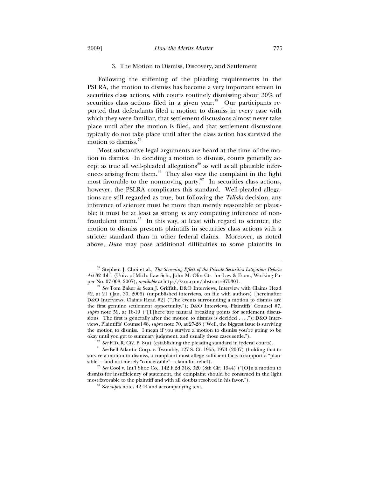#### 3. The Motion to Dismiss, Discovery, and Settlement

Following the stiffening of the pleading requirements in the PSLRA, the motion to dismiss has become a very important screen in securities class actions, with courts routinely dismissing about 30% of securities class actions filed in a given year.<sup>78</sup> Our participants reported that defendants filed a motion to dismiss in every case with which they were familiar, that settlement discussions almost never take place until after the motion is filed, and that settlement discussions typically do not take place until after the class action has survived the motion to dismiss.<sup>79</sup>

Most substantive legal arguments are heard at the time of the motion to dismiss. In deciding a motion to dismiss, courts generally accept as true all well-pleaded allegations $\frac{80}{9}$  as well as all plausible inferences arising from them.<sup>81</sup> They also view the complaint in the light most favorable to the nonmoving party. $82$  In securities class actions, however, the PSLRA complicates this standard. Well-pleaded allegations are still regarded as true, but following the *Tellabs* decision, any inference of scienter must be more than merely reasonable or plausible; it must be at least as strong as any competing inference of nonfraudulent intent. $83$  In this way, at least with regard to scienter, the motion to dismiss presents plaintiffs in securities class actions with a stricter standard than in other federal claims. Moreover, as noted above, *Dura* may pose additional difficulties to some plaintiffs in

<sup>78</sup> Stephen J. Choi et al., *The Screening Effect of the Private Securities Litigation Reform Act* 32 tbl.1 (Univ. of Mich. Law Sch., John M. Olin Ctr. for Law & Econ., Working Paper No. 07-008, 2007), *available at* http://ssrn.com/abstract=975301.

<sup>79</sup> *See* Tom Baker & Sean J. Griffith, D&O Interviews, Interview with Claims Head #2, at 21 (Jan. 30, 2006) (unpublished interviews, on file with authors) [hereinafter D&O Interviews, Claims Head #2] ("The events surrounding a motion to dismiss are the first genuine settlement opportunity."); D&O Interviews, Plaintiffs' Counsel #7, *supra* note 59, at 18-19 ("[T]here are natural breaking points for settlement discussions. The first is generally after the motion to dismiss is decided  $\dots$ "); D&O Interviews, Plaintiffs' Counsel #8, *supra* note 70, at 27-28 ("Well, the biggest issue is surviving the motion to dismiss. I mean if you survive a motion to dismiss you're going to be okay until you get to summary judgment, and usually those cases settle.").

<sup>&</sup>lt;sup>80</sup> *See* FED. R. CIV. P. 8(a) (establishing the pleading standard in federal courts).<br><sup>81</sup> *See* Bell Atlantic Corp. v. Twombly, 127 S. Ct. 1955, 1974 (2007) (holding that to survive a motion to dismiss, a complaint must allege sufficient facts to support a "plau-<br>sible"—and not merely "conceivable"—claim for relief).

 $^{82}$  See Cool v. Int'l Shoe Co., 142 F.2d 318, 320 (8th Cir. 1944) ("[O]n a motion to dismiss for insufficiency of statement, the complaint should be construed in the light most favorable to the plaintiff and with all doubts resolved in his favor."). 83 <sup>S</sup>*ee supra* notes 42-44 and accompanying text.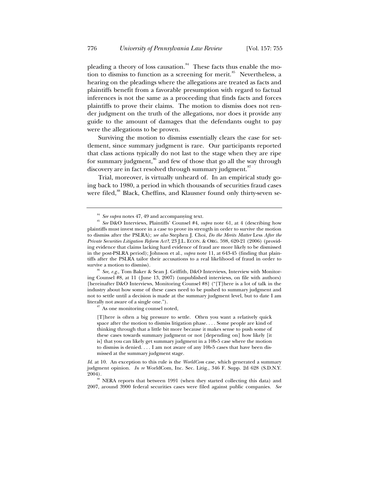pleading a theory of loss causation.<sup>84</sup> These facts thus enable the motion to dismiss to function as a screening for merit.<sup>85</sup> Nevertheless, a hearing on the pleadings where the allegations are treated as facts and plaintiffs benefit from a favorable presumption with regard to factual inferences is not the same as a proceeding that finds facts and forces plaintiffs to prove their claims. The motion to dismiss does not render judgment on the truth of the allegations, nor does it provide any guide to the amount of damages that the defendants ought to pay were the allegations to be proven.

Surviving the motion to dismiss essentially clears the case for settlement, since summary judgment is rare. Our participants reported that class actions typically do not last to the stage when they are ripe for summary judgment,<sup>86</sup> and few of those that go all the way through discovery are in fact resolved through summary judgment.<sup>87</sup>

Trial, moreover, is virtually unheard of. In an empirical study going back to 1980, a period in which thousands of securities fraud cases were filed,<sup>88</sup> Black, Cheffins, and Klausner found only thirty-seven se-

ing Counsel #8, at 11 (June 13, 2007) (unpublished interviews, on file with authors) [hereinafter D&O Interviews, Monitoring Counsel #8] ("[T]here is a lot of talk in the industry about how some of these cases need to be pushed to summary judgment and not to settle until a decision is made at the summary judgment level, but to date I am literally not aware of a single one.").<br><sup>87</sup> As one monitoring counsel noted,

[T]here is often a big pressure to settle. Often you want a relatively quick space after the motion to dismiss litigation phase. . . . Some people are kind of thinking through that a little bit more because it makes sense to push some of these cases towards summary judgment or not [depending on] how likely [it is] that you can likely get summary judgment in a 10b-5 case where the motion to dismiss is denied. . . . I am not aware of any 10b-5 cases that have been dismissed at the summary judgment stage.

*Id*. at 10. An exception to this rule is the *WorldCom* case, which generated a summary judgment opinion. *In re* WorldCom, Inc. Sec. Litig., 346 F. Supp. 2d 628 (S.D.N.Y. 2004).

<sup>88</sup> NERA reports that between 1991 (when they started collecting this data) and 2007, around 3900 federal securities cases were filed against public companies. *See*

<sup>&</sup>lt;sup>84</sup> *See supra* notes 47, 49 and accompanying text.<br><sup>85</sup> *See* D&O Interviews, Plaintiffs' Counsel #4, *supra* note 61, at 4 (describing how plaintiffs must invest more in a case to prove its strength in order to survive the motion to dismiss after the PSLRA); *see also* Stephen J. Choi, *Do the Merits Matter* Less *After the Private Securities Litigation Reform Act?*, 23 J.L. ECON.&ORG. 598, 620-21 (2006) (providing evidence that claims lacking hard evidence of fraud are more likely to be dismissed in the post-PSLRA period); Johnson et al., *supra* note 11, at 643-45 (finding that plaintiffs after the PSLRA tailor their accusations to a real likelihood of fraud in order to survive a motion to dismiss).<br><sup>86</sup> *See, e.g.*, Tom Baker & Sean J. Griffith, D&O Interviews, Interview with Monitor-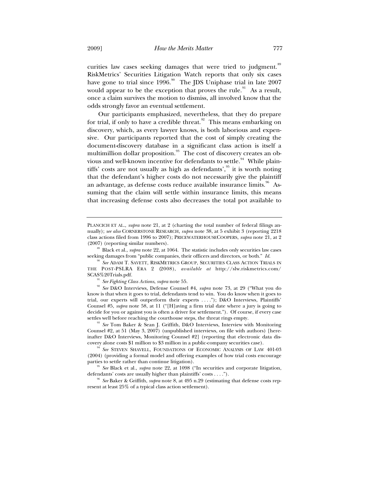curities law cases seeking damages that were tried to judgment.<sup>89</sup> RiskMetrics' Securities Litigation Watch reports that only six cases have gone to trial since  $1996.^{90}$  The JDS Uniphase trial in late 2007 would appear to be the exception that proves the rule.<sup>91</sup> As a result, once a claim survives the motion to dismiss, all involved know that the odds strongly favor an eventual settlement.

Our participants emphasized, nevertheless, that they do prepare for trial, if only to have a credible threat. $92$  This means embarking on discovery, which, as every lawyer knows, is both laborious and expensive. Our participants reported that the cost of simply creating the document-discovery database in a significant class action is itself a multimillion dollar proposition. $93$  The cost of discovery creates an obvious and well-known incentive for defendants to settle.<sup>94</sup> While plaintiffs' costs are not usually as high as defendants', $\frac{95}{3}$  it is worth noting that the defendant's higher costs do not necessarily give the plaintiff an advantage, as defense costs reduce available insurance limits.<sup>96</sup> Assuming that the claim will settle within insurance limits, this means that increasing defense costs also decreases the total pot available to

(2007) (reporting similar numbers). 89 Black et al., *supra* note 22, at 1064. The statistic includes only securities law cases seeking damages from "public companies, their officers and directors, or both." *Id.*

know is that when it goes to trial, defendants tend to win. You do know when it goes to trial, our experts will outperform their experts . . . ."); D&O Interviews, Plaintiffs' Counsel #5, *supra* note 58, at 11 ("[H]aving a firm trial date where a jury is going to decide for you or against you is often a driver for settlement."). Of course, if every case settles well before reaching the courthouse steps, the threat rings empty. 93 *See* Tom Baker & Sean J. Griffith, D&O Interviews, Interview with Monitoring

Counsel #2, at 51 (May 3, 2007) (unpublished interviews, on file with authors) [hereinafter D&O Interviews, Monitoring Counsel #2] (reporting that electronic data discovery alone costs \$1 million to \$3 million in a public-company securities case). 94 *See* STEVEN SHAVELL, FOUNDATIONS OF ECONOMIC ANALYSIS OF LAW 401-03

(2004) (providing a formal model and offering examples of how trial costs encourage parties to settle rather than continue litigation). 95 *See* Black et al., *supra* note 22, at 1098 ("In securities and corporate litigation,

defendants' costs are usually higher than plaintiffs' costs . . . .").<br><sup>96</sup> *See* Baker & Griffith, *supra* note 8, at 495 n.29 (estimating that defense costs rep-

resent at least 25% of a typical class action settlement).

PLANCICH ET AL., *supra* note 21, at 2 (charting the total number of federal filings annually); *see also* CORNERSTONE RESEARCH, *supra* note 38, at 5 exhibit 3 (reporting 2218 class actions filed from 1996 to 2007); PRICEWATERHOUSECOOPERS, *supra* note 21, at 2

<sup>90</sup> *See* ADAM T. SAVETT, RISKMETRICS GROUP, SECURITIES CLASS ACTION TRIALS IN THE POST-PSLRA ERA 2 (2008), *available at* http://slw.riskmetrics.com/ SCAS%20Trials.pdf. 91 *See Fighting Class Actions*, *supra* note 55. 92 *See* D&O Interviews, Defense Counsel #4, *supra* note 73, at 29 ("What you do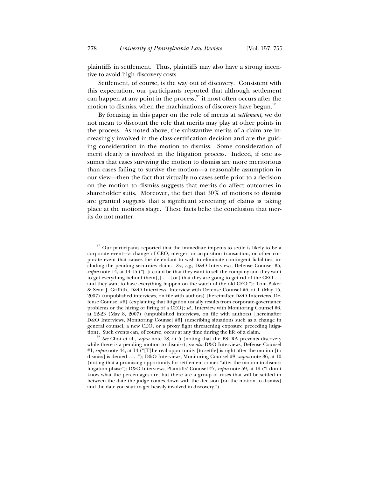plaintiffs in settlement. Thus, plaintiffs may also have a strong incentive to avoid high discovery costs.

Settlement, of course, is the way out of discovery. Consistent with this expectation, our participants reported that although settlement can happen at any point in the process,  $\frac{97}{7}$  it most often occurs after the motion to dismiss, when the machinations of discovery have begun.<sup>98</sup>

By focusing in this paper on the role of merits at *settlement*, we do not mean to discount the role that merits may play at other points in the process. As noted above, the substantive merits of a claim are increasingly involved in the class-certification decision and are the guiding consideration in the motion to dismiss. Some consideration of merit clearly is involved in the litigation process. Indeed, if one assumes that cases surviving the motion to dismiss are more meritorious than cases failing to survive the motion—a reasonable assumption in our view—then the fact that virtually no cases settle prior to a decision on the motion to dismiss suggests that merits do affect outcomes in shareholder suits. Moreover, the fact that 30% of motions to dismiss are granted suggests that a significant screening of claims is taking place at the motions stage. These facts belie the conclusion that merits do not matter.

 $97$  Our participants reported that the immediate impetus to settle is likely to be a corporate event—a change of CEO, merger, or acquisition transaction, or other corporate event that causes the defendant to wish to eliminate contingent liabilities, including the pending securities claim. *See, e.g.*, D&O Interviews, Defense Counsel #5,  $\frac{\text{supra}}{\text{not}}$  note 14, at 14-15 ("[I]t could be that they want to sell the company and they want to get everything behind them[,]  $\dots$  [or] that they are going to get rid of the CEO  $\dots$ and they want to have everything happen on the watch of the old CEO."); Tom Baker & Sean J. Griffith, D&O Interviews, Interview with Defense Counsel #6, at 1 (May 15, 2007) (unpublished interviews, on file with authors) [hereinafter D&O Interviews, Defense Counsel #6] (explaining that litigation usually results from corporate-governance problems or the hiring or firing of a CEO); *id.*, Interview with Monitoring Counsel #6, at 22-23 (May 8, 2007) (unpublished interviews, on file with authors) [hereinafter D&O Interviews, Monitoring Counsel #6] (describing situations such as a change in general counsel, a new CEO, or a proxy fight threatening exposure preceding litiga-

tion). Such events can, of course, occur at any time during the life of a claim.<br><sup>98</sup> *See* Choi et al., *supra* note 78, at 5 (noting that the PSLRA prevents discovery while there is a pending motion to dismiss); *see also* D&O Interviews, Defense Counsel #1, *supra* note 44, at 14 ("[T]he real opportunity [to settle] is right after the motion [to dismiss] is denied . . . ."); D&O Interviews, Monitoring Counsel #8, *supra* note 86, at 10 (noting that a promising opportunity for settlement comes "after the motion to dismiss litigation phase"); D&O Interviews, Plaintiffs' Counsel #7, *supra* note 59, at 19 ("I don't know what the percentages are, but there are a group of cases that will be settled in between the date the judge comes down with the decision [on the motion to dismiss] and the date you start to get heavily involved in discovery.").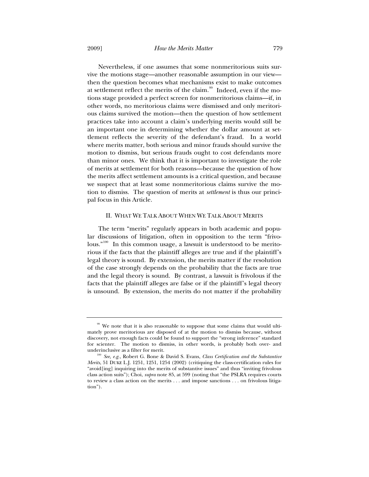Nevertheless, if one assumes that some nonmeritorious suits survive the motions stage—another reasonable assumption in our view then the question becomes what mechanisms exist to make outcomes at settlement reflect the merits of the claim.<sup>99</sup> Indeed, even if the motions stage provided a perfect screen for nonmeritorious claims—if, in other words, no meritorious claims were dismissed and only meritorious claims survived the motion—then the question of how settlement practices take into account a claim's underlying merits would still be an important one in determining whether the dollar amount at settlement reflects the severity of the defendant's fraud. In a world where merits matter, both serious and minor frauds should survive the motion to dismiss, but serious frauds ought to cost defendants more than minor ones. We think that it is important to investigate the role of merits at settlement for both reasons—because the question of how the merits affect settlement amounts is a critical question, and because we suspect that at least some nonmeritorious claims survive the motion to dismiss. The question of merits at *settlement* is thus our principal focus in this Article.

#### II. WHAT WE TALK ABOUT WHEN WE TALK ABOUT MERITS

The term "merits" regularly appears in both academic and popular discussions of litigation, often in opposition to the term "frivolous."<sup>100</sup> In this common usage, a lawsuit is understood to be meritorious if the facts that the plaintiff alleges are true and if the plaintiff's legal theory is sound. By extension, the merits matter if the resolution of the case strongly depends on the probability that the facts are true and the legal theory is sound. By contrast, a lawsuit is frivolous if the facts that the plaintiff alleges are false or if the plaintiff's legal theory is unsound. By extension, the merits do not matter if the probability

<sup>&</sup>lt;sup>99</sup> We note that it is also reasonable to suppose that some claims that would ultimately prove meritorious are disposed of at the motion to dismiss because, without discovery, not enough facts could be found to support the "strong inference" standard for scienter. The motion to dismiss, in other words, is probably both over- and underinclusive as a filter for merit.<br><sup>100</sup> *See, e.g.*, Robert G. Bone & David S. Evans, *Class Certification and the Substantive* 

*Merits*, 51 DUKE L.J. 1251, 1251, 1254 (2002) (critiquing the class-certification rules for "avoid[ing] inquiring into the merits of substantive issues" and thus "inviting frivolous class action suits"); Choi, *supra* note 85, at 599 (noting that "the PSLRA requires courts to review a class action on the merits . . . and impose sanctions . . . on frivolous litigation").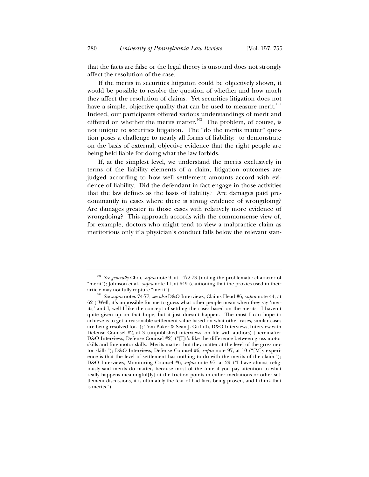that the facts are false or the legal theory is unsound does not strongly affect the resolution of the case.

If the merits in securities litigation could be objectively shown, it would be possible to resolve the question of whether and how much they affect the resolution of claims. Yet securities litigation does not have a simple, objective quality that can be used to measure merit.<sup>101</sup> Indeed, our participants offered various understandings of merit and differed on whether the merits matter.<sup>102</sup> The problem, of course, is not unique to securities litigation. The "do the merits matter" question poses a challenge to nearly all forms of liability: to demonstrate on the basis of external, objective evidence that the right people are being held liable for doing what the law forbids.

If, at the simplest level, we understand the merits exclusively in terms of the liability elements of a claim, litigation outcomes are judged according to how well settlement amounts accord with evidence of liability. Did the defendant in fact engage in those activities that the law defines as the basis of liability? Are damages paid predominantly in cases where there is strong evidence of wrongdoing? Are damages greater in those cases with relatively more evidence of wrongdoing? This approach accords with the commonsense view of, for example, doctors who might tend to view a malpractice claim as meritorious only if a physician's conduct falls below the relevant stan-

<sup>101</sup> *See generally* Choi, *supra* note 9, at 1472-73 (noting the problematic character of "merit"); Johnson et al., *supra* note 11, at 649 (cautioning that the proxies used in their article may not fully capture "merit").

<sup>&</sup>lt;sup>102</sup> See supra notes 74-77; see also D&O Interviews, Claims Head #6, *supra* note 44, at 62 ("Well, it's impossible for me to guess what other people mean when they say 'merits,' and I, well I like the concept of settling the cases based on the merits. I haven't quite given up on that hope, but it just doesn't happen. The most I can hope to achieve is to get a reasonable settlement value based on what other cases, similar cases are being resolved for."); Tom Baker & Sean J. Griffith, D&O Interviews, Interview with Defense Counsel #2, at 3 (unpublished interviews, on file with authors) [hereinafter D&O Interviews, Defense Counsel #2] ("[I]t's like the difference between gross motor skills and fine motor skills. Merits matter, but they matter at the level of the gross motor skills."); D&O Interviews, Defense Counsel #6, *supra* note 97, at 10 ("[M]y experience is that the level of settlement has nothing to do with the merits of the claim."); D&O Interviews, Monitoring Counsel #6, *supra* note 97, at 29 ("I have almost religiously said merits do matter, because most of the time if you pay attention to what really happens meaningful[ly] at the friction points in either mediations or other settlement discussions, it is ultimately the fear of bad facts being proven, and I think that is merits.").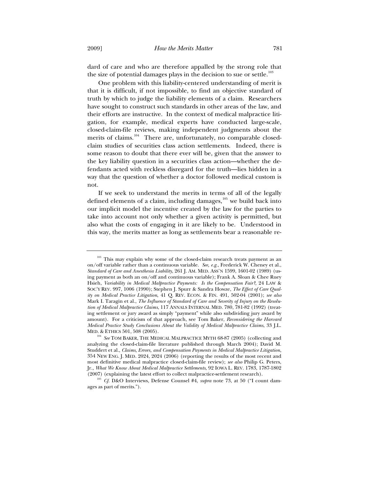dard of care and who are therefore appalled by the strong role that the size of potential damages plays in the decision to sue or settle.<sup>103</sup>

One problem with this liability-centered understanding of merit is that it is difficult, if not impossible, to find an objective standard of truth by which to judge the liability elements of a claim. Researchers have sought to construct such standards in other areas of the law, and their efforts are instructive. In the context of medical malpractice litigation, for example, medical experts have conducted large-scale, closed-claim-file reviews, making independent judgments about the merits of claims.<sup>104</sup> There are, unfortunately, no comparable closedclaim studies of securities class action settlements. Indeed, there is some reason to doubt that there ever will be, given that the answer to the key liability question in a securities class action—whether the defendants acted with reckless disregard for the truth—lies hidden in a way that the question of whether a doctor followed medical custom is not.

If we seek to understand the merits in terms of all of the legally defined elements of a claim, including damages, $105$  we build back into our implicit model the incentive created by the law for the parties to take into account not only whether a given activity is permitted, but also what the costs of engaging in it are likely to be. Understood in this way, the merits matter as long as settlements bear a reasonable re-

<sup>&</sup>lt;sup>103</sup> This may explain why some of the closed-claim research treats payment as an on/off variable rather than a continuous variable. *See, e.g.*, Frederick W. Cheney et al., *Standard of Care and Anesthesia Liability*, 261 J. AM. MED. ASS'N 1599, 1601-02 (1989) (using payment as both an on/off and continuous variable); Frank A. Sloan & Chee Ruey Hsieh, *Variability in Medical Malpractice Payments: Is the Compensation Fair?*, 24 LAW & SOC'Y REV. 997, 1006 (1990); Stephen J. Spurr & Sandra Howze, *The Effect of Care Quality on Medical Practice Litigation*, 41 Q. REV. ECON.&FIN. 491, 502-04 (2001); *see also* Mark I. Taragin et al., *The Influence of Standard of Care and Severity of Injury on the Resolution of Medical Malpractice Claims*, 117 ANNALS INTERNAL MED. 780, 781-82 (1992) (treating settlement or jury award as simply "payment" while also subdividing jury award by amount). For a criticism of that approach, see Tom Baker, *Reconsidering the Harvard Medical Practice Study Conclusions About the Validity of Medical Malpractice Claims*, 33 J.L.

<sup>&</sup>lt;sup>104</sup> See TOM BAKER, THE MEDICAL MALPRACTICE MYTH 68-87 (2005) (collecting and analyzing the closed-claim-file literature published through March 2004); David M. Studdert et al., *Claims, Errors, and Compensation Payments in Medical Malpractice Litigation*, 354 NEW ENG. J. MED. 2024, 2024 (2006) (reporting the results of the most recent and most definitive medical malpractice closed-claim-file review); *see also* Philip G. Peters, Jr., *What We Know About Medical Malpractice Settlements*, 92 IOWA L. REV. 1783, 1787-1802

<sup>(2007) (</sup>explaining the latest effort to collect malpractice-settlement research). 105 *Cf.* D&O Interviews, Defense Counsel #4, *supra* note 73, at 50 ("I count damages as part of merits.").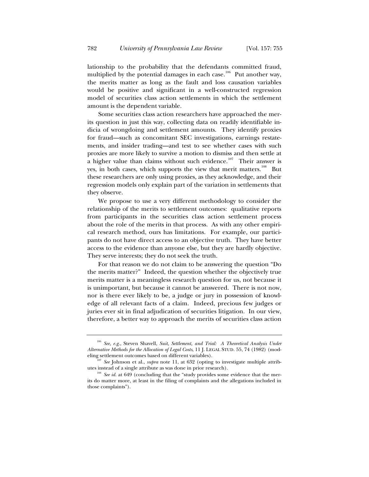lationship to the probability that the defendants committed fraud, multiplied by the potential damages in each case.<sup>106</sup> Put another way, the merits matter as long as the fault and loss causation variables would be positive and significant in a well-constructed regression model of securities class action settlements in which the settlement amount is the dependent variable.

Some securities class action researchers have approached the merits question in just this way, collecting data on readily identifiable indicia of wrongdoing and settlement amounts. They identify proxies for fraud—such as concomitant SEC investigations, earnings restatements, and insider trading—and test to see whether cases with such proxies are more likely to survive a motion to dismiss and then settle at a higher value than claims without such evidence.<sup>107</sup> Their answer is yes, in both cases, which supports the view that merit matters.<sup>108</sup> But these researchers are only using proxies, as they acknowledge, and their regression models only explain part of the variation in settlements that they observe.

We propose to use a very different methodology to consider the relationship of the merits to settlement outcomes: qualitative reports from participants in the securities class action settlement process about the role of the merits in that process. As with any other empirical research method, ours has limitations. For example, our participants do not have direct access to an objective truth. They have better access to the evidence than anyone else, but they are hardly objective. They serve interests; they do not seek the truth.

For that reason we do not claim to be answering the question "Do the merits matter?" Indeed, the question whether the objectively true merits matter is a meaningless research question for us, not because it is unimportant, but because it cannot be answered. There is not now, nor is there ever likely to be, a judge or jury in possession of knowledge of all relevant facts of a claim. Indeed, precious few judges or juries ever sit in final adjudication of securities litigation. In our view, therefore, a better way to approach the merits of securities class action

<sup>106</sup> *See, e.g.*, Steven Shavell, *Suit, Settlement, and Trial: A Theoretical Analysis Under Alternative Methods for the Allocation of Legal Costs*, 11 J. LEGAL STUD. 55, 74 (1982) (modeling settlement outcomes based on different variables). 107 *See* Johnson et al., *supra* note 11, at 632 (opting to investigate multiple attrib-

utes instead of a single attribute as was done in prior research).<br><sup>108</sup> *See id.* at 649 (concluding that the "study provides some evidence that the mer-

its do matter more, at least in the filing of complaints and the allegations included in those complaints").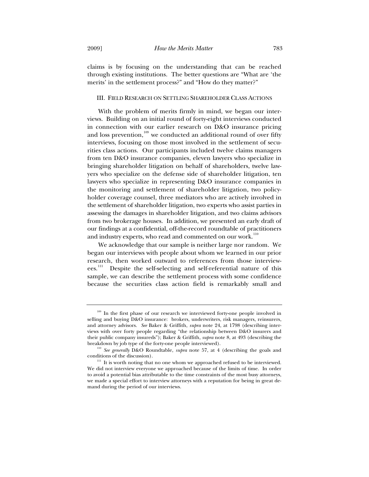claims is by focusing on the understanding that can be reached through existing institutions. The better questions are "What are 'the merits' in the settlement process?" and "How do they matter?"

#### III. FIELD RESEARCH ON SETTLING SHAREHOLDER CLASS ACTIONS

With the problem of merits firmly in mind, we began our interviews. Building on an initial round of forty-eight interviews conducted in connection with our earlier research on D&O insurance pricing and loss prevention, $109$  we conducted an additional round of over fifty interviews, focusing on those most involved in the settlement of securities class actions. Our participants included twelve claims managers from ten D&O insurance companies, eleven lawyers who specialize in bringing shareholder litigation on behalf of shareholders, twelve lawyers who specialize on the defense side of shareholder litigation, ten lawyers who specialize in representing D&O insurance companies in the monitoring and settlement of shareholder litigation, two policyholder coverage counsel, three mediators who are actively involved in the settlement of shareholder litigation, two experts who assist parties in assessing the damages in shareholder litigation, and two claims advisors from two brokerage houses. In addition, we presented an early draft of our findings at a confidential, off-the-record roundtable of practitioners and industry experts, who read and commented on our work.<sup>110</sup>

We acknowledge that our sample is neither large nor random. We began our interviews with people about whom we learned in our prior research, then worked outward to references from those interviewees.<sup>111</sup> Despite the self-selecting and self-referential nature of this sample, we can describe the settlement process with some confidence because the securities class action field is remarkably small and

<sup>&</sup>lt;sup>109</sup> In the first phase of our research we interviewed forty-one people involved in selling and buying D&O insurance: brokers, underwriters, risk managers, reinsurers, and attorney advisors. *See* Baker & Griffith, *supra* note 24, at 1798 (describing interviews with over forty people regarding "the relationship between D&O insurers and their public company insureds"); Baker & Griffith, *supra* note 8, at 493 (describing the breakdown by job type of the forty-one people interviewed). 110 *See generally* D&O Roundtable, *supra* note 57, at 4 (describing the goals and

conditions of the discussion).  $111$  It is worth noting that no one whom we approached refused to be interviewed.

We did not interview everyone we approached because of the limits of time. In order to avoid a potential bias attributable to the time constraints of the most busy attorneys, we made a special effort to interview attorneys with a reputation for being in great demand during the period of our interviews.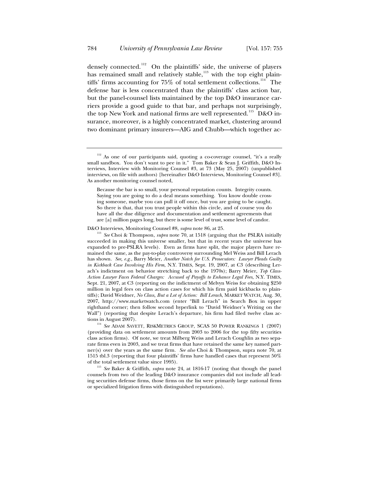densely connected.<sup>112</sup> On the plaintiffs' side, the universe of players has remained small and relatively stable,<sup>113</sup> with the top eight plaintiffs' firms accounting for  $75\%$  of total settlement collections.<sup>114</sup> The defense bar is less concentrated than the plaintiffs' class action bar, but the panel-counsel lists maintained by the top D&O insurance carriers provide a good guide to that bar, and perhaps not surprisingly, the top New York and national firms are well represented.<sup>115</sup> D&O insurance, moreover, is a highly concentrated market, clustering around two dominant primary insurers—AIG and Chubb—which together ac-

(providing data on settlement amounts from 2003 to 2006 for the top fifty securities class action firms). Of note, we treat Milberg Weiss and Lerach Coughlin as two separate firms even in 2003, and we treat firms that have retained the same key named partner(s) over the years as the same firm. *See also* Choi & Thompson, supra note 70, at 1515 tbl.3 (reporting that four plaintiffs' firms have handled cases that represent 50% of the total settlement value since 1995). 115 *See* Baker & Griffith, *supra* note 24, at 1816-17 (noting that though the panel

counsels from two of the leading D&O insurance companies did not include all leading securities defense firms, those firms on the list were primarily large national firms or specialized litigation firms with distinguished reputations).

<sup>&</sup>lt;sup>112</sup> As one of our participants said, quoting a co-coverage counsel, "it's a really small sandbox. You don't want to pee in it." Tom Baker & Sean J. Griffith, D&O Interviews, Interview with Monitoring Counsel #3, at 73 (May 25, 2007) (unpublished interviews, on file with authors) [hereinafter D&O Interviews, Monitoring Counsel #3]. As another monitoring counsel noted,

Because the bar is so small, your personal reputation counts. Integrity counts. Saying you are going to do a deal means something. You know double crossing someone, maybe you can pull it off once, but you are going to be caught. So there is that, that you trust people within this circle, and of course you do have all the due diligence and documentation and settlement agreements that are [a] million pages long, but there is some level of trust, some level of candor.

D&O Interviews, Monitoring Counsel #8, *supra* note 86, at 25.<br><sup>113</sup> *See* Choi & Thompson, *supra* note 70, at 1518 (arguing that the PSLRA initially succeeded in making this universe smaller, but that in recent years the universe has expanded to pre-PSLRA levels). Even as firms have split, the major players have remained the same, as the pay-to-play controversy surrounding Mel Weiss and Bill Lerach has shown. *See, e.g.*, Barry Meier, *Another Notch for U.S. Prosecutors: Lawyer Pleads Guilty in Kickback Case Involving His Firm*, N.Y. TIMES, Sept. 19, 2007, at C3 (describing Lerach's indictment on behavior stretching back to the 1970s); Barry Meier, *Top Class-Action Lawyer Faces Federal Charges: Accused of Payoffs to Enhance Legal Fees*, N.Y. TIMES, Sept. 21, 2007, at C3 (reporting on the indictment of Melvyn Weiss for obtaining \$250 million in legal fees on class action cases for which his firm paid kickbacks to plaintiffs); David Weidner, *No Class, But a Lot of Action: Bill Lerach*, MARKET WATCH, Aug. 30, 2007, http://www.marketwatch.com (enter "Bill Lerach" in Search Box in upper righthand corner; then follow second hyperlink to "David Weidner's Writing on the Wall") (reporting that despite Lerach's departure, his firm had filed twelve class actions in August 2007). 114 *See* ADAM SAVETT, RISKMETRICS GROUP, SCAS 50 POWER RANKINGS 1 (2007)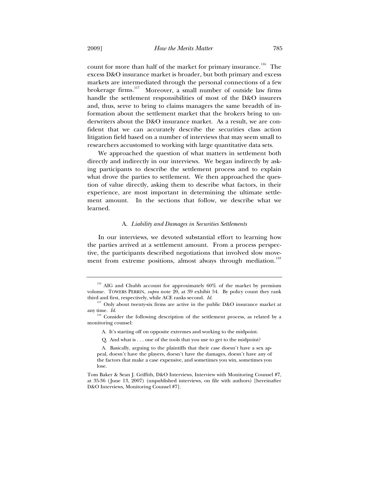count for more than half of the market for primary insurance.<sup>116</sup> The excess D&O insurance market is broader, but both primary and excess markets are intermediated through the personal connections of a few brokerage firms.<sup>117</sup> Moreover, a small number of outside law firms handle the settlement responsibilities of most of the D&O insurers and, thus, serve to bring to claims managers the same breadth of information about the settlement market that the brokers bring to underwriters about the D&O insurance market. As a result, we are confident that we can accurately describe the securities class action litigation field based on a number of interviews that may seem small to researchers accustomed to working with large quantitative data sets.

We approached the question of what matters in settlement both directly and indirectly in our interviews. We began indirectly by asking participants to describe the settlement process and to explain what drove the parties to settlement. We then approached the question of value directly, asking them to describe what factors, in their experience, are most important in determining the ultimate settlement amount. In the sections that follow, we describe what we learned.

#### A. *Liability and Damages in Securities Settlements*

In our interviews, we devoted substantial effort to learning how the parties arrived at a settlement amount. From a process perspective, the participants described negotiations that involved slow movement from extreme positions, almost always through mediation.<sup>118</sup>

A. It's starting off on opposite extremes and working to the midpoint.

Q. And what is . . . one of the tools that you use to get to the midpoint?

 $116$  AIG and Chubb account for approximately  $60\%$  of the market by premium volume. TOWERS PERRIN, *supra* note 20, at 39 exhibit 54. By policy count they rank third and first, respectively, while ACE ranks second. *Id.*

 $117$  Only about twenty-six firms are active in the public D&O insurance market at any time. *Id.*

 $118$  Consider the following description of the settlement process, as related by a monitoring counsel:

A. Basically, arguing to the plaintiffs that their case doesn't have a sex appeal, doesn't have the players, doesn't have the damages, doesn't have any of the factors that make a case expensive, and sometimes you win, sometimes you lose.

Tom Baker & Sean J. Griffith, D&O Interviews, Interview with Monitoring Counsel #7, at 35-36 (June 13, 2007) (unpublished interviews, on file with authors) [hereinafter D&O Interviews, Monitoring Counsel #7].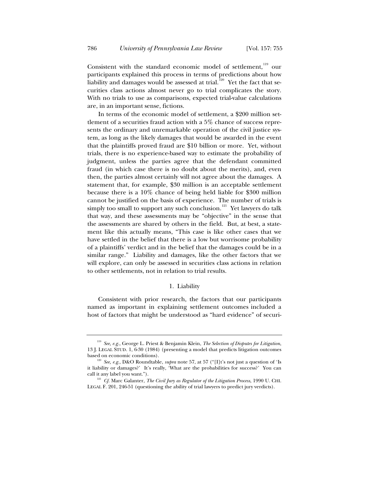Consistent with the standard economic model of settlement,<sup>119</sup> our participants explained this process in terms of predictions about how liability and damages would be assessed at trial.<sup>120</sup> Yet the fact that securities class actions almost never go to trial complicates the story. With no trials to use as comparisons, expected trial-value calculations are, in an important sense, fictions.

In terms of the economic model of settlement, a \$200 million settlement of a securities fraud action with a 5% chance of success represents the ordinary and unremarkable operation of the civil justice system, as long as the likely damages that would be awarded in the event that the plaintiffs proved fraud are \$10 billion or more. Yet, without trials, there is no experience-based way to estimate the probability of judgment, unless the parties agree that the defendant committed fraud (in which case there is no doubt about the merits), and, even then, the parties almost certainly will not agree about the damages. A statement that, for example, \$30 million is an acceptable settlement because there is a 10% chance of being held liable for \$300 million cannot be justified on the basis of experience. The number of trials is simply too small to support any such conclusion.<sup>121</sup> Yet lawyers do talk that way, and these assessments may be "objective" in the sense that the assessments are shared by others in the field. But, at best, a statement like this actually means, "This case is like other cases that we have settled in the belief that there is a low but worrisome probability of a plaintiffs' verdict and in the belief that the damages could be in a similar range." Liability and damages, like the other factors that we will explore, can only be assessed in securities class actions in relation to other settlements, not in relation to trial results.

#### 1. Liability

Consistent with prior research, the factors that our participants named as important in explaining settlement outcomes included a host of factors that might be understood as "hard evidence" of securi-

<sup>119</sup> *See, e.g.*, George L. Priest & Benjamin Klein, *The Selection of Disputes for Litigation*, 13 J. LEGAL STUD. 1, 6-30 (1984) (presenting a model that predicts litigation outcomes based on economic conditions). 120 *See, e.g.*, D&O Roundtable, *supra* note 57, at 57 ("[I]t's not just a question of 'Is

it liability or damages?' It's really, 'What are the probabilities for success?' You can call it any label you want.").  $^{121}$  *Cf.* Marc Galanter, *The Civil Jury as Regulator of the Litigation Process*, 1990 U. CHI.

LEGAL F. 201, 246-51 (questioning the ability of trial lawyers to predict jury verdicts).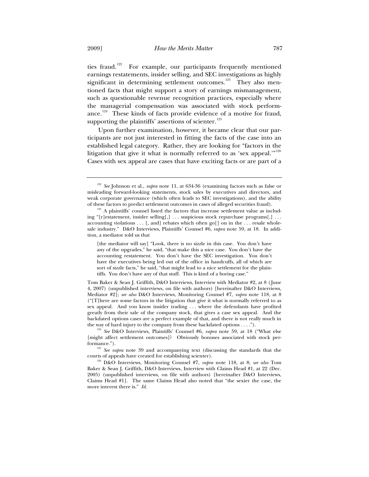ties fraud.<sup>122</sup> For example, our participants frequently mentioned earnings restatements, insider selling, and SEC investigations as highly significant in determining settlement outcomes.<sup>123</sup> They also mentioned facts that might support a story of earnings mismanagement, such as questionable revenue recognition practices, especially where the managerial compensation was associated with stock performance.<sup>124</sup> These kinds of facts provide evidence of a motive for fraud, supporting the plaintiffs' assertions of scienter. $125$ 

Upon further examination, however, it became clear that our participants are not just interested in fitting the facts of the case into an established legal category. Rather, they are looking for "factors in the litigation that give it what is normally referred to as 'sex appeal."<sup>126</sup> Cases with sex appeal are cases that have exciting facts or are part of a

<sup>122</sup> *See* Johnson et al., *supra* note 11, at 634-36 (examining factors such as false or misleading forward-looking statements, stock sales by executives and directors, and weak corporate governance (which often leads to SEC investigations), and the ability of these factors to predict settlement outcomes in cases of alleged securities fraud).<br><sup>123</sup> A plaintiffs' counsel listed the factors that increase settlement value as includ-

ing "[r]estatement, insider selling[,] . . . suspicious stock repurchase programs[,] . . . accounting violations . . . [, and] rebates which often go[] on in the . . . resale wholesale industry." D&O Interviews, Plaintiffs' Counsel #6, *supra* note 59, at 18. In addition, a mediator told us that

<sup>[</sup>the mediator will say] "Look, there is no sizzle in this case. You don't have any of the upgrades," he said, "that make this a nice case. You don't have the accounting restatement. You don't have the SEC investigation. You don't have the executives being led out of the office in handcuffs, all of which are sort of sizzle facts," he said, "that might lead to a nice settlement for the plaintiffs. You don't have any of that stuff. This is kind of a boring case."

Tom Baker & Sean J. Griffith, D&O Interviews, Interview with Mediator #2, at 8 (June 4, 2007) (unpublished interviews, on file with authors) [hereinafter D&O Interviews, Mediator #2]; *see also* D&O Interviews, Monitoring Counsel #7, *supra* note 118, at 8 ("[T]here are some factors in the litigation that give it what is normally referred to as sex appeal. And you know insider trading . . . where the defendants have profited greatly from their sale of the company stock, that gives a case sex appeal. And the backdated options cases are a perfect example of that, and there is not really much in

the way of hard injury to the company from these backdated options . . . ."). 124 *See* D&O Interviews, Plaintiffs' Counsel #6, *supra* note 59, at 18 ("What else [might affect settlement outcomes]? Obviously bonuses associated with stock performance.").

<sup>&</sup>lt;sup>125</sup> *See supra* note 39 and accompanying text (discussing the standards that the courts of appeals have created for establishing scienter). 126 D&O Interviews, Monitoring Counsel #7, *supra* note 118, at 8; *see also* Tom

Baker & Sean J. Griffith, D&O Interviews, Interview with Claims Head #1, at 22 (Dec. 2005) (unpublished interviews, on file with authors) [hereinafter D&O Interviews, Claims Head #1]. The same Claims Head also noted that "the sexier the case, the more interest there is." *Id.*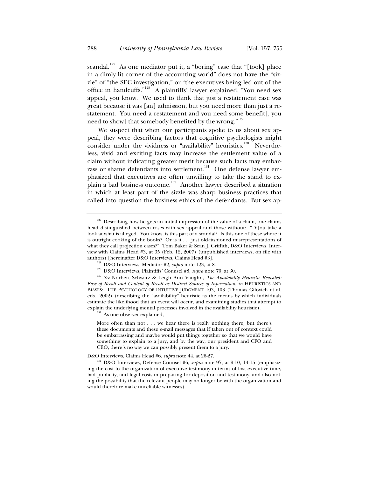scandal.<sup>127</sup> As one mediator put it, a "boring" case that "[took] place in a dimly lit corner of the accounting world" does not have the "sizzle" of "the SEC investigation," or "the executives being led out of the office in handcuffs."<sup>128</sup> A plaintiffs' lawyer explained, "You need sex appeal, you know. We used to think that just a restatement case was great because it was [an] admission, but you need more than just a restatement. You need a restatement and you need some benefit[, you need to show] that somebody benefited by the wrong."<sup>129</sup>

We suspect that when our participants spoke to us about sex appeal, they were describing factors that cognitive psychologists might consider under the vividness or "availability" heuristics.<sup>130</sup> Nevertheless, vivid and exciting facts may increase the settlement value of a claim without indicating greater merit because such facts may embarrass or shame defendants into settlement.<sup>131</sup> One defense lawyer emphasized that executives are often unwilling to take the stand to explain a bad business outcome.<sup>132</sup> Another lawyer described a situation in which at least part of the sizzle was sharp business practices that called into question the business ethics of the defendants. But sex ap-

More often than not . . . we hear there is really nothing there, but there's these documents and these e-mail messages that if taken out of context could be embarrassing and maybe would put things together so that we would have something to explain to a jury, and by the way, our president and CFO and CEO, there's no way we can possibly present them to a jury.

D&O Interviews, Claims Head #6, *supra* note 44, at 26-27.<br><sup>132</sup> D&O Interviews, Defense Counsel #6, *supra* note 97, at 9-10, 14-15 (emphasizing the cost to the organization of executive testimony in terms of lost executive time, bad publicity, and legal costs in preparing for deposition and testimony, and also noting the possibility that the relevant people may no longer be with the organization and would therefore make unreliable witnesses).

 $127$  Describing how he gets an initial impression of the value of a claim, one claims head distinguished between cases with sex appeal and those without: "[Y]ou take a look at what is alleged. You know, is this part of a scandal? Is this one of these where it is outright cooking of the books? Or is it . . . just old-fashioned misrepresentations of what they call projection cases?" Tom Baker & Sean J. Griffith, D&O Interviews, Interview with Claims Head #3, at 35 (Feb. 12, 2007) (unpublished interviews, on file with

<sup>&</sup>lt;sup>128</sup> D&O Interviews, Mediator #2, *supra* note 123, at 8.<br><sup>129</sup> D&O Interviews, Plaintiffs' Counsel #8, *supra* note 70, at 30.<br><sup>130</sup> See Norbert Schwarz & Leigh Ann Vaughn, *The Availability Heuristic Revisited*: *Ease of Recall and Content of Recall as Distinct Sources of Information*, *in* HEURISTICS AND BIASES: THE PSYCHOLOGY OF INTUITIVE JUDGMENT 103, 103 (Thomas Gilovich et al. eds., 2002) (describing the "availability" heuristic as the means by which individuals estimate the likelihood that an event will occur, and examining studies that attempt to explain the underlying mental processes involved in the availability heuristic).  $^{\rm 131}$  As one observer explained,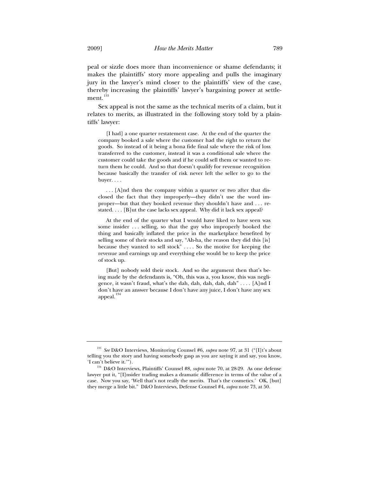peal or sizzle does more than inconvenience or shame defendants; it makes the plaintiffs' story more appealing and pulls the imaginary jury in the lawyer's mind closer to the plaintiffs' view of the case, thereby increasing the plaintiffs' lawyer's bargaining power at settlement.<sup>133</sup>

Sex appeal is not the same as the technical merits of a claim, but it relates to merits, as illustrated in the following story told by a plaintiffs' lawyer:

 [I had] a one quarter restatement case. At the end of the quarter the company booked a sale where the customer had the right to return the goods. So instead of it being a bona fide final sale where the risk of loss transferred to the customer, instead it was a conditional sale where the customer could take the goods and if he could sell them or wanted to return them he could. And so that doesn't qualify for revenue recognition because basically the transfer of risk never left the seller to go to the buyer. . . .

 . . . [A]nd then the company within a quarter or two after that disclosed the fact that they improperly—they didn't use the word improper—but that they booked revenue they shouldn't have and . . . restated. . . . [B]ut the case lacks sex appeal. Why did it lack sex appeal?

 At the end of the quarter what I would have liked to have seen was some insider . . . selling, so that the guy who improperly booked the thing and basically inflated the price in the marketplace benefited by selling some of their stocks and say, "Ah-ha, the reason they did this [is] because they wanted to sell stock" . . . . So the motive for keeping the revenue and earnings up and everything else would be to keep the price of stock up.

 [But] nobody sold their stock. And so the argument then that's being made by the defendants is, "Oh, this was a, you know, this was negligence, it wasn't fraud, what's the dah, dah, dah, dah, dah" . . . . [A]nd I don't have an answer because I don't have any juice, I don't have any sex appeal.

<sup>133</sup> *See* D&O Interviews, Monitoring Counsel #6, *supra* note 97, at 31 ("[I]t's about telling you the story and having somebody gasp as you are saying it and say, you know, 'I can't believe it.'"). 134 D&O Interviews, Plaintiffs' Counsel #8, *supra* note 70, at 28-29. As one defense

lawyer put it, "[I]nsider trading makes a dramatic difference in terms of the value of a case. Now you say, 'Well that's not really the merits. That's the cosmetics.' OK, [but] they merge a little bit." D&O Interviews, Defense Counsel #4, *supra* note 73, at 50.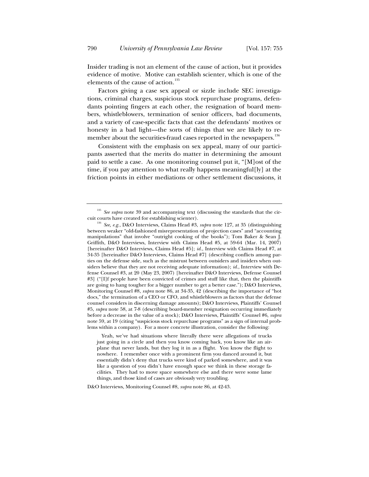Insider trading is not an element of the cause of action, but it provides evidence of motive. Motive can establish scienter, which is one of the elements of the cause of action.<sup>135</sup>

Factors giving a case sex appeal or sizzle include SEC investigations, criminal charges, suspicious stock repurchase programs, defendants pointing fingers at each other, the resignation of board members, whistleblowers, termination of senior officers, bad documents, and a variety of case-specific facts that cast the defendants' motives or honesty in a bad light—the sorts of things that we are likely to remember about the securities-fraud cases reported in the newspapers.<sup>136</sup>

Consistent with the emphasis on sex appeal, many of our participants asserted that the merits do matter in determining the amount paid to settle a case. As one monitoring counsel put it, "[M]ost of the time, if you pay attention to what really happens meaningful[ly] at the friction points in either mediations or other settlement discussions, it

 Yeah, we've had situations where literally there were allegations of trucks just going in a circle and then you know coming back, you know like an airplane that never lands, but they log it in as a flight. You know the flight to nowhere. I remember once with a prominent firm you danced around it, but essentially didn't deny that trucks were kind of parked somewhere, and it was like a question of you didn't have enough space we think in these storage facilities. They had to move space somewhere else and there were some lame things, and those kind of cases are obviously very troubling.

D&O Interviews, Monitoring Counsel #8, *supra* note 86, at 42-43.

<sup>&</sup>lt;sup>135</sup> *See supra* note 39 and accompanying text (discussing the standards that the cir-<br>cuit courts have created for establishing scienter).

<sup>&</sup>lt;sup>136</sup> See, e.g., D&O Interviews, Claims Head #3, *supra* note 127, at 35 (distinguishing between weaker "old-fashioned misrepresentation of projection cases" and "accounting manipulations" that involve "outright cooking of the books"); Tom Baker & Sean J. Griffith, D&O Interviews, Interview with Claims Head #5, at 59-64 (Mar. 14, 2007) [hereinafter D&O Interviews, Claims Head #5]; *id.*, Interview with Claims Head #7, at 34-35 [hereinafter D&O Interviews, Claims Head #7] (describing conflicts among parties on the defense side, such as the mistrust between outsiders and insiders when outsiders believe that they are not receiving adequate information); *id.*, Interview with Defense Counsel #3, at 20 (May 23, 2007) [hereinafter D&O Interviews, Defense Counsel #3] ("[I]f people have been convicted of crimes and stuff like that, then the plaintiffs are going to hang tougher for a bigger number to get a better case."); D&O Interviews, Monitoring Counsel #8, *supra* note 86, at 34-35, 42 (describing the importance of "hot docs," the termination of a CEO or CFO, and whistleblowers as factors that the defense counsel considers in discerning damage amounts); D&O Interviews, Plaintiffs' Counsel #5, *supra* note 58, at 7-8 (describing board-member resignation occurring immediately before a decrease in the value of a stock); D&O Interviews, Plaintiffs' Counsel #6, *supra* note 59, at 19 (citing "suspicious stock repurchase programs" as a sign of internal problems within a company). For a more concrete illustration, consider the following: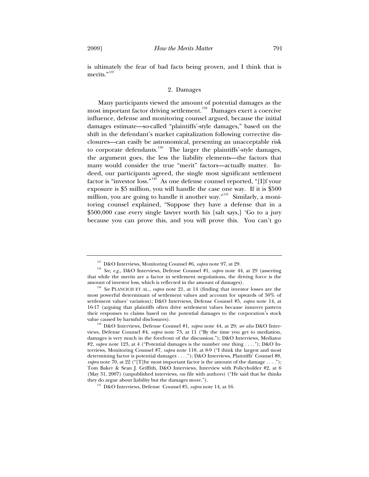is ultimately the fear of bad facts being proven, and I think that is merits."<sup>137</sup>

# 2. Damages

Many participants viewed the amount of potential damages as the most important factor driving settlement.<sup>138</sup> Damages exert a coercive influence, defense and monitoring counsel argued, because the initial damages estimate—so-called "plaintiffs'-style damages," based on the shift in the defendant's market capitalization following corrective disclosures—can easily be astronomical, presenting an unacceptable risk to corporate defendants.<sup>139</sup> The larger the plaintiffs'-style damages, the argument goes, the less the liability elements—the factors that many would consider the true "merit" factors—actually matter. Indeed, our participants agreed, the single most significant settlement factor is "investor loss."<sup>140</sup> As one defense counsel reported, "[I]f your exposure is \$5 million, you will handle the case one way. If it is \$500 million, you are going to handle it another way."<sup>141</sup> Similarly, a monitoring counsel explained, "Suppose they have a defense that in a \$500,000 case every single lawyer worth his [salt says,] 'Go to a jury because you can prove this, and you will prove this. You can't go

<sup>&</sup>lt;sup>137</sup> D&O Interviews, Monitoring Counsel #6, *supra* note 97, at 29.<br><sup>138</sup> *See, e.g.*, D&O Interviews, Defense Counsel #1, *supra* note 44, at 29 (asserting that while the merits are a factor in settlement negotiations, the driving force is the

amount of investor loss, which is reflected in the amount of damages). 139 *See* PLANCICH ET AL., *supra* note 21, at 14 (finding that investor losses are the most powerful determinant of settlement values and account for upwards of 50% of settlement values' variation); D&O Interviews, Defense Counsel #5, *supra* note 14, at 16-17 (arguing that plaintiffs often drive settlement values because insurers pattern their responses to claims based on the potential damages to the corporation's stock value caused by harmful disclosures). 140 D&O Interviews, Defense Counsel #1, *supra* note 44, at 29; *see also* D&O Inter-

views, Defense Counsel #4, *supra* note 73, at 11 ("By the time you get to mediation, damages is very much in the forefront of the discussion."); D&O Interviews, Mediator #2, *supra* note 123, at 4 ("Potential damages is the number one thing . . . ."); D&O Interviews, Monitoring Counsel #7, *supra* note 118, at 8-9 ("I think the largest and most determining factor is potential damages . . . ."); D&O Interviews, Plaintiffs' Counsel #8, *supra* note 70, at 22 ("[T]he most important factor is the amount of the damage . . . ."); Tom Baker & Sean J. Griffith, D&O Interviews, Interview with Policyholder #2, at 6 (May 31, 2007) (unpublished interviews, on file with authors) ("He said that he thinks they do argue about liability but the damages more.").

<sup>&</sup>lt;sup>141</sup> D&O Interviews, Defense Counsel #5, *supra* note 14, at 16.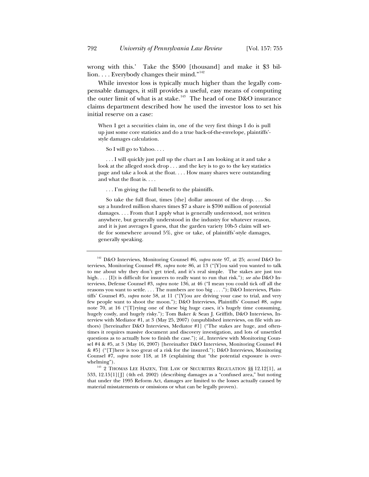wrong with this.' Take the \$500 [thousand] and make it \$3 billion. . . . Everybody changes their mind."<sup>142</sup>

While investor loss is typically much higher than the legally compensable damages, it still provides a useful, easy means of computing the outer limit of what is at stake.<sup>143</sup> The head of one D&O insurance claims department described how he used the investor loss to set his initial reserve on a case:

When I get a securities claim in, one of the very first things I do is pull up just some core statistics and do a true back-of-the-envelope, plaintiffs' style damages calculation.

So I will go to Yahoo. . . .

 . . . I will quickly just pull up the chart as I am looking at it and take a look at the alleged stock drop . . . and the key is to go to the key statistics page and take a look at the float. . . . How many shares were outstanding and what the float is. . . .

. . . I'm giving the full benefit to the plaintiffs.

 So take the full float, times [the] dollar amount of the drop. . . . So say a hundred million shares times \$7 a share is \$700 million of potential damages. . . . From that I apply what is generally understood, not written anywhere, but generally understood in the industry for whatever reason, and it is just averages I guess, that the garden variety 10b-5 claim will settle for somewhere around 5%, give or take, of plaintiffs'-style damages, generally speaking.

<sup>142</sup> D&O Interviews, Monitoring Counsel #6, *supra* note 97, at 25; *accord* D&O Interviews, Monitoring Counsel #8, *supra* note 86, at 13 ("[Y]ou said you wanted to talk to me about why they don't get tried, and it's real simple. The stakes are just too high. . . . [I]t is difficult for insurers to really want to run that risk."); *see also* D&O Interviews, Defense Counsel #3, *supra* note 136, at 46 ("I mean you could tick off all the reasons you want to settle. . . . The numbers are too big . . . ."); D&O Interviews, Plaintiffs' Counsel #5, *supra* note 58, at 11 ("[Y]ou are driving your case to trial, and very few people want to shoot the moon."); D&O Interviews, Plaintiffs' Counsel #8, *supra* note 70, at 16 ("[T]rying one of these big huge cases, it's hugely time consuming, hugely costly, and hugely risky."); Tom Baker & Sean J. Griffith, D&O Interviews, Interview with Mediator #1, at 3 (May 25, 2007) (unpublished interviews, on file with authors) [hereinafter D&O Interviews, Mediator #1] ("The stakes are huge, and oftentimes it requires massive document and discovery investigation, and lots of unsettled questions as to actually how to finish the case."); *id.*, Interview with Monitoring Counsel #4 & #5, at 3 (May 16, 2007) [hereinafter D&O Interviews, Monitoring Counsel #4 & #5] ("[T]here is too great of a risk for the insured."); D&O Interviews, Monitoring Counsel #7, *supra* note 118, at 18 (explaining that "the potential exposure is over-

whelming").<br><sup>143</sup> 2 THOMAS LEE HAZEN, THE LAW OF SECURITIES REGULATION §§ 12.12[1], at 533, 12.15[1][J] (4th ed. 2002) (describing damages as a "confused area," but noting that under the 1995 Reform Act, damages are limited to the losses actually caused by material misstatements or omissions or what can be legally proven).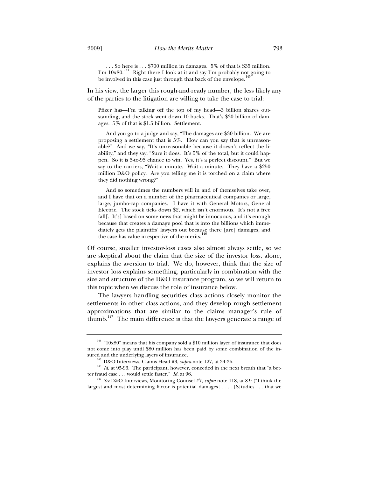. . . So here is . . . \$700 million in damages. 5% of that is \$35 million. I'm  $10x80$ .<sup>144</sup> Right there I look at it and say I'm probably not going to be involved in this case just through that back of the envelope.

In his view, the larger this rough-and-ready number, the less likely any of the parties to the litigation are willing to take the case to trial:

Pfizer has—I'm talking off the top of my head—3 billion shares outstanding, and the stock went down 10 bucks. That's \$30 billion of damages. 5% of that is \$1.5 billion. Settlement.

 And you go to a judge and say, "The damages are \$30 billion. We are proposing a settlement that is 5%. How can you say that is unreasonable?" And we say, "It's unreasonable because it doesn't reflect the liability," and they say, "Sure it does. It's 5% of the total, but it could happen. So it is 5-to-95 chance to win. Yes, it's a perfect discount." But we say to the carriers, "Wait a minute. Wait a minute. They have a \$250 million D&O policy. Are you telling me it is torched on a claim where they did nothing wrong?"

 And so sometimes the numbers will in and of themselves take over, and I have that on a number of the pharmaceutical companies or large, large, jumbo-cap companies. I have it with General Motors, General Electric. The stock ticks down \$2, which isn't enormous. It's not a free fall[. It's] based on some news that might be innocuous, and it's enough because that creates a damage pool that is into the billions which immediately gets the plaintiffs' lawyers out because there [are] damages, and the case has value irrespective of the merits.<sup>1</sup>

Of course, smaller investor-loss cases also almost always settle, so we are skeptical about the claim that the size of the investor loss, alone, explains the aversion to trial. We do, however, think that the size of investor loss explains something, particularly in combination with the size and structure of the D&O insurance program, so we will return to this topic when we discuss the role of insurance below.

The lawyers handling securities class actions closely monitor the settlements in other class actions, and they develop rough settlement approximations that are similar to the claims manager's rule of thumb.<sup>147</sup> The main difference is that the lawyers generate a range of

 $144$  " $10x80$ " means that his company sold a \$10 million layer of insurance that does not come into play until \$80 million has been paid by some combination of the in-

<sup>&</sup>lt;sup>145</sup> D&O Interviews, Claims Head #3, *supra* note 127, at 34-36. <sup>146</sup> *Id.* at 95-96. The participant, however, conceded in the next breath that "a bet-<br>ter fraud case . . . would settle faster." *Id.* at 96.

<sup>&</sup>lt;sup>147</sup> See D&O Interviews, Monitoring Counsel #7, *supra* note 118, at 8-9 ("I think the largest and most determining factor is potential damages[.] . . . [S]tudies . . . that we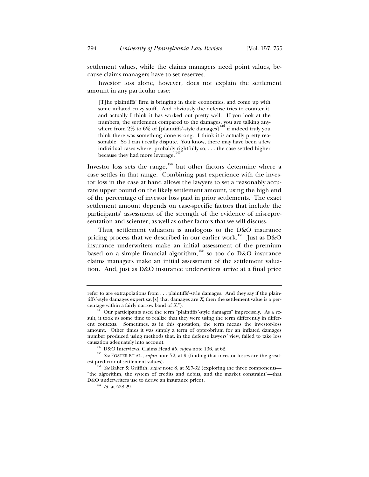settlement values, while the claims managers need point values, because claims managers have to set reserves.

Investor loss alone, however, does not explain the settlement amount in any particular case:

[T]he plaintiffs' firm is bringing in their economics, and come up with some inflated crazy stuff. And obviously the defense tries to counter it, and actually I think it has worked out pretty well. If you look at the numbers, the settlement compared to the damages, you are talking anywhere from 2% to 6% of [plaintiffs'-style damages]<sup>148</sup> if indeed truly you think there was something done wrong. I think it is actually pretty reasonable. So I can't really dispute. You know, there may have been a few individual cases where, probably rightfully so,  $\dots$  the case settled higher because they had more leverage.

Investor loss sets the range,<sup>150</sup> but other factors determine where a case settles in that range. Combining past experience with the investor loss in the case at hand allows the lawyers to set a reasonably accurate upper bound on the likely settlement amount, using the high end of the percentage of investor loss paid in prior settlements. The exact settlement amount depends on case-specific factors that include the participants' assessment of the strength of the evidence of misrepresentation and scienter, as well as other factors that we will discuss.

Thus, settlement valuation is analogous to the D&O insurance pricing process that we described in our earlier work.<sup>151</sup> Just as D&O insurance underwriters make an initial assessment of the premium based on a simple financial algorithm, $152$  so too do D&O insurance claims managers make an initial assessment of the settlement valuation. And, just as D&O insurance underwriters arrive at a final price

refer to are extrapolations from . . . plaintiffs'-style damages. And they say if the plaintiffs'-style damages expert say[s] that damages are *X*, then the settlement value is a percentage within a fairly narrow band of *X*.").

<sup>&</sup>lt;sup>148</sup> Our participants used the term "plaintiffs'-style damages" imprecisely. As a result, it took us some time to realize that they were using the term differently in different contexts. Sometimes, as in this quotation, the term means the investor-loss amount. Other times it was simply a term of opprobrium for an inflated damages number produced using methods that, in the defense lawyers' view, failed to take loss

<sup>&</sup>lt;sup>149</sup> D&O Interviews, Claims Head #5, *supra* note 136, at 62.<br><sup>150</sup> *See* FOSTER ET AL., *supra* note 72, at 9 (finding that investor losses are the great-<br>est predictor of settlement values).

<sup>&</sup>lt;sup>151</sup> See Baker & Griffith, *supra* note 8, at 527-32 (exploring the three components— "the algorithm, the system of credits and debits, and the market constraint"—that D&O underwriters use to derive an insurance price). 152 *Id.* at 528-29.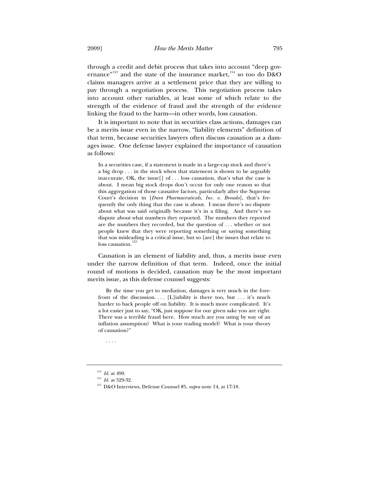through a credit and debit process that takes into account "deep governance"<sup>153</sup> and the state of the insurance market,<sup>154</sup> so too do D&O claims managers arrive at a settlement price that they are willing to pay through a negotiation process. This negotiation process takes into account other variables, at least some of which relate to the strength of the evidence of fraud and the strength of the evidence linking the fraud to the harm—in other words, loss causation.

It is important to note that in securities class actions, damages can be a merits issue even in the narrow, "liability elements" definition of that term, because securities lawyers often discuss causation as a damages issue. One defense lawyer explained the importance of causation as follows:

In a securities case, if a statement is made in a large-cap stock and there's a big drop . . . in the stock when that statement is shown to be arguably inaccurate, OK, the issue[] of . . . loss causation, that's what the case is about. I mean big stock drops don't occur for only one reason so that this aggregation of those causative factors, particularly after the Supreme Court's decision in [*Dura Pharmaceuticals, Inc. v. Broudo*], that's frequently the only thing that the case is about. I mean there's no dispute about what was said originally because it's in a filing. And there's no dispute about what numbers they reported. The numbers they reported are the numbers they recorded, but the question of . . . whether or not people knew that they were reporting something or saying something that was misleading is a critical issue, but so [are] the issues that relate to loss causation.

Causation is an element of liability and, thus, a merits issue even under the narrow definition of that term. Indeed, once the initial round of motions is decided, causation may be the most important merits issue, as this defense counsel suggests:

 By the time you get to mediation, damages is very much in the forefront of the discussion.... [L]iability is there too, but ... it's much harder to back people off on liability. It is much more complicated. It's a lot easier just to say, "OK, just suppose for our given sake you are right. There was a terrible fraud here. How much are you using by way of an inflation assumption? What is your trading model? What is your theory of causation?"

. . . .

<sup>&</sup>lt;sup>153</sup> *Id.* at 490.<br><sup>154</sup> *Id.* at 529-32.<br><sup>155</sup> D&O Interviews, Defense Counsel #5, *supra* note 14, at 17-18.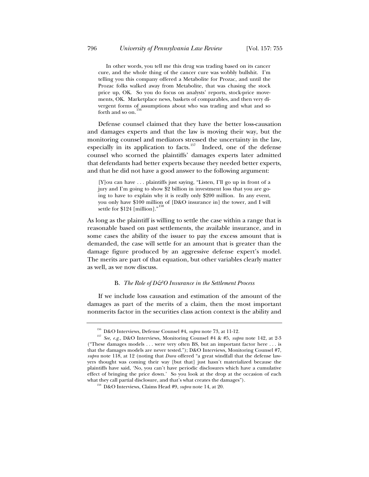In other words, you tell me this drug was trading based on its cancer cure, and the whole thing of the cancer cure was wobbly bullshit. I'm telling you this company offered a Metabolite for Prozac, and until the Prozac folks walked away from Metabolite, that was chasing the stock price up, OK. So you do focus on analysts' reports, stock-price movements, OK. Marketplace news, baskets of comparables, and then very divergent forms of assumptions about who was trading and what and so forth and so on.

Defense counsel claimed that they have the better loss-causation and damages experts and that the law is moving their way, but the monitoring counsel and mediators stressed the uncertainty in the law, especially in its application to facts.<sup>157</sup> Indeed, one of the defense counsel who scorned the plaintiffs' damages experts later admitted that defendants had better experts because they needed better experts, and that he did not have a good answer to the following argument:

[Y]ou can have . . . plaintiffs just saying, "Listen, I'll go up in front of a jury and I'm going to show \$2 billion in investment loss that you are going to have to explain why it is really only \$200 million. In any event, you only have \$100 million of [D&O insurance in] the tower, and I will settle for \$124 [million]."<sup>158</sup>

As long as the plaintiff is willing to settle the case within a range that is reasonable based on past settlements, the available insurance, and in some cases the ability of the issuer to pay the excess amount that is demanded, the case will settle for an amount that is greater than the damage figure produced by an aggressive defense expert's model. The merits are part of that equation, but other variables clearly matter as well, as we now discuss.

# B. The Role of  $D\mathcal{O}$  Insurance in the Settlement Process

If we include loss causation and estimation of the amount of the damages as part of the merits of a claim, then the most important nonmerits factor in the securities class action context is the ability and

<sup>&</sup>lt;sup>156</sup> D&O Interviews, Defense Counsel #4, *supra* note 73, at 11-12.<br><sup>157</sup> *See, e.g.*, D&O Interviews, Monitoring Counsel #4 & #5, *supra* note 142, at 2-3 ("These damages models . . . were very often BS, but an important factor here . . . is that the damages models are never tested."); D&O Interviews, Monitoring Counsel #7, *supra* note 118, at 12 (noting that *Dura* offered "a great windfall that the defense lawyers thought was coming their way [but that] just hasn't materialized because the plaintiffs have said, 'No, you can't have periodic disclosures which have a cumulative effect of bringing the price down.' So you look at the drop at the occasion of each what they call partial disclosure, and that's what creates the damages"). 158 D&O Interviews, Claims Head #9, *supra* note 14, at 20.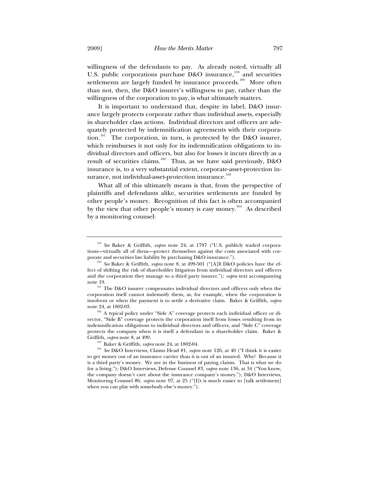willingness of the defendants to pay. As already noted, virtually all U.S. public corporations purchase D&O insurance,<sup>159</sup> and securities settlements are largely funded by insurance proceeds.<sup>160</sup> More often than not, then, the D&O insurer's willingness to pay, rather than the willingness of the corporation to pay, is what ultimately matters.

It is important to understand that, despite its label, D&O insurance largely protects corporate rather than individual assets, especially in shareholder class actions. Individual directors and officers are adequately protected by indemnification agreements with their corporation.<sup>161</sup> The corporation, in turn, is protected by the D&O insurer, which reimburses it not only for its indemnification obligations to individual directors and officers, but also for losses it incurs directly as a result of securities claims.<sup>162</sup> Thus, as we have said previously, D&O insurance is, to a very substantial extent, corporate-asset-protection insurance, not individual-asset-protection insurance.<sup>163</sup>

What all of this ultimately means is that, from the perspective of plaintiffs and defendants alike, securities settlements are funded by other people's money. Recognition of this fact is often accompanied by the view that other people's money is easy money.<sup>164</sup> As described by a monitoring counsel:

<sup>159</sup> *See* Baker & Griffith, *supra* note 24, at 1797 ("U.S. publicly traded corporations—virtually all of them—protect themselves against the costs associated with cor-<br>porate and securities law liability by purchasing D&O insurance.").

<sup>&</sup>lt;sup>160</sup> See Baker & Griffith, *supra* note 8, at 499-501 ("[A]ll D&O policies have the effect of shifting the risk of shareholder litigation from individual directors and officers and the corporation they manage to a third party insurer."); *supra* text accompanying

note 19. 161 The D&O insurer compensates individual directors and officers only when the corporation itself cannot indemnify them, as, for example, when the corporation is insolvent or when the payment is to settle a derivative claim. Baker & Griffith, *supra* note 24, at 1802-03.<br><sup>162</sup> A typical policy under "Side A" coverage protects each individual officer or di-

rector, "Side B" coverage protects the corporation itself from losses resulting from its indemnification obligations to individual directors and officers, and "Side C" coverage protects the company when it is itself a defendant in a shareholder claim. Baker & Griffith, *supra* note 8, at 499.<br><sup>163</sup> Baker & Griffith, *supra* note 24, at 1802-04.

<sup>164</sup> *See* D&O Interviews, Claims Head #1, *supra* note 126, at 40 ("I think it is easier to get money out of an insurance carrier than it is out of an insured. Why? Because it is a third party's money. We are in the business of paying claims. That is what we do for a living."); D&O Interviews, Defense Counsel #3, *supra* note 136, at 34 ("You know, the company doesn't care about the insurance company's money."); D&O Interviews, Monitoring Counsel #6, *supra* note 97, at 25 ("[I]t is much easier to [talk settlement] when you can play with somebody else's money.").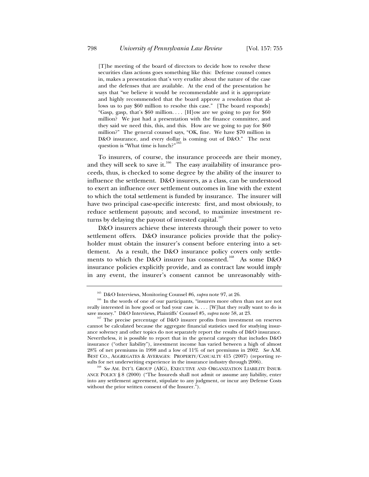[T]he meeting of the board of directors to decide how to resolve these securities class actions goes something like this: Defense counsel comes in, makes a presentation that's very erudite about the nature of the case and the defenses that are available. At the end of the presentation he says that "we believe it would be recommendable and it is appropriate and highly recommended that the board approve a resolution that allows us to pay \$60 million to resolve this case." [The board responds] "Gasp, gasp, that's \$60 million.... [H]ow are we going to pay for \$60 million? We just had a presentation with the finance committee, and they said we need this, this, and this. How are we going to pay for \$60 million?" The general counsel says, "OK, fine. We have \$70 million in D&O insurance, and every dollar is coming out of D&O." The next question is "What time is lunch?"<sup>165</sup>

To insurers, of course, the insurance proceeds are their money, and they will seek to save it.<sup>166</sup> The easy availability of insurance proceeds, thus, is checked to some degree by the ability of the insurer to influence the settlement. D&O insurers, as a class, can be understood to exert an influence over settlement outcomes in line with the extent to which the total settlement is funded by insurance. The insurer will have two principal case-specific interests: first, and most obviously, to reduce settlement payouts; and second, to maximize investment returns by delaying the payout of invested capital. $167$ 

D&O insurers achieve these interests through their power to veto settlement offers. D&O insurance policies provide that the policyholder must obtain the insurer's consent before entering into a settlement. As a result, the D&O insurance policy covers only settlements to which the D&O insurer has consented.<sup>168</sup> As some D&O insurance policies explicitly provide, and as contract law would imply in any event, the insurer's consent cannot be unreasonably with-

<sup>&</sup>lt;sup>165</sup> D&O Interviews, Monitoring Counsel #6, *supra* note 97, at 26.<br><sup>166</sup> In the words of one of our participants, "insurers more often than not are not really interested in how good or bad your case is. . . . [W]hat they really want to do is save money." D&O Interviews, Plaintiffs' Counsel #5, *subra* note 58, at 23.

<sup>&</sup>lt;sup>167</sup> The precise percentage of D&O insurer profits from investment on reserves cannot be calculated because the aggregate financial statistics used for studying insurance solvency and other topics do not separately report the results of D&O insurance. Nevertheless, it is possible to report that in the general category that includes D&O insurance ("other liability"), investment income has varied between a high of almost 28% of net premiums in 1998 and a low of 11% of net premiums in 2002. *See* A.M. BEST CO., AGGREGATES & AVERAGES: PROPERTY/CASUALTY 415 (2007) (reporting results for net underwriting experience in the insurance industry through 2006).<br><sup>168</sup> *See* AM. INT'L GROUP (AIG), EXECUTIVE AND ORGANIZATION LIABILITY INSUR-

ANCE POLICY § 8 (2000) ("The Insureds shall not admit or assume any liability, enter into any settlement agreement, stipulate to any judgment, or incur any Defense Costs without the prior written consent of the Insurer.").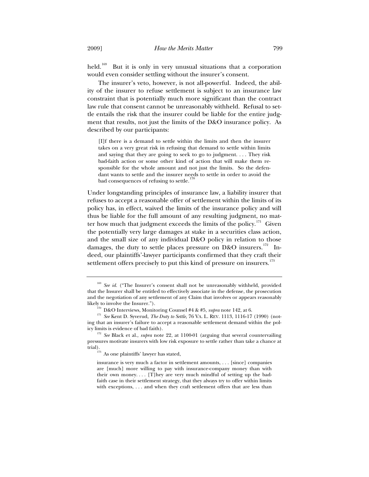held.<sup>169</sup> But it is only in very unusual situations that a corporation would even consider settling without the insurer's consent.

The insurer's veto, however, is not all-powerful. Indeed, the ability of the insurer to refuse settlement is subject to an insurance law constraint that is potentially much more significant than the contract law rule that consent cannot be unreasonably withheld. Refusal to settle entails the risk that the insurer could be liable for the entire judgment that results, not just the limits of the D&O insurance policy. As described by our participants:

[I]f there is a demand to settle within the limits and then the insurer takes on a very great risk in refusing that demand to settle within limits and saying that they are going to seek to go to judgment. . . . They risk bad-faith action or some other kind of action that will make them responsible for the whole amount and not just the limits. So the defendant wants to settle and the insurer needs to settle in order to avoid the bad consequences of refusing to settle.

Under longstanding principles of insurance law, a liability insurer that refuses to accept a reasonable offer of settlement within the limits of its policy has, in effect, waived the limits of the insurance policy and will thus be liable for the full amount of any resulting judgment, no matter how much that judgment exceeds the limits of the policy.<sup>171</sup> Given the potentially very large damages at stake in a securities class action, and the small size of any individual D&O policy in relation to those damages, the duty to settle places pressure on D&O insurers.<sup>172</sup> Indeed, our plaintiffs'-lawyer participants confirmed that they craft their settlement offers precisely to put this kind of pressure on insurers.<sup>173</sup>

insurance is very much a factor in settlement amounts, . . . [since] companies are [much] more willing to pay with insurance-company money than with their own money.... [T] hey are very much mindful of setting up the badfaith case in their settlement strategy, that they always try to offer within limits with exceptions, . . . and when they craft settlement offers that are less than

<sup>&</sup>lt;sup>169</sup> See id. ("The Insurer's consent shall not be unreasonably withheld, provided that the Insurer shall be entitled to effectively associate in the defense, the prosecution and the negotiation of any settlement of any Claim that involves or appears reasonably

likely to involve the Insurer.").<br><sup>170</sup> D&O Interviews, Monitoring Counsel #4 & #5, *supra* note 142, at 6.<br><sup>171</sup> *See* Kent D. Syverud, *The Duty to Settle*, 76 VA. L. REV. 1113, 1116-17 (1990) (noting that an insurer's failure to accept a reasonable settlement demand within the pol-

icy limits is evidence of bad faith). 172 *See* Black et al., *supra* note 22, at 1100-01 (arguing that several countervailing pressures motivate insurers with low risk exposure to settle rather than take a chance at trial).<br> $173$  As one plaintiffs' lawyer has stated,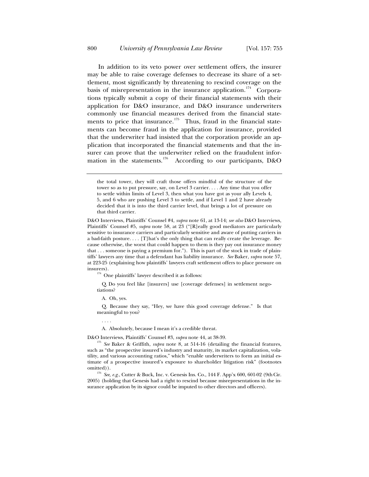In addition to its veto power over settlement offers, the insurer may be able to raise coverage defenses to decrease its share of a settlement, most significantly by threatening to rescind coverage on the basis of misrepresentation in the insurance application.<sup>174</sup> Corporations typically submit a copy of their financial statements with their application for D&O insurance, and D&O insurance underwriters commonly use financial measures derived from the financial statements to price that insurance.<sup>175</sup> Thus, fraud in the financial statements can become fraud in the application for insurance, provided that the underwriter had insisted that the corporation provide an application that incorporated the financial statements and that the insurer can prove that the underwriter relied on the fraudulent information in the statements.<sup>176</sup> According to our participants, D&O

D&O Interviews, Plaintiffs' Counsel #4, *supra* note 61, at 13-14; *see also* D&O Interviews, Plaintiffs' Counsel #5, *supra* note 58, at 23 ("[R]eally good mediators are particularly sensitive to insurance carriers and particularly sensitive and aware of putting carriers in a bad-faith posture. . . . [T]hat's the only thing that can really create the leverage. Because otherwise, the worst that could happen to them is they pay out insurance money that . . . someone is paying a premium for."). This is part of the stock in trade of plaintiffs' lawyers any time that a defendant has liability insurance. *See* Baker, *supra* note 57, at 223-25 (explaining how plaintiffs' lawyers craft settlement offers to place pressure on insurers).

 $174$  One plaintiffs' lawyer described it as follows:

 Q. Do you feel like [insurers] use [coverage defenses] in settlement negotiations?

A. Oh, yes.

 Q. Because they say, "Hey, we have this good coverage defense." Is that meaningful to you?

. . . .

A. Absolutely, because I mean it's a credible threat.

omitted)). 176 *See, e.g.*, Cutter & Buck, Inc. v. Genesis Ins. Co., 144 F. App'x 600, 601-02 (9th Cir. 2005) (holding that Genesis had a right to rescind because misrepresentations in the insurance application by its signor could be imputed to other directors and officers).

the total tower, they will craft those offers mindful of the structure of the tower so as to put pressure, say, on Level 3 carrier. . . . Any time that you offer to settle within limits of Level 3, then what you have got as your ally Levels 4, 5, and 6 who are pushing Level 3 to settle, and if Level 1 and 2 have already decided that it is into the third carrier level, that brings a lot of pressure on that third carrier.

D&O Interviews, Plaintiffs' Counsel #3, *supra* note 44, at 38-39. 175 *See* Baker & Griffith, *supra* note 8, at 514-16 (detailing the financial features, such as "the prospective insured's industry and maturity, its market capitalization, volatility, and various accounting ratios," which "enable underwriters to form an initial estimate of a prospective insured's exposure to shareholder litigation risk" (footnotes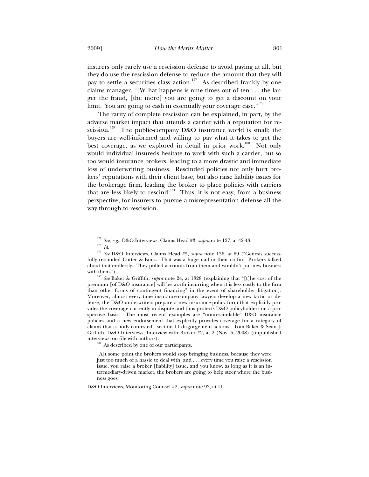insurers only rarely use a rescission defense to avoid paying at all, but they do use the rescission defense to reduce the amount that they will pay to settle a securities class action.<sup>177</sup> As described frankly by one claims manager, "[W]hat happens is nine times out of ten . . . the larger the fraud, [the more] you are going to get a discount on your limit. You are going to cash in essentially your coverage case."<sup>178</sup>

The rarity of complete rescission can be explained, in part, by the adverse market impact that attends a carrier with a reputation for rescission.<sup>179</sup> The public-company D&O insurance world is small; the buyers are well-informed and willing to pay what it takes to get the best coverage, as we explored in detail in prior work.<sup>180</sup> Not only would individual insureds hesitate to work with such a carrier, but so too would insurance brokers, leading to a more drastic and immediate loss of underwriting business. Rescinded policies not only hurt brokers' reputations with their client base, but also raise liability issues for the brokerage firm, leading the broker to place policies with carriers that are less likely to rescind.<sup>181</sup> Thus, it is not easy, from a business perspective, for insurers to pursue a misrepresentation defense all the way through to rescission.

<sup>180</sup> *See* Baker & Griffith, *supra* note 24, at 1828 (explaining that "[t]he cost of the premium [of D&O insurance] will be worth incurring when it is less costly to the firm than other forms of contingent financing" in the event of shareholder litigation). Moreover, almost every time insurance-company lawyers develop a new tactic or defense, the D&O underwriters prepare a new insurance-policy form that explicitly provides the coverage currently in dispute and thus protects D&O policyholders on a prospective basis. The most recent examples are "nonrescindable" D&O insurance policies and a new endorsement that explicitly provides coverage for a category of claims that is hotly contested: section 11 disgorgement actions. Tom Baker & Sean J. Griffith, D&O Interviews, Interview with Broker #2, at 2 (Nov. 6, 2008) (unpublished interviews, on file with authors). 181 As described by one of our participants,

[A]t some point the brokers would stop bringing business, because they were just too much of a hassle to deal with, and . . . every time you raise a rescission issue, you raise a broker [liability] issue, and you know, as long as it is an intermediary-driven market, the brokers are going to help steer where the business goes.

D&O Interviews, Monitoring Counsel #2, *supra* note 93, at 11.

 $^{177}_{178}$  *See, e.g.*, D&O Interviews, Claims Head #3, *supra* note 127, at 42-43.

<sup>179</sup> *See* D&O Interviews, Claims Head #5, *supra* note 136, at 69 ("Genesis successfully rescinded Cutter & Buck. That was a huge nail in their coffin. Brokers talked about that endlessly. They pulled accounts from them and wouldn't put new business with them.").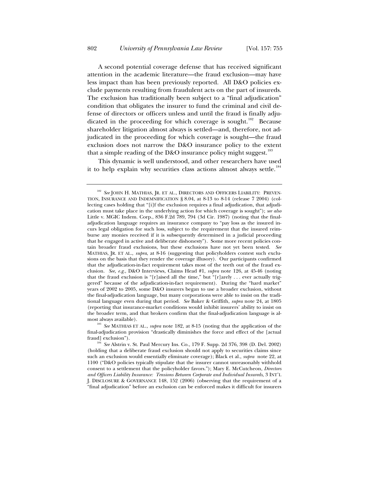A second potential coverage defense that has received significant attention in the academic literature—the fraud exclusion—may have less impact than has been previously reported. All D&O policies exclude payments resulting from fraudulent acts on the part of insureds. The exclusion has traditionally been subject to a "final adjudication" condition that obligates the insurer to fund the criminal and civil defense of directors or officers unless and until the fraud is finally adjudicated in the proceeding for which coverage is sought.<sup>182</sup> Because shareholder litigation almost always is settled—and, therefore, not adjudicated in the proceeding for which coverage is sought—the fraud exclusion does not narrow the D&O insurance policy to the extent that a simple reading of the D&O insurance policy might suggest.<sup>183</sup>

This dynamic is well understood, and other researchers have used it to help explain why securities class actions almost always settle.<sup>184</sup>

<sup>&</sup>lt;sup>182</sup> See JOHN H. MATHIAS, JR. ET AL., DIRECTORS AND OFFICERS LIABILITY: PREVEN-TION, INSURANCE AND INDEMNIFICATION § 8.04, at 8-13 to 8-14 (release 7 2004) (collecting cases holding that "[i]f the exclusion requires a final adjudication, that adjudication must take place in the underlying action for which coverage is sought"); *see also* Little v. MGIC Indem. Corp., 836 F.2d 789, 794 (3d Cir. 1987) (noting that the finaladjudication language requires an insurance company to "pay loss as the insured incurs legal obligation for such loss, subject to the requirement that the insured reimburse any monies received if it is subsequently determined in a judicial proceeding that he engaged in active and deliberate dishonesty"). Some more recent policies contain broader fraud exclusions, but these exclusions have not yet been tested. *See* MATHIAS, JR. ET AL., *supra*, at 8-16 (suggesting that policyholders contest such exclusions on the basis that they render the coverage illusory). Our participants confirmed that the adjudication-in-fact requirement takes most of the teeth out of the fraud exclusion. *See, e.g.*, D&O Interviews, Claims Head #1, *supra* note 126, at 45-46 (noting that the fraud exclusion is "[r]aised all the time," but "[r]arely . . . ever actually triggered" because of the adjudication-in-fact requirement). During the "hard market" years of 2002 to 2005, some D&O insurers began to use a broader exclusion, without the final-adjudication language, but many corporations were able to insist on the traditional language even during that period. *See* Baker & Griffith, *supra* note 24, at 1805 (reporting that insurance-market conditions would inhibit insurers' ability to insist on the broader term, and that brokers confirm that the final-adjudication language is almost always available).<br><sup>183</sup> *See* MATHIAS ET AL., *supra* note 182, at 8-15 (noting that the application of the

final-adjudication provision "drastically diminishes the force and effect of the [actual

fraud] exclusion"). 184 *See* Alstrin v. St. Paul Mercury Ins. Co., 179 F. Supp. 2d 376, 398 (D. Del. 2002) (holding that a deliberate fraud exclusion should not apply to securities claims since such an exclusion would essentially eliminate coverage); Black et al., *supra* note 22, at 1100 ("D&O policies typically stipulate that the insurer cannot unreasonably withhold consent to a settlement that the policyholder favors."); Mary E. McCutcheon, *Directors and Officers Liability Insurance: Tensions Between Corporate and Individual Insureds*, 3 INT'L J. DISCLOSURE & GOVERNANCE 148, 152 (2006) (observing that the requirement of a "final adjudication" before an exclusion can be enforced makes it difficult for insurers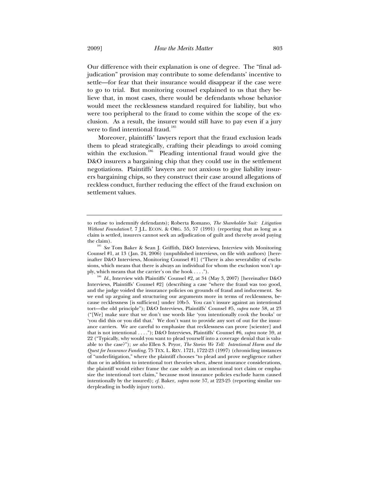Our difference with their explanation is one of degree. The "final adjudication" provision may contribute to some defendants' incentive to settle—for fear that their insurance would disappear if the case were to go to trial. But monitoring counsel explained to us that they believe that, in most cases, there would be defendants whose behavior would meet the recklessness standard required for liability, but who were too peripheral to the fraud to come within the scope of the exclusion. As a result, the insurer would still have to pay even if a jury were to find intentional fraud.<sup>185</sup>

Moreover, plaintiffs' lawyers report that the fraud exclusion leads them to plead strategically, crafting their pleadings to avoid coming within the exclusion.<sup>186</sup> Pleading intentional fraud would give the D&O insurers a bargaining chip that they could use in the settlement negotiations. Plaintiffs' lawyers are not anxious to give liability insurers bargaining chips, so they construct their case around allegations of reckless conduct, further reducing the effect of the fraud exclusion on settlement values.

to refuse to indemnify defendants); Roberta Romano, *The Shareholder Suit: Litigation Without Foundation?*, 7 J.L. ECON. & ORG. 55, 57 (1991) (reporting that as long as a claim is settled, insurers cannot seek an adjudication of guilt and thereby avoid paying

the claim). 185 *See* Tom Baker & Sean J. Griffith, D&O Interviews, Interview with Monitoring Counsel #1, at 13 (Jan. 24, 2006) (unpublished interviews, on file with authors) [hereinafter D&O Interviews, Monitoring Counsel #1] ("There is also severability of exclusions, which means that there is always an individual for whom the exclusion won't ap-<br>ply, which means that the carrier's on the hook  $\dots$ .").

Id., Interview with Plaintiffs' Counsel #2, at 34 (May 3, 2007) [hereinafter D&O Interviews, Plaintiffs' Counsel #2] (describing a case "where the fraud was too good, and the judge voided the insurance policies on grounds of fraud and inducement. So we end up arguing and structuring our arguments more in terms of recklessness, because recklessness [is sufficient] under 10b-5. You can't insure against an intentional tort—the old principle"); D&O Interviews, Plaintiffs' Counsel #5, *supra* note 58, at 23 ("[We] make sure that we don't use words like 'you intentionally cook the books' or 'you did this or you did that.' We don't want to provide any sort of out for the insurance carriers. We are careful to emphasize that recklessness can prove [scienter] and that is not intentional . . . ."); D&O Interviews, Plaintiffs' Counsel #6, *supra* note 59, at 22 ("Typically, why would you want to plead yourself into a coverage denial that is valuable to the case?"); *see also* Ellen S. Pryor, *The Stories We Tell: Intentional Harm and the Quest for Insurance Funding*, 75 TEX. L. REV. 1721, 1722-23 (1997) (chronicling instances of "underlitigation," where the plaintiff chooses "to plead and prove negligence rather than or in addition to intentional tort theories when, absent insurance considerations, the plaintiff would either frame the case solely as an intentional tort claim or emphasize the intentional tort claim," because most insurance policies exclude harm caused intentionally by the insured); *cf.* Baker, *supra* note 57, at 223-25 (reporting similar underpleading in bodily injury torts).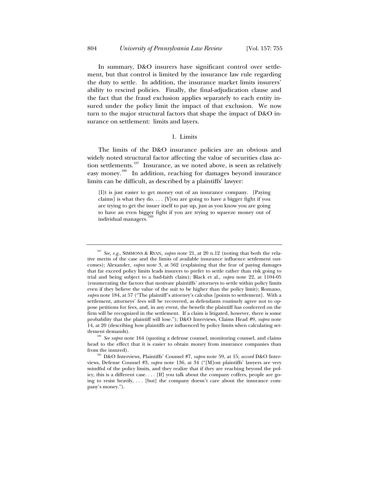In summary, D&O insurers have significant control over settlement, but that control is limited by the insurance law rule regarding the duty to settle. In addition, the insurance market limits insurers' ability to rescind policies. Finally, the final-adjudication clause and the fact that the fraud exclusion applies separately to each entity insured under the policy limit the impact of that exclusion. We now turn to the major structural factors that shape the impact of D&O insurance on settlement: limits and layers.

# 1. Limits

The limits of the D&O insurance policies are an obvious and widely noted structural factor affecting the value of securities class action settlements.<sup>187</sup> Insurance, as we noted above, is seen as relatively easy money.<sup>188</sup> In addition, reaching for damages beyond insurance limits can be difficult, as described by a plaintiffs' lawyer:

[I]t is just easier to get money out of an insurance company. [Paying claims] is what they do.  $\ldots$  [Y] ou are going to have a bigger fight if you are trying to get the issuer itself to pay up, just as you know you are going to have an even bigger fight if you are trying to squeeze money out of individual managers.

<sup>187</sup> *See, e.g.*, SIMMONS & RYAN, *supra* note 21, at 20 n.12 (noting that both the relative merits of the case and the limits of available insurance influence settlement outcomes); Alexander, *supra* note 3, at 562 (explaining that the fear of paying damages that far exceed policy limits leads insurers to prefer to settle rather than risk going to trial and being subject to a bad-faith claim); Black et al., *supra* note 22, at 1104-05 (enumerating the factors that motivate plaintiffs' attorneys to settle within policy limits even if they believe the value of the suit to be higher than the policy limit); Romano, *supra* note 184, at 57 ("The plaintiff's attorney's calculus [points to settlement]. With a settlement, attorneys' fees will be recovered, as defendants routinely agree not to oppose petitions for fees, and, in any event, the benefit the plaintiff has conferred on the firm will be recognized in the settlement. If a claim is litigated, however, there is some probability that the plaintiff will lose."); D&O Interviews, Claims Head #9, *supra* note 14, at 20 (describing how plaintiffs are influenced by policy limits when calculating set-

tlement demands).<br><sup>188</sup> *See supra* note 164 (quoting a defense counsel, monitoring counsel, and claims head to the effect that it is easier to obtain money from insurance companies than from the insured). 189 D&O Interviews, Plaintiffs' Counsel #7, *supra* note 59, at 15; *accord* D&O Inter-

views, Defense Counsel #3, *supra* note 136, at 34 ("[M]ost plaintiffs' lawyers are very mindful of the policy limits, and they realize that if they are reaching beyond the policy, this is a different case. . . . [If] you talk about the company coffers, people are going to resist heavily, . . . [but] the company doesn't care about the insurance company's money.").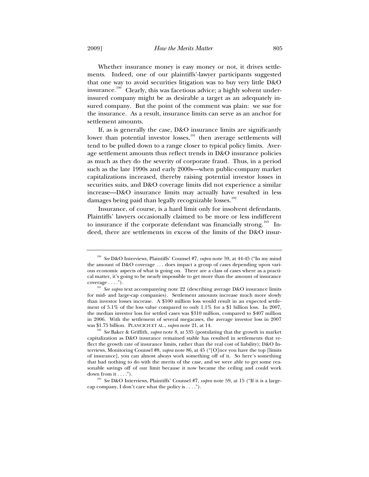Whether insurance money is easy money or not, it drives settlements. Indeed, one of our plaintiffs'-lawyer participants suggested that one way to avoid securities litigation was to buy very little D&O insurance.<sup>190</sup> Clearly, this was facetious advice; a highly solvent underinsured company might be as desirable a target as an adequately insured company. But the point of the comment was plain: we sue for the insurance. As a result, insurance limits can serve as an anchor for settlement amounts.

If, as is generally the case, D&O insurance limits are significantly lower than potential investor losses, $\frac{191}{2}$  then average settlements will tend to be pulled down to a range closer to typical policy limits. Average settlement amounts thus reflect trends in D&O insurance policies as much as they do the severity of corporate fraud. Thus, in a period such as the late 1990s and early 2000s—when public-company market capitalizations increased, thereby raising potential investor losses in securities suits, and D&O coverage limits did not experience a similar increase—D&O insurance limits may actually have resulted in less damages being paid than legally recognizable losses.<sup>192</sup>

Insurance, of course, is a hard limit only for insolvent defendants. Plaintiffs' lawyers occasionally claimed to be more or less indifferent to insurance if the corporate defendant was financially strong.<sup>193</sup> Indeed, there are settlements in excess of the limits of the D&O insur-

<sup>190</sup> *See* D&O Interviews, Plaintiffs' Counsel #7, *supra* note 59, at 44-45 ("In my mind the amount of D&O coverage . . . does impact a group of cases depending upon various economic aspects of what is going on. There are a class of cases where as a practical matter, it's going to be nearly impossible to get more than the amount of insurance

coverage . . . ."). 191 *See supra* text accompanying note 22 (describing average D&O insurance limits for mid- and large-cap companies). Settlement amounts increase much more slowly than investor losses increase. A \$100 million loss would result in an expected settlement of 5.1% of the loss value compared to only 1.1% for a \$1 billion loss. In 2007, the median investor loss for settled cases was \$310 million, compared to \$407 million in 2006. With the settlement of several megacases, the average investor loss in 2007

was \$1.75 billion. PLANCICH ET AL., *supra* note 21, at 14.<br><sup>192</sup> *See* Baker & Griffith, *supra* note 8, at 535 (postulating that the growth in market capitalization as D&O insurance remained stable has resulted in settlements that reflect the growth rate of insurance limits, rather than the real cost of liability); D&O Interviews, Monitoring Counsel #8, *supra* note 86, at 45 ("[O]nce you have the top [limits of insurance], you can almost always work something off of it. So here's something that had nothing to do with the merits of the case, and we were able to get some reasonable savings off of our limit because it now became the ceiling and could work down from it . . . .").

<sup>&</sup>lt;sup>193</sup> See D&O Interviews, Plaintiffs' Counsel #7, *supra* note 59, at 15 ("If it is a largecap company, I don't care what the policy is . . . .").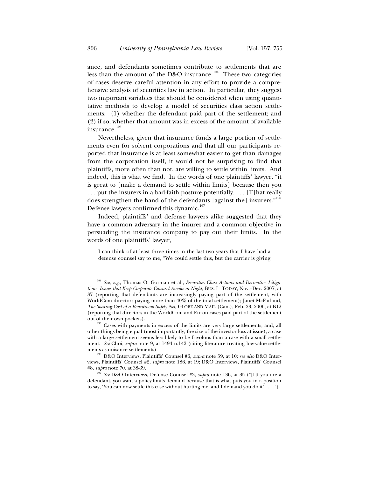ance, and defendants sometimes contribute to settlements that are less than the amount of the D&O insurance.<sup>194</sup> These two categories of cases deserve careful attention in any effort to provide a comprehensive analysis of securities law in action. In particular, they suggest two important variables that should be considered when using quantitative methods to develop a model of securities class action settlements: (1) whether the defendant paid part of the settlement; and (2) if so, whether that amount was in excess of the amount of available insurance.<sup>195</sup>

Nevertheless, given that insurance funds a large portion of settlements even for solvent corporations and that all our participants reported that insurance is at least somewhat easier to get than damages from the corporation itself, it would not be surprising to find that plaintiffs, more often than not, are willing to settle within limits. And indeed, this is what we find. In the words of one plaintiffs' lawyer, "it is great to [make a demand to settle within limits] because then you . . . put the insurers in a bad-faith posture potentially. . . . [T]hat really does strengthen the hand of the defendants [against the] insurers."<sup>196</sup> Defense lawyers confirmed this dynamic.<sup>197</sup>

Indeed, plaintiffs' and defense lawyers alike suggested that they have a common adversary in the insurer and a common objective in persuading the insurance company to pay out their limits. In the words of one plaintiffs' lawyer,

I can think of at least three times in the last two years that I have had a defense counsel say to me, "We could settle this, but the carrier is giving

<sup>194</sup> *See, e.g.*, Thomas O. Gorman et al., *Securities Class Actions and Derivative Litigation: Issues that Keep Corporate Counsel Awake at Night*, BUS. L. TODAY, Nov.–Dec. 2007, at 37 (reporting that defendants are increasingly paying part of the settlement, with WorldCom directors paying more than 40% of the total settlement); Janet McFarland, *The Soaring Cost of a Boardroom Safety Net*, GLOBE AND MAIL (Can.), Feb. 23, 2006, at B12 (reporting that directors in the WorldCom and Enron cases paid part of the settlement

<sup>&</sup>lt;sup>195</sup> Cases with payments in excess of the limits are very large settlements, and, all other things being equal (most importantly, the size of the investor loss at issue), a case with a large settlement seems less likely to be frivolous than a case with a small settlement. *See* Choi, *supra* note 9, at 1494 n.142 (citing literature treating low-value settlements as nuisance settlements). 196 D&O Interviews, Plaintiffs' Counsel #6, *supra* note 59, at 10; *see also* D&O Inter-

views, Plaintiffs' Counsel #2, *supra* note 186, at 19; D&O Interviews, Plaintiffs' Counsel #8, *supra* note 70, at 38-39. 197 *See* D&O Interviews, Defense Counsel #3, *supra* note 136, at 35 ("[I]f you are a

defendant, you want a policy-limits demand because that is what puts you in a position to say, 'You can now settle this case without hurting me, and I demand you do it' . . . .").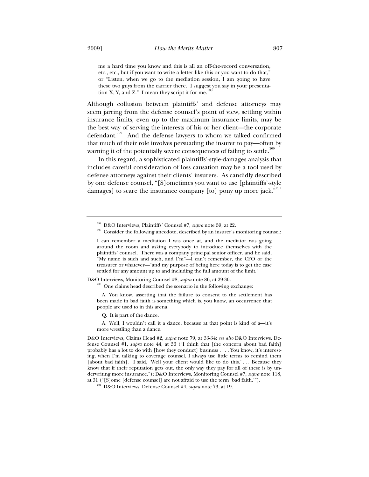me a hard time you know and this is all an off-the-record conversation, etc., etc., but if you want to write a letter like this or you want to do that," or "Listen, when we go to the mediation session, I am going to have these two guys from the carrier there. I suggest you say in your presentation X, Y, and Z." I mean they script it for me.<sup>198</sup>

Although collusion between plaintiffs' and defense attorneys may seem jarring from the defense counsel's point of view, settling within insurance limits, even up to the maximum insurance limits, may be the best way of serving the interests of his or her client—the corporate defendant.<sup>199</sup> And the defense lawyers to whom we talked confirmed that much of their role involves persuading the insurer to pay—often by warning it of the potentially severe consequences of failing to settle.<sup>200</sup>

In this regard, a sophisticated plaintiffs'-style-damages analysis that includes careful consideration of loss causation may be a tool used by defense attorneys against their clients' insurers. As candidly described by one defense counsel, "[S]ometimes you want to use [plaintiffs'-style damages] to scare the insurance company [to] pony up more jack." $201$ 

D&O Interviews, Monitoring Counsel #8, *supra* note 86, at 29-30.<br><sup>200</sup> One claims head described the scenario in the following exchange:

 A. You know, asserting that the failure to consent to the settlement has been made in bad faith is something which is, you know, an occurrence that people are used to in this arena.

Q. It is part of the dance.

 A. Well, I wouldn't call it a dance, because at that point is kind of a—it's more wrestling than a dance.

<sup>&</sup>lt;sup>198</sup> D&O Interviews, Plaintiffs' Counsel #7, *supra* note 59, at 22.<br><sup>199</sup> Consider the following anecdote, described by an insurer's monitoring counsel:

I can remember a mediation I was once at, and the mediator was going around the room and asking everybody to introduce themselves with the plaintiffs' counsel. There was a company principal senior officer, and he said, "My name is such and such, and I'm"—I can't remember, the CFO or the treasurer or whatever—"and my purpose of being here today is to get the case settled for any amount up to and including the full amount of the limit."

D&O Interviews, Claims Head #2, *supra* note 79, at 33-34; *see also* D&O Interviews, Defense Counsel #1, *supra* note 44, at 36 ("I think that [the concern about bad faith] probably has a lot to do with [how they conduct] business . . . . You know, it's interesting, when I'm talking to coverage counsel, I always use little terms to remind them [about bad faith]. I said, 'Well your client would like to do this.' . . . Because they know that if their reputation gets out, the only way they pay for all of these is by underwriting more insurance."); D&O Interviews, Monitoring Counsel #7, *supra* note 118, at 31 ("[S]ome [defense counsel] are not afraid to use the term 'bad faith.'"). 201 D&O Interviews, Defense Counsel #4, *supra* note 73, at 19.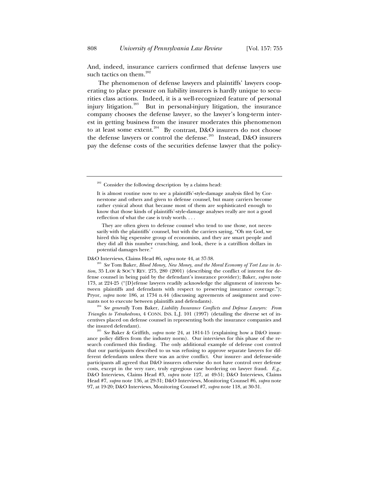And, indeed, insurance carriers confirmed that defense lawyers use such tactics on them. $202$ 

The phenomenon of defense lawyers and plaintiffs' lawyers cooperating to place pressure on liability insurers is hardly unique to securities class actions. Indeed, it is a well-recognized feature of personal injury litigation.<sup>203</sup> But in personal-injury litigation, the insurance company chooses the defense lawyer, so the lawyer's long-term interest in getting business from the insurer moderates this phenomenon to at least some extent.<sup>204</sup> By contrast, D&O insurers do not choose the defense lawyers or control the defense.<sup>205</sup> Instead, D&O insurers pay the defense costs of the securities defense lawyer that the policy-

 They are often given to defense counsel who tend to use those, not necessarily with the plaintiffs' counsel, but with the carriers saying, "Oh my God, we hired this big expensive group of economists, and they are smart people and they did all this number crunching, and look, there is a catrillion dollars in potential damages here."

D&O Interviews, Claims Head #6, *supra* note 44, at 37-38.<br><sup>203</sup> *See* Tom Baker, *Blood Money, New Money, and the Moral Economy of Tort Law in Action*, 35 LAW & SOC'Y REV. 275, 280 (2001) (describing the conflict of interest for defense counsel in being paid by the defendant's insurance provider); Baker, *supra* note 173, at 224-25 ("[D]efense lawyers readily acknowledge the alignment of interests between plaintiffs and defendants with respect to preserving insurance coverage."); Pryor, *supra* note 186, at 1734 n.44 (discussing agreements of assignment and cove-

nants not to execute between plaintiffs and defendants).<br><sup>204</sup> *See generally* Tom Baker, *Liability Insurance Conflicts and Defense Lawyers: From Triangles to Tetrahedrons*, 4 CONN. INS. L.J. 101 (1997) (detailing the diverse set of incentives placed on defense counsel in representing both the insurance companies and the insured defendant). 205 *See* Baker & Griffith, *supra* note 24, at 1814-15 (explaining how a D&O insur-

 $202$  Consider the following description by a claims head:

It is almost routine now to see a plaintiffs'-style-damage analysis filed by Cornerstone and others and given to defense counsel, but many carriers become rather cynical about that because most of them are sophisticated enough to know that those kinds of plaintiffs'-style-damage analyses really are not a good reflection of what the case is truly worth. . . .

ance policy differs from the industry norm). Our interviews for this phase of the research confirmed this finding. The only additional example of defense cost control that our participants described to us was refusing to approve separate lawyers for different defendants unless there was an active conflict. Our insurer- and defense-side participants all agreed that D&O insurers otherwise do not have control over defense costs, except in the very rare, truly egregious case bordering on lawyer fraud. *E.g.*, D&O Interviews, Claims Head #3, *supra* note 127, at 49-51; D&O Interviews, Claims Head #7, *supra* note 136, at 29-31; D&O Interviews, Monitoring Counsel #6, *supra* note 97, at 19-20; D&O Interviews, Monitoring Counsel #7, *supra* note 118, at 30-31.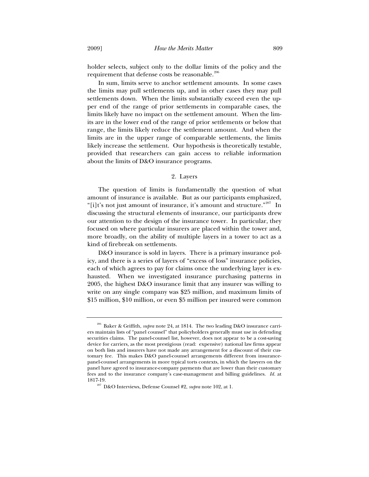holder selects, subject only to the dollar limits of the policy and the requirement that defense costs be reasonable.<sup>206</sup>

In sum, limits serve to anchor settlement amounts. In some cases the limits may pull settlements up, and in other cases they may pull settlements down. When the limits substantially exceed even the upper end of the range of prior settlements in comparable cases, the limits likely have no impact on the settlement amount. When the limits are in the lower end of the range of prior settlements or below that range, the limits likely reduce the settlement amount. And when the limits are in the upper range of comparable settlements, the limits likely increase the settlement. Our hypothesis is theoretically testable, provided that researchers can gain access to reliable information about the limits of D&O insurance programs.

# 2. Layers

The question of limits is fundamentally the question of what amount of insurance is available. But as our participants emphasized, "[i]t's not just amount of insurance, it's amount and structure."<sup>207</sup> In discussing the structural elements of insurance, our participants drew our attention to the design of the insurance tower. In particular, they focused on where particular insurers are placed within the tower and, more broadly, on the ability of multiple layers in a tower to act as a kind of firebreak on settlements.

D&O insurance is sold in layers. There is a primary insurance policy, and there is a series of layers of "excess of loss" insurance policies, each of which agrees to pay for claims once the underlying layer is exhausted. When we investigated insurance purchasing patterns in 2005, the highest D&O insurance limit that any insurer was willing to write on any single company was \$25 million, and maximum limits of \$15 million, \$10 million, or even \$5 million per insured were common

<sup>206</sup> Baker & Griffith, *supra* note 24, at 1814. The two leading D&O insurance carriers maintain lists of "panel counsel" that policyholders generally must use in defending securities claims. The panel-counsel list, however, does not appear to be a cost-saving device for carriers, as the most prestigious (read: expensive) national law firms appear on both lists and insurers have not made any arrangement for a discount of their customary fee. This makes D&O panel-counsel arrangements different from insurancepanel-counsel arrangements in more typical torts contexts, in which the lawyers on the panel have agreed to insurance-company payments that are lower than their customary fees and to the insurance company's case-management and billing guidelines. *Id.* at

<sup>&</sup>lt;sup>207</sup> D&O Interviews, Defense Counsel #2, *supra* note 102, at 1.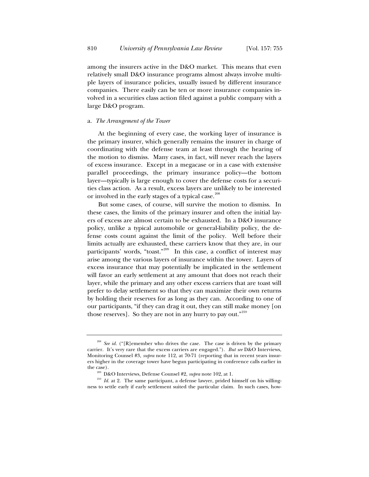among the insurers active in the D&O market. This means that even relatively small D&O insurance programs almost always involve multiple layers of insurance policies, usually issued by different insurance companies. There easily can be ten or more insurance companies involved in a securities class action filed against a public company with a large D&O program.

# a. *The Arrangement of the Tower*

At the beginning of every case, the working layer of insurance is the primary insurer, which generally remains the insurer in charge of coordinating with the defense team at least through the hearing of the motion to dismiss. Many cases, in fact, will never reach the layers of excess insurance. Except in a megacase or in a case with extensive parallel proceedings, the primary insurance policy—the bottom layer—typically is large enough to cover the defense costs for a securities class action. As a result, excess layers are unlikely to be interested or involved in the early stages of a typical case.<sup>20</sup>

But some cases, of course, will survive the motion to dismiss. In these cases, the limits of the primary insurer and often the initial layers of excess are almost certain to be exhausted. In a D&O insurance policy, unlike a typical automobile or general-liability policy, the defense costs count against the limit of the policy. Well before their limits actually are exhausted, these carriers know that they are, in our participants' words, "toast."<sup>209</sup> In this case, a conflict of interest may arise among the various layers of insurance within the tower. Layers of excess insurance that may potentially be implicated in the settlement will favor an early settlement at any amount that does not reach their layer, while the primary and any other excess carriers that are toast will prefer to delay settlement so that they can maximize their own returns by holding their reserves for as long as they can. According to one of our participants, "if they can drag it out, they can still make money [on those reserves]. So they are not in any hurry to pay out."<sup>210</sup>

<sup>&</sup>lt;sup>208</sup> See id. ("[R]emember who drives the case. The case is driven by the primary carrier. It's very rare that the excess carriers are engaged."). *But see* D&O Interviews, Monitoring Counsel #3, *supra* note 112, at 70-71 (reporting that in recent years insurers higher in the coverage tower have begun participating in conference calls earlier in the case). 209 D&O Interviews, Defense Counsel #2, *supra* note 102, at 1.

<sup>&</sup>lt;sup>210</sup> *Id.* at 2. The same participant, a defense lawyer, prided himself on his willingness to settle early if early settlement suited the particular claim. In such cases, how-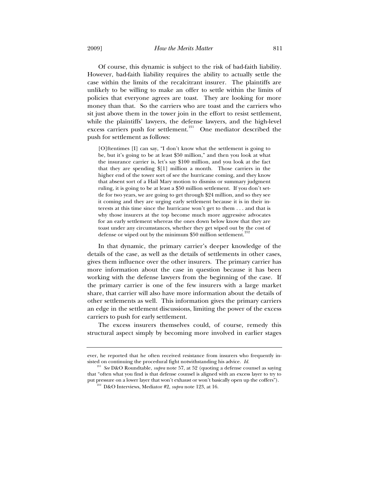Of course, this dynamic is subject to the risk of bad-faith liability. However, bad-faith liability requires the ability to actually settle the case within the limits of the recalcitrant insurer. The plaintiffs are unlikely to be willing to make an offer to settle within the limits of policies that everyone agrees are toast. They are looking for more money than that. So the carriers who are toast and the carriers who sit just above them in the tower join in the effort to resist settlement, while the plaintiffs' lawyers, the defense lawyers, and the high-level excess carriers push for settlement.<sup>211</sup> One mediator described the push for settlement as follows:

[O]ftentimes [I] can say, "I don't know what the settlement is going to be, but it's going to be at least \$50 million," and then you look at what the insurance carrier is, let's say \$100 million, and you look at the fact that they are spending \$[1] million a month. Those carriers in the higher end of the tower sort of see the hurricane coming, and they know that absent sort of a Hail Mary motion to dismiss or summary judgment ruling, it is going to be at least a \$50 million settlement. If you don't settle for two years, we are going to get through \$24 million, and so they see it coming and they are urging early settlement because it is in their interests at this time since the hurricane won't get to them . . . and that is why those insurers at the top become much more aggressive advocates for an early settlement whereas the ones down below know that they are toast under any circumstances, whether they get wiped out by the cost of defense or wiped out by the minimum \$50 million settlement.<sup>21</sup>

In that dynamic, the primary carrier's deeper knowledge of the details of the case, as well as the details of settlements in other cases, gives them influence over the other insurers. The primary carrier has more information about the case in question because it has been working with the defense lawyers from the beginning of the case. If the primary carrier is one of the few insurers with a large market share, that carrier will also have more information about the details of other settlements as well. This information gives the primary carriers an edge in the settlement discussions, limiting the power of the excess carriers to push for early settlement.

The excess insurers themselves could, of course, remedy this structural aspect simply by becoming more involved in earlier stages

ever, he reported that he often received resistance from insurers who frequently insisted on continuing the procedural fight notwithstanding his advice. *Id.*

<sup>211</sup> *See* D&O Roundtable, *supra* note 57, at 52 (quoting a defense counsel as saying that "often what you find is that defense counsel is aligned with an excess layer to try to put pressure on a lower layer that won't exhaust or won't basically open up the coffers"). 212 D&O Interviews, Mediator #2, *supra* note 123, at 16.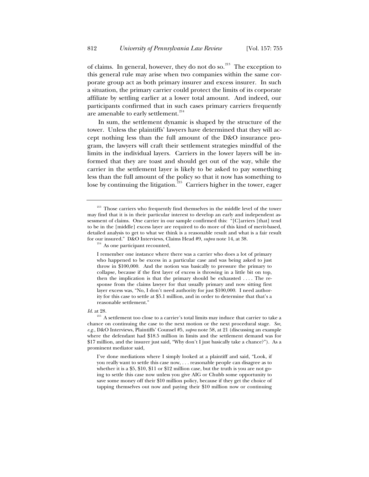of claims. In general, however, they do not do so.<sup>213</sup> The exception to this general rule may arise when two companies within the same corporate group act as both primary insurer and excess insurer. In such a situation, the primary carrier could protect the limits of its corporate affiliate by settling earlier at a lower total amount. And indeed, our participants confirmed that in such cases primary carriers frequently are amenable to early settlement.<sup>214</sup>

In sum, the settlement dynamic is shaped by the structure of the tower. Unless the plaintiffs' lawyers have determined that they will accept nothing less than the full amount of the D&O insurance program, the lawyers will craft their settlement strategies mindful of the limits in the individual layers. Carriers in the lower layers will be informed that they are toast and should get out of the way, while the carrier in the settlement layer is likely to be asked to pay something less than the full amount of the policy so that it now has something to lose by continuing the litigation.<sup>215</sup> Carriers higher in the tower, eager

### *Id.* at 28.

<sup>&</sup>lt;sup>213</sup> Those carriers who frequently find themselves in the middle level of the tower may find that it is in their particular interest to develop an early and independent assessment of claims. One carrier in our sample confirmed this: "[C]arriers [that] tend to be in the [middle] excess layer are required to do more of this kind of merit-based, detailed analysis to get to what we think is a reasonable result and what is a fair result for our insured." D&O Interviews, Claims Head #9, *supra* note 14, at 38. 214 As one participant recounted,

I remember one instance where there was a carrier who does a lot of primary who happened to be excess in a particular case and was being asked to just throw in \$100,000. And the notion was basically to pressure the primary to collapse, because if the first layer of excess is throwing in a little bit on top, then the implication is that the primary should be exhausted . . . . The response from the claims lawyer for that usually primary and now sitting first layer excess was, "No, I don't need authority for just \$100,000. I need authority for this case to settle at \$5.1 million, and in order to determine that that's a reasonable settlement."

 $2^{15}$  A settlement too close to a carrier's total limits may induce that carrier to take a chance on continuing the case to the next motion or the next procedural stage. *See, e.g.*, D&O Interviews, Plaintiffs' Counsel #5, *supra* note 58, at 21 (discussing an example where the defendant had \$18.5 million in limits and the settlement demand was for \$17 million, and the insurer just said, "Why don't I just basically take a chance?"). As a prominent mediator said,

I've done mediations where I simply looked at a plaintiff and said, "Look, if you really want to settle this case now, . . . reasonable people can disagree as to whether it is a \$5, \$10, \$11 or \$12 million case, but the truth is you are not going to settle this case now unless you give AIG or Chubb some opportunity to save some money off their \$10 million policy, because if they get the choice of tapping themselves out now and paying their \$10 million now or continuing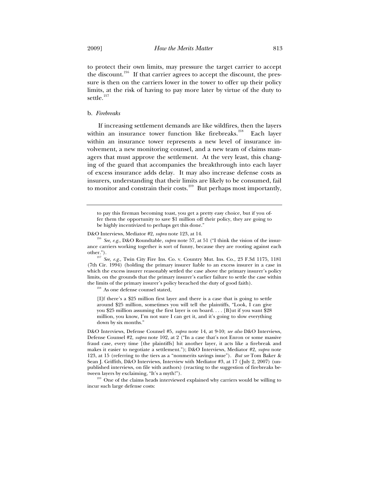to protect their own limits, may pressure the target carrier to accept the discount.<sup>216</sup> If that carrier agrees to accept the discount, the pressure is then on the carriers lower in the tower to offer up their policy limits, at the risk of having to pay more later by virtue of the duty to settle.<sup>217</sup>

# b. *Firebreaks*

If increasing settlement demands are like wildfires, then the layers within an insurance tower function like firebreaks.<sup>218</sup> Each layer within an insurance tower represents a new level of insurance involvement, a new monitoring counsel, and a new team of claims managers that must approve the settlement. At the very least, this changing of the guard that accompanies the breakthrough into each layer of excess insurance adds delay. It may also increase defense costs as insurers, understanding that their limits are likely to be consumed, fail to monitor and constrain their costs.<sup>219</sup> But perhaps most importantly,

<sup>217</sup> *See, e.g.*, Twin City Fire Ins. Co. v. Country Mut. Ins. Co., 23 F.3d 1175, 1181 (7th Cir. 1994) (holding the primary insurer liable to an excess insurer in a case in which the excess insurer reasonably settled the case above the primary insurer's policy limits, on the grounds that the primary insurer's earlier failure to settle the case within the limits of the primary insurer's policy breached the duty of good faith).<br><sup>218</sup> As one defense counsel stated,

[I]f there's a \$25 million first layer and there is a case that is going to settle around \$25 million, sometimes you will tell the plaintiffs, "Look, I can give you \$25 million assuming the first layer is on board. . . . [B]ut if you want \$28 million, you know, I'm not sure I can get it, and it's going to slow everything down by six months."

D&O Interviews, Defense Counsel #5, *supra* note 14, at 9-10; *see also* D&O Interviews, Defense Counsel #2, *supra* note 102, at 2 ("In a case that's not Enron or some massive fraud case, every time [the plaintiffs] hit another layer, it acts like a firebreak and makes it easier to negotiate a settlement."); D&O Interviews, Mediator #2, *supra* note 123, at 15 (referring to the tiers as a "nonmerits savings issue"). *But see* Tom Baker & Sean J. Griffith, D&O Interviews, Interview with Mediator #3, at 17 (July 2, 2007) (unpublished interviews, on file with authors) (reacting to the suggestion of firebreaks between layers by exclaiming, "It's a myth!").<br><sup>219</sup> One of the claims heads interviewed explained why carriers would be willing to

incur such large defense costs:

to pay this fireman becoming toast, you get a pretty easy choice, but if you offer them the opportunity to save \$1 million off their policy, they are going to be highly incentivized to perhaps get this done."

D&O Interviews, Mediator #2, *supra* note 123, at 14. 216 *See, e.g.*, D&O Roundtable, *supra* note 57, at 51 ("I think the vision of the insurance carriers working together is sort of funny, because they are rooting against each other.").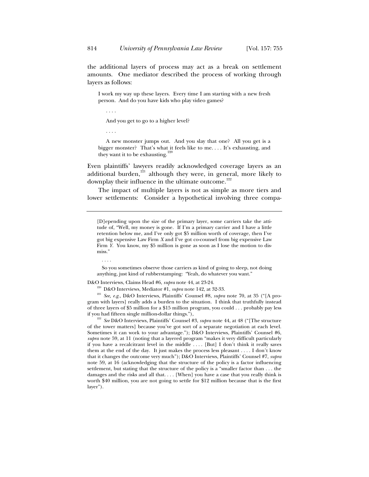the additional layers of process may act as a break on settlement amounts. One mediator described the process of working through layers as follows:

I work my way up these layers. Every time I am starting with a new fresh person. And do you have kids who play video games?

. . . .

And you get to go to a higher level?

. . . .

. . . .

 A new monster jumps out. And you slay that one? All you get is a bigger monster? That's what it feels like to me. . . . It's exhausting, and they want it to be exhausting. $220$ 

Even plaintiffs' lawyers readily acknowledged coverage layers as an additional burden, $221$  although they were, in general, more likely to downplay their influence in the ultimate outcome.<sup>222</sup>

The impact of multiple layers is not as simple as more tiers and lower settlements: Consider a hypothetical involving three compa-

 So you sometimes observe those carriers as kind of going to sleep, not doing anything, just kind of rubberstamping: "Yeah, do whatever you want."

D&O Interviews, Claims Head #6, *supra* note 44, at 23-24.<br><sup>220</sup> D&O Interviews, Mediator #1, *supra* note 142, at 32-33.<br><sup>221</sup> *See, e.g.*, D&O Interviews, Plaintiffs' Counsel #8, *supra* note 70, at 35 ("[A program with layers] really adds a burden to the situation. I think that truthfully instead of three layers of \$5 million for a \$15 million program, you could . . . probably pay less if you had fifteen single million-dollar things."), 222 *See* D&O Interviews, Plaintiffs' Counsel #3, *supra* note 44, at 48 ("[The structure

of the tower matters] because you've got sort of a separate negotiation at each level. Sometimes it can work to your advantage."); D&O Interviews, Plaintiffs' Counsel #6, *supra* note 59, at 11 (noting that a layered program "makes it very difficult particularly if you have a recalcitrant level in the middle . . . . [But] I don't think it really saves them at the end of the day. It just makes the process less pleasant . . . . I don't know that it changes the outcome very much"); D&O Interviews, Plaintiffs' Counsel #7, *supra* note 59, at 16 (acknowledging that the structure of the policy is a factor influencing settlement, but stating that the structure of the policy is a "smaller factor than . . . the damages and the risks and all that. . . . [When] you have a case that you really think is worth \$40 million, you are not going to settle for \$12 million because that is the first layer").

<sup>[</sup>D]epending upon the size of the primary layer, some carriers take the attitude of, "Well, my money is gone. If I'm a primary carrier and I have a little retention below me, and I've only got \$5 million worth of coverage, then I've got big expensive Law Firm *X* and I've got co-counsel from big expensive Law Firm *Y*. You know, my \$5 million is gone as soon as I lose the motion to dismiss."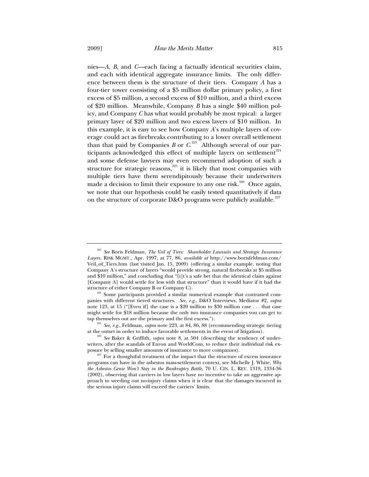nies—*A*, *B*, and *C*—each facing a factually identical securities claim, and each with identical aggregate insurance limits. The only difference between them is the structure of their tiers. Company *A* has a four-tier tower consisting of a \$5 million dollar primary policy, a first excess of \$5 million, a second excess of \$10 million, and a third excess of \$20 million. Meanwhile, Company *B* has a single \$40 million policy, and Company *C* has what would probably be most typical: a larger primary layer of \$20 million and two excess layers of \$10 million. In this example, it is easy to see how Company *A*'s multiple layers of coverage could act as firebreaks contributing to a lower overall settlement than that paid by Companies  $B$  or  $C^{223}$  Although several of our participants acknowledged this effect of multiple layers on settlement<sup> $224$ </sup> and some defense lawyers may even recommend adoption of such a structure for strategic reasons, $225$  it is likely that most companies with multiple tiers have them serendipitously because their underwriters made a decision to limit their exposure to any one risk.<sup>226</sup> Once again, we note that our hypothesis could be easily tested quantitatively if data on the structure of corporate D&O programs were publicly available.<sup>227</sup>

<sup>223</sup> *See* Boris Feldman, *The Veil of Tiers: Shareholder Lawsuits and Strategic Insurance Layers*, RISK MGMT., Apr. 1997, at 77, 86, *available at* http://www.borisfeldman.com/ Veil\_of\_Tiers.htm (last visited Jan. 15, 2009) (offering a similar example, noting that Company A's structure of layers "would provide strong, natural firebreaks at \$5 million and \$10 million," and concluding that "[i]t's a safe bet that the identical claim against [Company A] would settle for less with that structure" than it would have if it had the structure of either Company B or Company C).

 $1224}$  Some participants provided a similar numerical example that contrasted companies with different tiered structures. *See, e.g.*, D&O Interviews, Mediator #2, *supra* note 123, at 15 ("[Even if] the case is a \$20 million to \$30 million case . . . that case might settle for \$18 million because the only two insurance companies you can get to

tap themselves out are the primary and the first excess.").<br><sup>225</sup> *See, e.g.*, Feldman, *supra* note 223, at 84, 86, 88 (recommending strategic tiering at the outset in order to induce favorable settlements in the event of

<sup>&</sup>lt;sup>26</sup> See Baker & Griffith, *supra* note 8, at 504 (describing the tendency of underwriters, after the scandals of Enron and WorldCom, to reduce their individual risk exposure by selling smaller amounts of insurance to more companies).<br><sup>227</sup> For a thoughtful treatment of the impact that the structure of excess insurance

programs can have in the asbestos mass-settlement context, see Michelle J. White, *Why the Asbestos Genie Won't Stay in the Bankruptcy Bottle*, 70 U. CIN. L. REV. 1319, 1334-36 (2002), observing that carriers in low layers have no incentive to take an aggressive approach to weeding out no-injury claims when it is clear that the damages incurred in the serious injury claims will exceed the carriers' limits.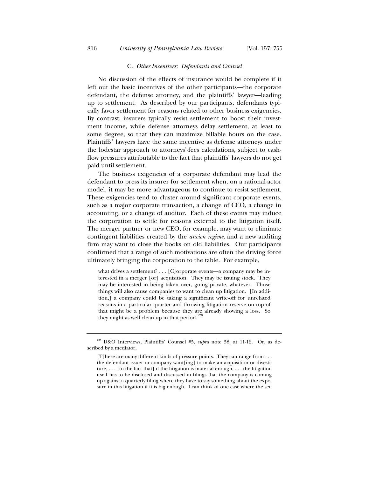# C. *Other Incentives: Defendants and Counsel*

No discussion of the effects of insurance would be complete if it left out the basic incentives of the other participants—the corporate defendant, the defense attorney, and the plaintiffs' lawyer—leading up to settlement. As described by our participants, defendants typically favor settlement for reasons related to other business exigencies. By contrast, insurers typically resist settlement to boost their investment income, while defense attorneys delay settlement, at least to some degree, so that they can maximize billable hours on the case. Plaintiffs' lawyers have the same incentive as defense attorneys under the lodestar approach to attorneys'-fees calculations, subject to cashflow pressures attributable to the fact that plaintiffs' lawyers do not get paid until settlement.

The business exigencies of a corporate defendant may lead the defendant to press its insurer for settlement when, on a rational-actor model, it may be more advantageous to continue to resist settlement. These exigencies tend to cluster around significant corporate events, such as a major corporate transaction, a change of CEO, a change in accounting, or a change of auditor. Each of these events may induce the corporation to settle for reasons external to the litigation itself. The merger partner or new CEO, for example, may want to eliminate contingent liabilities created by the *ancien regime*, and a new auditing firm may want to close the books on old liabilities. Our participants confirmed that a range of such motivations are often the driving force ultimately bringing the corporation to the table. For example,

what drives a settlement? . . . [C] or porate events—a company may be interested in a merger [or] acquisition. They may be issuing stock. They may be interested in being taken over, going private, whatever. Those things will also cause companies to want to clean up litigation. [In addition,] a company could be taking a significant write-off for unrelated reasons in a particular quarter and throwing litigation reserve on top of that might be a problem because they are already showing a loss. So they might as well clean up in that period.<sup>2</sup>

<sup>228</sup> D&O Interviews, Plaintiffs' Counsel #5, *supra* note 58, at 11-12. Or, as described by a mediator,

<sup>[</sup>T]here are many different kinds of pressure points. They can range from . . . the defendant issuer or company want[ing] to make an acquisition or divestiture,  $\ldots$  [to the fact that] if the litigation is material enough,  $\ldots$  the litigation itself has to be disclosed and discussed in filings that the company is coming up against a quarterly filing where they have to say something about the exposure in this litigation if it is big enough. I can think of one case where the set-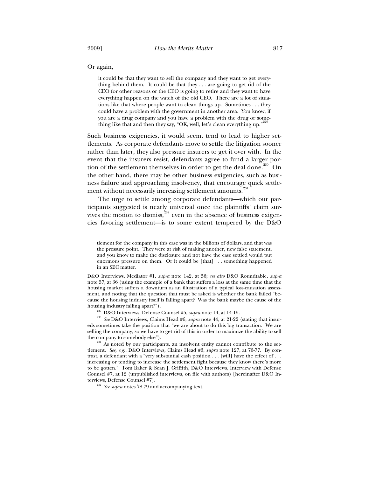Or again,

it could be that they want to sell the company and they want to get everything behind them. It could be that they  $\dots$  are going to get rid of the CEO for other reasons or the CEO is going to retire and they want to have everything happen on the watch of the old CEO. There are a lot of situations like that where people want to clean things up. Sometimes . . . they could have a problem with the government in another area. You know, if you are a drug company and you have a problem with the drug or something like that and then they say, "OK, well, let's clean everything up."

Such business exigencies, it would seem, tend to lead to higher settlements. As corporate defendants move to settle the litigation sooner rather than later, they also pressure insurers to get it over with. In the event that the insurers resist, defendants agree to fund a larger portion of the settlement themselves in order to get the deal done.<sup>230</sup> On the other hand, there may be other business exigencies, such as business failure and approaching insolvency, that encourage quick settlement without necessarily increasing settlement amounts.<sup>2</sup>

The urge to settle among corporate defendants—which our participants suggested is nearly universal once the plaintiffs' claim survives the motion to dismiss, ${}^{332}$  even in the absence of business exigencies favoring settlement—is to some extent tempered by the D&O

eds sometimes take the position that "we are about to do this big transaction. We are selling the company, so we have to get rid of this in order to maximize the ability to sell the company to somebody else").<br><sup>231</sup> As noted by our participants, an insolvent entity cannot contribute to the set-

tlement. *See, e.g.*, D&O Interviews, Claims Head #3, *supra* note 127, at 76-77. By contrast, a defendant with a "very substantial cash position  $\dots$  [will] have the effect of  $\dots$ increasing or tending to increase the settlement fight because they know there's more to be gotten." Tom Baker & Sean J. Griffith, D&O Interviews, Interview with Defense Counsel #7, at 12 (unpublished interviews, on file with authors) [hereinafter D&O In-

 $t^{232}$  *See supra* notes 78-79 and accompanying text.

tlement for the company in this case was in the billions of dollars, and that was the pressure point. They were at risk of making another, new false statement, and you know to make the disclosure and not have the case settled would put enormous pressure on them. Or it could be [that] . . . something happened in an SEC matter.

D&O Interviews, Mediator #1, *supra* note 142, at 56; *see also* D&O Roundtable, *supra* note 57, at 36 (using the example of a bank that suffers a loss at the same time that the housing market suffers a downturn as an illustration of a typical loss-causation assessment, and noting that the question that must be asked is whether the bank failed "because the housing industry itself is falling apart? Was the bank maybe the cause of the housing industry falling apart?").<br><sup>229</sup> D&O Interviews, Defense Counsel #5, *supra* note 14, at 14-15.<br><sup>230</sup> *See* D&O Interviews, Claims Head #6, *supra* note 44, at 21-22 (stating that insur-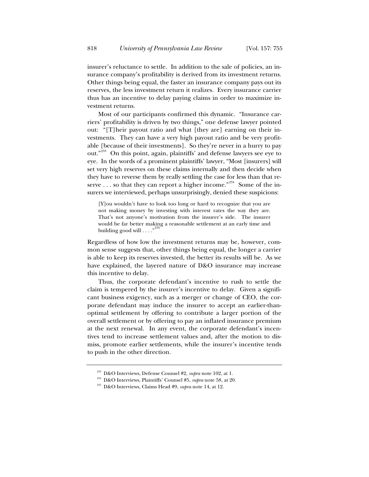insurer's reluctance to settle. In addition to the sale of policies, an insurance company's profitability is derived from its investment returns. Other things being equal, the faster an insurance company pays out its reserves, the less investment return it realizes. Every insurance carrier thus has an incentive to delay paying claims in order to maximize investment returns.

Most of our participants confirmed this dynamic. "Insurance carriers' profitability is driven by two things," one defense lawyer pointed out: "[T]heir payout ratio and what [they are] earning on their investments. They can have a very high payout ratio and be very profitable [because of their investments]. So they're never in a hurry to pay out."<sup>233</sup> On this point, again, plaintiffs' and defense lawyers see eye to eye. In the words of a prominent plaintiffs' lawyer, "Most [insurers] will set very high reserves on these claims internally and then decide when they have to reverse them by really settling the case for less than that reserve . . . so that they can report a higher income."<sup>234</sup> Some of the insurers we interviewed, perhaps unsurprisingly, denied these suspicions:

[Y]ou wouldn't have to look too long or hard to recognize that you are not making money by investing with interest rates the way they are. That's not anyone's motivation from the insurer's side. The insurer would be far better making a reasonable settlement at an early time and building good will  $\ldots$ ."<sup>235</sup>

Regardless of how low the investment returns may be, however, common sense suggests that, other things being equal, the longer a carrier is able to keep its reserves invested, the better its results will be. As we have explained, the layered nature of D&O insurance may increase this incentive to delay.

Thus, the corporate defendant's incentive to rush to settle the claim is tempered by the insurer's incentive to delay. Given a significant business exigency, such as a merger or change of CEO, the corporate defendant may induce the insurer to accept an earlier-thanoptimal settlement by offering to contribute a larger portion of the overall settlement or by offering to pay an inflated insurance premium at the next renewal. In any event, the corporate defendant's incentives tend to increase settlement values and, after the motion to dismiss, promote earlier settlements, while the insurer's incentive tends to push in the other direction.

<sup>&</sup>lt;sup>233</sup> D&O Interviews, Defense Counsel #2, *supra* note 102, at 1.<br><sup>234</sup> D&O Interviews, Plaintiffs' Counsel #5, *supra* note 58, at 20.<br><sup>235</sup> D&O Interviews, Claims Head #9, *supra* note 14, at 12.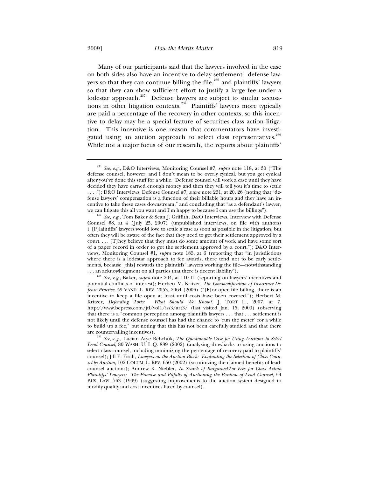Many of our participants said that the lawyers involved in the case on both sides also have an incentive to delay settlement: defense lawyers so that they can continue billing the file,<sup>236</sup> and plaintiffs' lawyers so that they can show sufficient effort to justify a large fee under a lodestar approach.<sup>237</sup> Defense lawyers are subject to similar accusations in other litigation contexts.238 Plaintiffs' lawyers more typically are paid a percentage of the recovery in other contexts, so this incentive to delay may be a special feature of securities class action litigation. This incentive is one reason that commentators have investigated using an auction approach to select class representatives.<sup>239</sup> While not a major focus of our research, the reports about plaintiffs'

<sup>236</sup> *See, e.g.*, D&O Interviews, Monitoring Counsel #7, *supra* note 118, at 30 ("The defense counsel, however, and I don't mean to be overly cynical, but you get cynical after you've done this stuff for a while. Defense counsel will work a case until they have decided they have earned enough money and then they will tell you it's time to settle . . . ."); D&O Interviews, Defense Counsel #7, *supra* note 231, at 20, 26 (noting that "defense lawyers' compensation is a function of their billable hours and they have an incentive to take these cases downstream," and concluding that "as a defendant's lawyer,

we can litigate this all you want and I'm happy to because I can use the billings"). 237 *See, e.g.*, Tom Baker & Sean J. Griffith, D&O Interviews, Interview with Defense Counsel #8, at 4 (July 25, 2007) (unpublished interviews, on file with authors) ("[P]laintiffs' lawyers would love to settle a case as soon as possible in the litigation, but often they will be aware of the fact that they need to get their settlement approved by a court. . . . [T]hey believe that they must do some amount of work and have some sort of a paper record in order to get the settlement approved by a court."); D&O Interviews, Monitoring Counsel #1, *supra* note 185, at 6 (reporting that "in jurisdictions where there is a lodestar approach to fee awards, there tend not to be early settlements, because [this] rewards the plaintiffs' lawyers working the file—notwithstanding . . . an acknowledgment on all parties that there is decent liability").

See, e.g., Baker, *supra* note 204, at 110-11 (reporting on lawyers' incentives and potential conflicts of interest); Herbert M. Kritzer, *The Commodification of Insurance Defense Practice*, 59 VAND. L. REV. 2053, 2064 (2006) ("[F]or open-file billing, there is an incentive to keep a file open at least until costs have been covered."); Herbert M. Kritzer, *Defending Torts: What Should We Know?*, J. TORT L., 2007, at 7, http://www.bepress.com/jtl/vol1/iss3/art3/ (last visited Jan. 15, 2009) (observing that there is a "common perception among plaintiffs lawyers . . . that . . . settlement is not likely until the defense counsel has had the chance to 'run the meter' for a while to build up a fee," but noting that this has not been carefully studied and that there

are countervailing incentives). 239 *See, e.g.*, Lucian Arye Bebchuk, *The Questionable Case for Using Auctions to Select Lead Counsel*, 80 WASH. U. L.Q. 889 (2002) (analyzing drawbacks to using auctions to select class counsel, including minimizing the percentage of recovery paid to plaintiffs' counsel); Jill E. Fisch, *Lawyers on the Auction Block: Evaluating the Selection of Class Counsel by Auction*, 102 COLUM. L. REV. 650 (2002) (scrutinizing the claimed benefits of leadcounsel auctions); Andrew K. Niebler, *In Search of Bargained-For Fees for Class Action Plaintiffs' Lawyers: The Promise and Pitfalls of Auctioning the Position of Lead Counsel*, 54 BUS. LAW. 763 (1999) (suggesting improvements to the auction system designed to modify quality and cost incentives faced by counsel).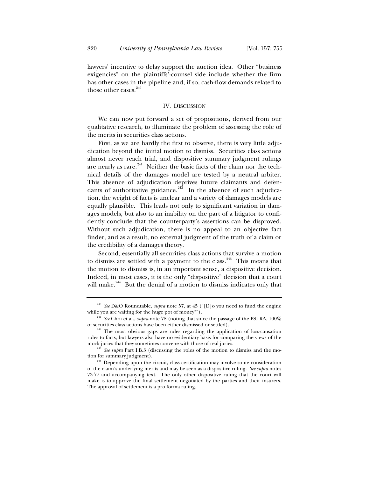lawyers' incentive to delay support the auction idea. Other "business exigencies" on the plaintiffs'-counsel side include whether the firm has other cases in the pipeline and, if so, cash-flow demands related to those other cases.<sup>240</sup>

# IV. DISCUSSION

We can now put forward a set of propositions, derived from our qualitative research, to illuminate the problem of assessing the role of the merits in securities class actions.

First, as we are hardly the first to observe, there is very little adjudication beyond the initial motion to dismiss. Securities class actions almost never reach trial, and dispositive summary judgment rulings are nearly as rare.<sup>241</sup> Neither the basic facts of the claim nor the technical details of the damages model are tested by a neutral arbiter. This absence of adjudication deprives future claimants and defendants of authoritative guidance.<sup>242</sup> In the absence of such adjudication, the weight of facts is unclear and a variety of damages models are equally plausible. This leads not only to significant variation in damages models, but also to an inability on the part of a litigator to confidently conclude that the counterparty's assertions can be disproved. Without such adjudication, there is no appeal to an objective fact finder, and as a result, no external judgment of the truth of a claim or the credibility of a damages theory.

Second, essentially all securities class actions that survive a motion to dismiss are settled with a payment to the class.<sup>243</sup> This means that the motion to dismiss is, in an important sense, a dispositive decision. Indeed, in most cases, it is the only "dispositive" decision that a court will make. $244$  But the denial of a motion to dismiss indicates only that

<sup>240</sup> *See* D&O Roundtable, *supra* note 57, at 45 ("[D]o you need to fund the engine while you are waiting for the huge pot of money?").<br><sup>241</sup> *See* Choi et al., *supra* note 78 (noting that since the passage of the PSLRA, 100%

of securities class actions have been either dismissed or settled).<br><sup>242</sup> The most obvious gaps are rules regarding the application of loss-causation rules to facts, but lawyers also have no evidentiary basis for comparing the views of the mock juries that they sometimes convene with those of real juries. 243 *See supra* Part I.B.3 (discussing the roles of the motion to dismiss and the mo-

tion for summary judgment).<br><sup>244</sup> Depending upon the circuit, class certification may involve some consideration

of the claim's underlying merits and may be seen as a dispositive ruling. *See supra* notes 73-77 and accompanying text. The only other dispositive ruling that the court will make is to approve the final settlement negotiated by the parties and their insurers. The approval of settlement is a pro forma ruling.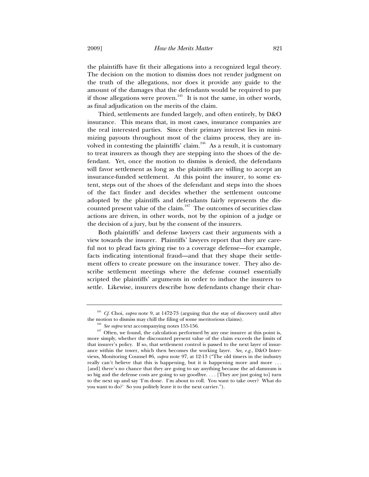the plaintiffs have fit their allegations into a recognized legal theory. The decision on the motion to dismiss does not render judgment on the truth of the allegations, nor does it provide any guide to the amount of the damages that the defendants would be required to pay if those allegations were proven.<sup>245</sup> It is not the same, in other words, as final adjudication on the merits of the claim.

Third, settlements are funded largely, and often entirely, by D&O insurance. This means that, in most cases, insurance companies are the real interested parties. Since their primary interest lies in minimizing payouts throughout most of the claims process, they are involved in contesting the plaintiffs' claim.<sup>246</sup> As a result, it is customary to treat insurers as though they are stepping into the shoes of the defendant. Yet, once the motion to dismiss is denied, the defendants will favor settlement as long as the plaintiffs are willing to accept an insurance-funded settlement. At this point the insurer, to some extent, steps out of the shoes of the defendant and steps into the shoes of the fact finder and decides whether the settlement outcome adopted by the plaintiffs and defendants fairly represents the discounted present value of the claim.<sup>247</sup> The outcomes of securities class actions are driven, in other words, not by the opinion of a judge or the decision of a jury, but by the consent of the insurers.

Both plaintiffs' and defense lawyers cast their arguments with a view towards the insurer. Plaintiffs' lawyers report that they are careful not to plead facts giving rise to a coverage defense—for example, facts indicating intentional fraud—and that they shape their settlement offers to create pressure on the insurance tower. They also describe settlement meetings where the defense counsel essentially scripted the plaintiffs' arguments in order to induce the insurers to settle. Likewise, insurers describe how defendants change their char-

<sup>&</sup>lt;sup>245</sup> *Cf.* Choi, *supra* note 9, at 1472-73 (arguing that the stay of discovery until after

the motion to dismiss may chill the filing of some meritorious claims).<br><sup>246</sup> *See supra* text accompanying notes 155-156.<br><sup>247</sup> Often, we found, the calculation performed by any one insurer at this point is, more simply, whether the discounted present value of the claim exceeds the limits of that insurer's policy. If so, that settlement control is passed to the next layer of insurance within the tower, which then becomes the working layer. *See, e.g.*, D&O Interviews, Monitoring Counsel #6, *supra* note 97, at 12-13 ("The old timers in the industry really can't believe that this is happening, but it is happening more and more . . . [and] there's no chance that they are going to say anything because the ad damnum is so big and the defense costs are going to say goodbye. . . . [They are just going to] turn to the next up and say 'I'm done. I'm about to roll. You want to take over? What do you want to do?' So you politely leave it to the next carrier.").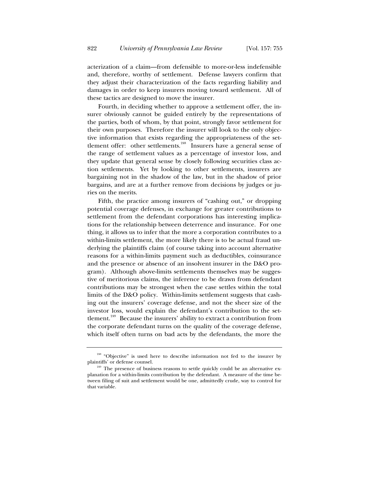acterization of a claim—from defensible to more-or-less indefensible and, therefore, worthy of settlement. Defense lawyers confirm that they adjust their characterization of the facts regarding liability and damages in order to keep insurers moving toward settlement. All of these tactics are designed to move the insurer.

Fourth, in deciding whether to approve a settlement offer, the insurer obviously cannot be guided entirely by the representations of the parties, both of whom, by that point, strongly favor settlement for their own purposes. Therefore the insurer will look to the only objective information that exists regarding the appropriateness of the settlement offer: other settlements.<sup>248</sup> Insurers have a general sense of the range of settlement values as a percentage of investor loss, and they update that general sense by closely following securities class action settlements. Yet by looking to other settlements, insurers are bargaining not in the shadow of the law, but in the shadow of prior bargains, and are at a further remove from decisions by judges or juries on the merits.

Fifth, the practice among insurers of "cashing out," or dropping potential coverage defenses, in exchange for greater contributions to settlement from the defendant corporations has interesting implications for the relationship between deterrence and insurance. For one thing, it allows us to infer that the more a corporation contributes to a within-limits settlement, the more likely there is to be actual fraud underlying the plaintiffs claim (of course taking into account alternative reasons for a within-limits payment such as deductibles, coinsurance and the presence or absence of an insolvent insurer in the D&O program). Although above-limits settlements themselves may be suggestive of meritorious claims, the inference to be drawn from defendant contributions may be strongest when the case settles within the total limits of the D&O policy. Within-limits settlement suggests that cashing out the insurers' coverage defense, and not the sheer size of the investor loss, would explain the defendant's contribution to the settlement.<sup>249</sup> Because the insurers' ability to extract a contribution from the corporate defendant turns on the quality of the coverage defense, which itself often turns on bad acts by the defendants, the more the

<sup>&</sup>lt;sup>248</sup> "Objective" is used here to describe information not fed to the insurer by plaintiffs' or defense counsel.

<sup>&</sup>lt;sup>249</sup> The presence of business reasons to settle quickly could be an alternative explanation for a within-limits contribution by the defendant. A measure of the time between filing of suit and settlement would be one, admittedly crude, way to control for that variable.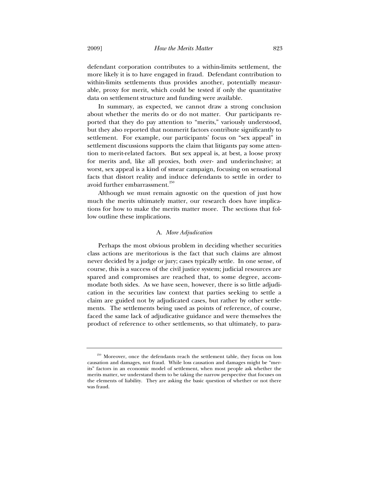defendant corporation contributes to a within-limits settlement, the more likely it is to have engaged in fraud. Defendant contribution to within-limits settlements thus provides another, potentially measurable, proxy for merit, which could be tested if only the quantitative data on settlement structure and funding were available.

In summary, as expected, we cannot draw a strong conclusion about whether the merits do or do not matter. Our participants reported that they do pay attention to "merits," variously understood, but they also reported that nonmerit factors contribute significantly to settlement. For example, our participants' focus on "sex appeal" in settlement discussions supports the claim that litigants pay some attention to merit-related factors. But sex appeal is, at best, a loose proxy for merits and, like all proxies, both over- and underinclusive; at worst, sex appeal is a kind of smear campaign, focusing on sensational facts that distort reality and induce defendants to settle in order to avoid further embarrassment.<sup>250</sup>

Although we must remain agnostic on the question of just how much the merits ultimately matter, our research does have implications for how to make the merits matter more. The sections that follow outline these implications.

# A. *More Adjudication*

Perhaps the most obvious problem in deciding whether securities class actions are meritorious is the fact that such claims are almost never decided by a judge or jury; cases typically settle. In one sense, of course, this is a success of the civil justice system; judicial resources are spared and compromises are reached that, to some degree, accommodate both sides. As we have seen, however, there is so little adjudication in the securities law context that parties seeking to settle a claim are guided not by adjudicated cases, but rather by other settlements. The settlements being used as points of reference, of course, faced the same lack of adjudicative guidance and were themselves the product of reference to other settlements, so that ultimately, to para-

<sup>&</sup>lt;sup>250</sup> Moreover, once the defendants reach the settlement table, they focus on loss causation and damages, not fraud. While loss causation and damages might be "merits" factors in an economic model of settlement, when most people ask whether the merits matter, we understand them to be taking the narrow perspective that focuses on the elements of liability. They are asking the basic question of whether or not there was fraud.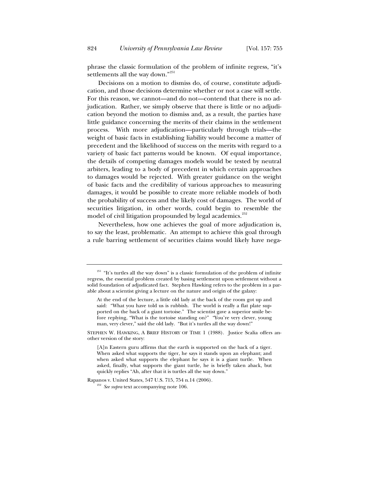phrase the classic formulation of the problem of infinite regress, "it's settlements all the way down."<sup>251</sup>

Decisions on a motion to dismiss do, of course, constitute adjudication, and those decisions determine whether or not a case will settle. For this reason, we cannot—and do not—contend that there is no adjudication. Rather, we simply observe that there is little or no adjudication beyond the motion to dismiss and, as a result, the parties have little guidance concerning the merits of their claims in the settlement process. With more adjudication—particularly through trials—the weight of basic facts in establishing liability would become a matter of precedent and the likelihood of success on the merits with regard to a variety of basic fact patterns would be known. Of equal importance, the details of competing damages models would be tested by neutral arbiters, leading to a body of precedent in which certain approaches to damages would be rejected. With greater guidance on the weight of basic facts and the credibility of various approaches to measuring damages, it would be possible to create more reliable models of both the probability of success and the likely cost of damages. The world of securities litigation, in other words, could begin to resemble the model of civil litigation propounded by legal academics.<sup>252</sup>

Nevertheless, how one achieves the goal of more adjudication is, to say the least, problematic. An attempt to achieve this goal through a rule barring settlement of securities claims would likely have nega-

Rapanos v. United States, 547 U.S. 715, 754 n.14 (2006). 252 *See supra* text accompanying note 106.

 $251$  "It's turtles all the way down" is a classic formulation of the problem of infinite regress, the essential problem created by basing settlement upon settlement without a solid foundation of adjudicated fact. Stephen Hawking refers to the problem in a parable about a scientist giving a lecture on the nature and origin of the galaxy:

At the end of the lecture, a little old lady at the back of the room got up and said: "What you have told us is rubbish. The world is really a flat plate supported on the back of a giant tortoise." The scientist gave a superior smile before replying, "What is the tortoise standing on?" "You're very clever, young man, very clever," said the old lady. "But it's turtles all the way down!"

STEPHEN W. HAWKING, A BRIEF HISTORY OF TIME 1 (1988). Justice Scalia offers another version of the story:

<sup>[</sup>A]n Eastern guru affirms that the earth is supported on the back of a tiger. When asked what supports the tiger, he says it stands upon an elephant; and when asked what supports the elephant he says it is a giant turtle. When asked, finally, what supports the giant turtle, he is briefly taken aback, but quickly replies "Ah, after that it is turtles all the way down."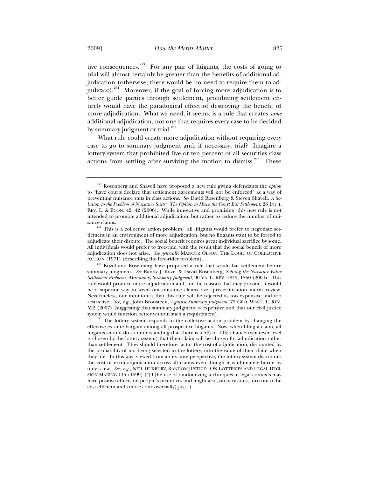tive consequences.<sup>253</sup> For any pair of litigants, the costs of going to trial will almost certainly be greater than the benefits of additional adjudication (otherwise, there would be no need to require them to adjudicate).<sup>254</sup> Moreover, if the goal of forcing more adjudication is to better guide parties through settlement, prohibiting settlement entirely would have the paradoxical effect of destroying the benefit of more adjudication. What we need, it seems, is a rule that creates *some* additional adjudication, not one that requires every case to be decided by summary judgment or trial. $^{255}$ 

What rule could create more adjudication without requiring every case to go to summary judgment and, if necessary, trial? Imagine a lottery system that prohibited five or ten percent of all securities class actions from settling after surviving the motion to dismiss.<sup>256</sup> These

<sup>253</sup> Rosenberg and Shavell have proposed a new rule giving defendants the *option* to "have courts declare that settlement agreements will not be enforced" as a way of preventing nuisance suits in class actions. *See* David Rosenberg & Steven Shavell, *A Solution to the Problem of Nuisance Suits: The Option to Have the Court Bar Settlement*, 26 INT'L REV. L. & ECON. 42, 42 (2006). While innovative and promising, this new rule is not intended to promote additional adjudication, but rather to reduce the number of nuisance claims.<br><sup>254</sup> This is a collective action problem: all litigants would prefer to negotiate set-

tlement in an environment of more adjudication, but no litigants want to be forced to adjudicate their dispute. The social benefit requires great individual sacrifice by some. All individuals would prefer to free-ride, with the result that the social benefit of more adjudication does not arise. *See generally* MANCUR OLSON, THE LOGIC OF COLLECTIVE ACTION (1971) (describing the free-rider problem).

<sup>&</sup>lt;sup>255</sup> Kozel and Rosenberg have proposed a rule that would bar settlement before summary judgment. *See* Randy J. Kozel & David Rosenberg, *Solving the Nuisance-Value Settlement Problem: Mandatory Summary Judgment*, 90 VA. L. REV. 1849, 1860 (2004). This rule would produce more adjudication and, for the reasons that they provide, it would be a superior way to weed out nuisance claims over precertification merits review. Nevertheless, our intuition is that this rule will be rejected as too expensive and too restrictive. *See, e.g.*, John Bronsteen, *Against Summary Judgment*, 75 GEO. WASH. L. REV. 522 (2007) (suggesting that summary judgment is expensive and that our civil justice

system would function better without such a requirement).<br><sup>256</sup> The lottery system responds to the collective action problem by changing the effective ex ante bargain among all prospective litigants. Now, when filing a claim, all litigants should do so understanding that there is a 5% or 10% chance (whatever level is chosen by the lottery system) that their claim will be chosen for adjudication rather than settlement. They should therefore factor the cost of adjudication, discounted by the probability of not being selected in the lottery, into the value of their claim when they file. In this way, viewed from an ex ante perspective, the lottery system distributes the cost of extra adjudication across all claims even though it is ultimately borne by only a few. *See, e.g.*, NEIL DUXBURY, RANDOM JUSTICE: ON LOTTERIES AND LEGAL DECI-SION-MAKING 145 (1999) ("[T]he use of randomizing techniques in legal contexts may have positive effects on people's incentives and might also, on occasions, turn out to be cost-efficient and (more controversially) just.").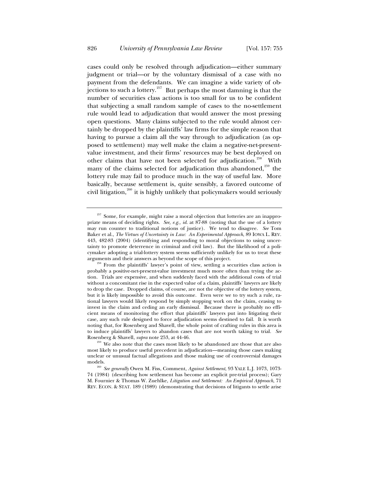cases could only be resolved through adjudication—either summary judgment or trial—or by the voluntary dismissal of a case with no payment from the defendants. We can imagine a wide variety of objections to such a lottery. $257$  But perhaps the most damning is that the number of securities class actions is too small for us to be confident that subjecting a small random sample of cases to the no-settlement rule would lead to adjudication that would answer the most pressing open questions. Many claims subjected to the rule would almost certainly be dropped by the plaintiffs' law firms for the simple reason that having to pursue a claim all the way through to adjudication (as opposed to settlement) may well make the claim a negative-net-presentvalue investment, and their firms' resources may be best deployed on other claims that have not been selected for adjudication.<sup>258</sup> With many of the claims selected for adjudication thus abandoned, $^{259}$  the lottery rule may fail to produce much in the way of useful law. More basically, because settlement is, quite sensibly, a favored outcome of civil litigation, $260$  it is highly unlikely that policymakers would seriously

<sup>&</sup>lt;sup>257</sup> Some, for example, might raise a moral objection that lotteries are an inappropriate means of deciding rights. *See, e.g*.*, id*. at 87-88 (noting that the use of a lottery may run counter to traditional notions of justice). We tend to disagree. *See* Tom Baker et al., *The Virtues of Uncertainty in Law: An Experimental Approach*, 89 IOWA L. REV. 443, 482-83 (2004) (identifying and responding to moral objections to using uncertainty to promote deterrence in criminal and civil law). But the likelihood of a policymaker adopting a trial-lottery system seems sufficiently unlikely for us to treat these arguments and their answers as beyond the scope of this project.<br><sup>258</sup> From the plaintiffs' lawyer's point of view, settling a securities class action is

probably a positive-net-present-value investment much more often than trying the action. Trials are expensive, and when suddenly faced with the additional costs of trial without a concomitant rise in the expected value of a claim, plaintiffs' lawyers are likely to drop the case. Dropped claims, of course, are not the objective of the lottery system, but it is likely impossible to avoid this outcome. Even were we to try such a rule, rational lawyers would likely respond by simply stopping work on the claim, ceasing to invest in the claim and ceding an early dismissal. Because there is probably no efficient means of monitoring the effort that plaintiffs' lawyers put into litigating their case, any such rule designed to force adjudication seems destined to fail. It is worth noting that, for Rosenberg and Shavell, the whole point of crafting rules in this area is to induce plaintiffs' lawyers to abandon cases that are not worth taking to trial. *See* Rosenberg & Shavell, *supra* note 253, at 44-46.<br><sup>259</sup> We also note that the cases most likely to be abandoned are those that are also

most likely to produce useful precedent in adjudication—meaning those cases making unclear or unusual factual allegations and those making use of controversial damages models.

<sup>260</sup> *See generally* Owen M. Fiss, Comment, *Against Settlement*, 93 YALE L.J. 1073, 1073- 74 (1984) (describing how settlement has become an explicit pre-trial process); Gary M. Fournier & Thomas W. Zuehlke, *Litigation and Settlement: An Empirical Approach*, 71 REV. ECON.&STAT. 189 (1989) (demonstrating that decisions of litigants to settle arise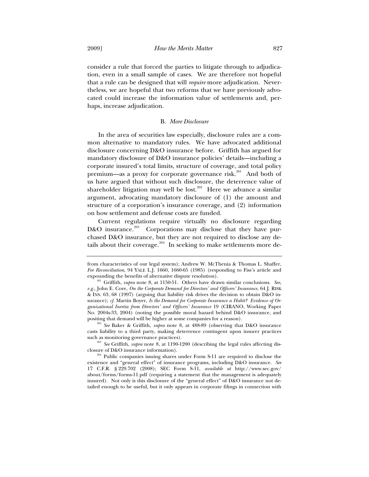consider a rule that forced the parties to litigate through to adjudication, even in a small sample of cases. We are therefore not hopeful that a rule can be designed that will *require* more adjudication. Nevertheless, we are hopeful that two reforms that we have previously advocated could increase the information value of settlements and, perhaps, increase adjudication.

## B. *More Disclosure*

In the area of securities law especially, disclosure rules are a common alternative to mandatory rules. We have advocated additional disclosure concerning D&O insurance before. Griffith has argued for mandatory disclosure of D&O insurance policies' details—including a corporate insured's total limits, structure of coverage, and total policy premium—as a proxy for corporate governance risk.<sup>261</sup> And both of us have argued that without such disclosure, the deterrence value of shareholder litigation may well be lost.<sup>262</sup> Here we advance a similar argument, advocating mandatory disclosure of (1) the amount and structure of a corporation's insurance coverage, and (2) information on how settlement and defense costs are funded.

Current regulations require virtually no disclosure regarding D&O insurance.<sup>263</sup> Corporations may disclose that they have purchased D&O insurance, but they are not required to disclose any details about their coverage.<sup>264</sup> In seeking to make settlements more de-

casts liability to a third party, making deterrence contingent upon insurer practices such as monitoring governance practices). 263 *See* Griffith, *supra* note 8, at 1190-1200 (describing the legal rules affecting dis-

closure of D&O insurance information).<br><sup>264</sup> Public companies issuing shares under Form S-11 are required to disclose the

from characteristics of our legal system); Andrew W. McThenia & Thomas L. Shaffer, *For Reconciliation*, 94 YALE L.J. 1660, 1660-65 (1985) (responding to Fiss's article and

expounding the benefits of alternative dispute resolution). 261 Griffith, *supra* note 8, at 1150-51. Others have drawn similar conclusions. *See, e.g.*, John E. Core, *On the Corporate Demand for Directors' and Officers' Insurance*, 64 J. RISK & INS. 63, 68 (1997) (arguing that liability risk drives the decision to obtain D&O insurance); *cf.* Martin Boyer, *Is the Demand for Corporate Insurance a Habit? Evidence of Organizational Inertia from Directors' and Officers' Insurance* 19 (CIRANO, Working Paper No. 2004s-33, 2004) (noting the possible moral hazard behind D&O insurance, and positing that demand will be higher at some companies for a reason). 262 *See* Baker & Griffith, *supra* note 8, at 488-89 (observing that D&O insurance

existence and "general effect" of insurance programs, including D&O insurance. *See* 17 C.F.R. § 229.702 (2008); SEC Form S-11, *available at* http://www.sec.gov/ about/forms/forms-11.pdf (requiring a statement that the management is adequately insured). Not only is this disclosure of the "general effect" of D&O insurance not detailed enough to be useful, but it only appears in corporate filings in connection with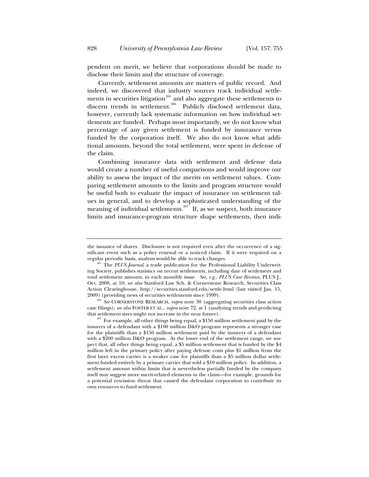pendent on merit, we believe that corporations should be made to disclose their limits and the structure of coverage.

Currently, settlement amounts are matters of public record. And indeed, we discovered that industry sources track individual settlements in securities litigation<sup>265</sup> and also aggregate these settlements to discern trends in settlement.<sup>266</sup> Publicly disclosed settlement data, however, currently lack systematic information on how individual settlements are funded. Perhaps most importantly, we do not know what percentage of any given settlement is funded by insurance versus funded by the corporation itself. We also do not know what additional amounts, beyond the total settlement, were spent in defense of the claim.

Combining insurance data with settlement and defense data would create a number of useful comparisons and would improve our ability to assess the impact of the merits on settlement values. Comparing settlement amounts to the limits and program structure would be useful both to evaluate the impact of insurance on settlement values in general, and to develop a sophisticated understanding of the meaning of individual settlements.<sup>267</sup> If, as we suspect, both insurance limits and insurance-program structure shape settlements, then indi-

2009) (providing news of securities settlements since 1999). 266 *See* CORNERSTONE RESEARCH, *supra* note 38 (aggregating securities class action case filings); *see also* FOSTER ET AL., *supra* note 72, at 1 (analyzing trends and predicting

the issuance of shares. Disclosure is not required even after the occurrence of a significant event such as a policy renewal or a noticed claim. If it were required on a

regular periodic basis, analysts would be able to track changes. 265 The *PLUS Journal*, a trade publication for the Professional Liability Underwriting Society, publishes statistics on recent settlements, including date of settlement and total settlement amount, in each monthly issue. *See, e.g.*, *PLUS Case Reviews*, PLUS J., Oct. 2008, at 10; *see also* Stanford Law Sch. & Cornerstone Research, Securities Class Action Clearinghouse, http://securities.stanford.edu/settle.html (last visited Jan. 15,

that settlement sizes might not increase in the near future).<br><sup>267</sup> For example, all other things being equal, a \$150 million settlement paid by the insurers of a defendant with a \$100 million D&O program represents a stronger case for the plaintiffs than a \$150 million settlement paid by the insurers of a defendant with a \$200 million D&O program. At the lower end of the settlement range, we suspect that, all other things being equal, a \$5 million settlement that is funded by the \$4 million left in the primary policy after paying defense costs plus \$1 million from the first layer excess carrier is a weaker case for plaintiffs than a \$5 million dollar settlement funded entirely by a primary carrier that sold a \$10 million policy. In addition, a settlement amount within limits that is nevertheless partially funded by the company itself may suggest more merit-related elements in the claim—for example, grounds for a potential rescission threat that caused the defendant corporation to contribute its own resources to fund settlement.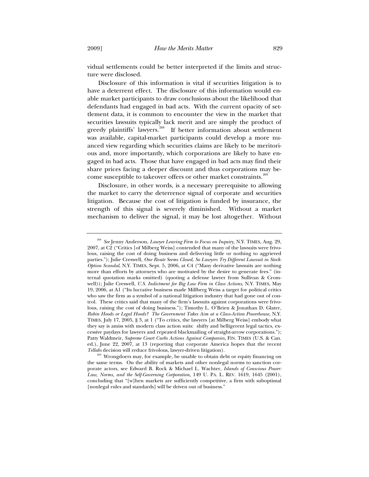vidual settlements could be better interpreted if the limits and structure were disclosed.

Disclosure of this information is vital if securities litigation is to have a deterrent effect. The disclosure of this information would enable market participants to draw conclusions about the likelihood that defendants had engaged in bad acts. With the current opacity of settlement data, it is common to encounter the view in the market that securities lawsuits typically lack merit and are simply the product of greedy plaintiffs' lawyers.<sup>268</sup> If better information about settlement was available, capital-market participants could develop a more nuanced view regarding which securities claims are likely to be meritorious and, more importantly, which corporations are likely to have engaged in bad acts. Those that have engaged in bad acts may find their share prices facing a deeper discount and thus corporations may become susceptible to take over offers or other market constraints.<sup>269</sup>

Disclosure, in other words, is a necessary prerequisite to allowing the market to carry the deterrence signal of corporate and securities litigation. Because the cost of litigation is funded by insurance, the strength of this signal is severely diminished. Without a market mechanism to deliver the signal, it may be lost altogether. Without

<sup>268</sup> *See* Jenny Anderson, *Lawyer Leaving Firm to Focus on Inquiry*, N.Y. TIMES, Aug. 29, 2007, at C2 ("Critics [of Milberg Weiss] contended that many of the lawsuits were frivolous, raising the cost of doing business and delivering little or nothing to aggrieved parties."); Julie Creswell, One Route Seems Closed, So Lawyers Try Different Lawsuit in Stock-*Option Scandal*, N.Y. TIMES, Sept. 5, 2006, at C4 ("Many derivative lawsuits are nothing more than efforts by attorneys who are motivated by the desire to generate fees." (internal quotation marks omitted) (quoting a defense lawyer from Sullivan & Cromwell)); Julie Creswell, *U.S. Indictment for Big Law Firm in Class Actions*, N.Y. TIMES, May 19, 2006, at A1 ("Its lucrative business made Millberg Weiss a target for political critics who saw the firm as a symbol of a national litigation industry that had gone out of control. These critics said that many of the firm's lawsuits against corporations were frivolous, raising the cost of doing business."); Timothy L. O'Brien & Jonathan D. Glater, *Robin Hoods or Legal Hoods? The Government Takes Aim at a Class-Action Powerhouse*, N.Y. TIMES, July 17, 2005, § 3, at 1 ("To critics, the lawyers [at Milberg Weiss] embody what they say is amiss with modern class action suits: shifty and belligerent legal tactics, excessive paydays for lawyers and repeated blackmailing of straight-arrow corporations."); Patty Waldmeir, *Supreme Court Curbs Actions Against Companies*, FIN. TIMES (U.S. & Can. ed.), June 22, 2007, at 13 (reporting that corporate America hopes that the recent *Tellabs* decision will reduce frivolous, lawyer-driven litigation).<br><sup>269</sup> Wrongdoers may, for example, be unable to obtain debt or equity financing on

the same terms. On the ability of markets and other nonlegal norms to sanction corporate actors, see Edward B. Rock & Michael L. Wachter, *Islands of Conscious Power: Law, Norms, and the Self-Governing Corporation*, 149 U. PA. L. REV. 1619, 1645 (2001), concluding that "[w]hen markets are sufficiently competitive, a firm with suboptimal [nonlegal rules and standards] will be driven out of business."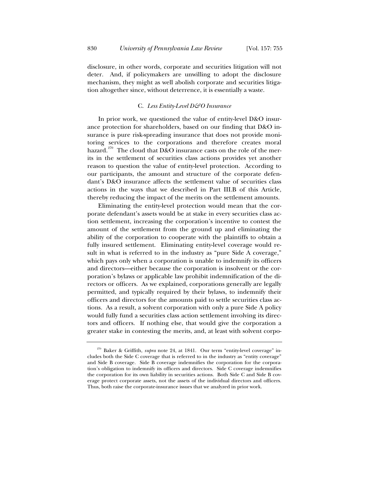disclosure, in other words, corporate and securities litigation will not deter. And, if policymakers are unwilling to adopt the disclosure mechanism, they might as well abolish corporate and securities litigation altogether since, without deterrence, it is essentially a waste.

## C. *Less Entity-Level D&O Insurance*

In prior work, we questioned the value of entity-level D&O insurance protection for shareholders, based on our finding that D&O insurance is pure risk-spreading insurance that does not provide monitoring services to the corporations and therefore creates moral hazard.<sup>270</sup> The cloud that D&O insurance casts on the role of the merits in the settlement of securities class actions provides yet another reason to question the value of entity-level protection. According to our participants, the amount and structure of the corporate defendant's D&O insurance affects the settlement value of securities class actions in the ways that we described in Part III.B of this Article, thereby reducing the impact of the merits on the settlement amounts.

Eliminating the entity-level protection would mean that the corporate defendant's assets would be at stake in every securities class action settlement, increasing the corporation's incentive to contest the amount of the settlement from the ground up and eliminating the ability of the corporation to cooperate with the plaintiffs to obtain a fully insured settlement. Eliminating entity-level coverage would result in what is referred to in the industry as "pure Side A coverage," which pays only when a corporation is unable to indemnify its officers and directors—either because the corporation is insolvent or the corporation's bylaws or applicable law prohibit indemnification of the directors or officers. As we explained, corporations generally are legally permitted, and typically required by their bylaws, to indemnify their officers and directors for the amounts paid to settle securities class actions. As a result, a solvent corporation with only a pure Side A policy would fully fund a securities class action settlement involving its directors and officers. If nothing else, that would give the corporation a greater stake in contesting the merits, and, at least with solvent corpo-

<sup>270</sup> Baker & Griffith, *supra* note 24, at 1841. Our term "entity-level coverage" includes both the Side C coverage that is referred to in the industry as "entity coverage" and Side B coverage. Side B coverage indemnifies the corporation for the corporation's obligation to indemnify its officers and directors. Side C coverage indemnifies the corporation for its own liability in securities actions. Both Side C and Side B coverage protect corporate assets, not the assets of the individual directors and officers. Thus, both raise the corporate-insurance issues that we analyzed in prior work.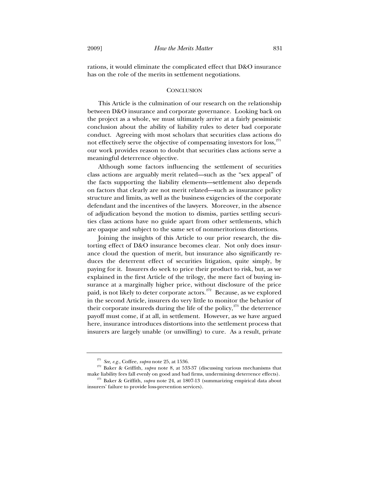rations, it would eliminate the complicated effect that D&O insurance has on the role of the merits in settlement negotiations.

## **CONCLUSION**

This Article is the culmination of our research on the relationship between D&O insurance and corporate governance. Looking back on the project as a whole, we must ultimately arrive at a fairly pessimistic conclusion about the ability of liability rules to deter bad corporate conduct. Agreeing with most scholars that securities class actions do not effectively serve the objective of compensating investors for loss,<sup>271</sup> our work provides reason to doubt that securities class actions serve a meaningful deterrence objective.

Although some factors influencing the settlement of securities class actions are arguably merit related—such as the "sex appeal" of the facts supporting the liability elements—settlement also depends on factors that clearly are not merit related—such as insurance policy structure and limits, as well as the business exigencies of the corporate defendant and the incentives of the lawyers. Moreover, in the absence of adjudication beyond the motion to dismiss, parties settling securities class actions have no guide apart from other settlements, which are opaque and subject to the same set of nonmeritorious distortions.

Joining the insights of this Article to our prior research, the distorting effect of D&O insurance becomes clear. Not only does insurance cloud the question of merit, but insurance also significantly reduces the deterrent effect of securities litigation, quite simply, by paying for it. Insurers do seek to price their product to risk, but, as we explained in the first Article of the trilogy, the mere fact of buying insurance at a marginally higher price, without disclosure of the price paid, is not likely to deter corporate actors.<sup>272</sup> Because, as we explored in the second Article, insurers do very little to monitor the behavior of their corporate insureds during the life of the policy, $273$  the deterrence payoff must come, if at all, in settlement. However, as we have argued here, insurance introduces distortions into the settlement process that insurers are largely unable (or unwilling) to cure. As a result, private

<sup>&</sup>lt;sup>271</sup> *See, e.g.*, Coffee, *supra* note 25, at 1536.<br><sup>272</sup> Baker & Griffith, *supra* note 8, at 533-37 (discussing various mechanisms that

make liability fees fall evenly on good and bad firms, undermining deterrence effects). 273 Baker & Griffith, *supra* note 24, at 1807-13 (summarizing empirical data about insurers' failure to provide loss-prevention services).